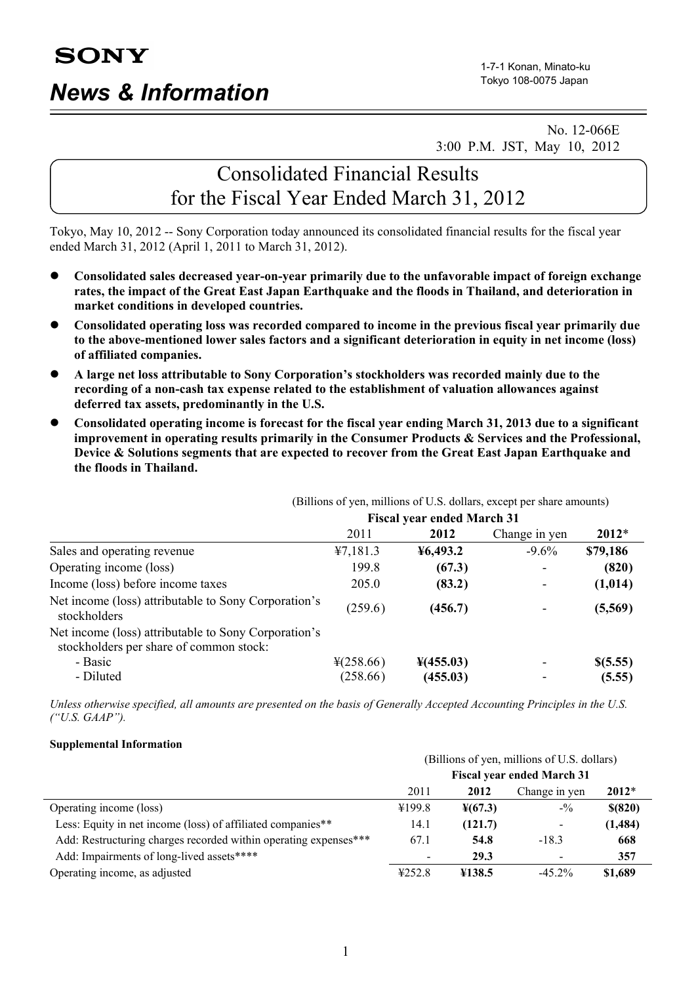# **SONY**

## No. 12-066E 3:00 P.M. JST, May 10, 2012

# Consolidated Financial Results for the Fiscal Year Ended March 31, 2012

Tokyo, May 10, 2012 -- Sony Corporation today announced its consolidated financial results for the fiscal year ended March 31, 2012 (April 1, 2011 to March 31, 2012).

- **•** Consolidated sales decreased year-on-year primarily due to the unfavorable impact of foreign exchange **rates, the impact of the Great East Japan Earthquake and the floods in Thailand, and deterioration in market conditions in developed countries.**
- z **Consolidated operating loss was recorded compared to income in the previous fiscal year primarily due to the above-mentioned lower sales factors and a significant deterioration in equity in net income (loss) of affiliated companies.**
- **•** A large net loss attributable to Sony Corporation's stockholders was recorded mainly due to the **recording of a non-cash tax expense related to the establishment of valuation allowances against deferred tax assets, predominantly in the U.S.**
- z **Consolidated operating income is forecast for the fiscal year ending March 31, 2013 due to a significant improvement in operating results primarily in the Consumer Products & Services and the Professional, Device & Solutions segments that are expected to recover from the Great East Japan Earthquake and the floods in Thailand.**

(Billions of yen, millions of U.S. dollars, except per share amounts)

|                                                                                                 |                                   |                       | (DIMONS OF YOU, MINIQUS OF O.S. GONALS, CACEPT POF SHAFE AMOUNTS) |          |  |  |
|-------------------------------------------------------------------------------------------------|-----------------------------------|-----------------------|-------------------------------------------------------------------|----------|--|--|
|                                                                                                 | <b>Fiscal year ended March 31</b> |                       |                                                                   |          |  |  |
|                                                                                                 | 2011                              | 2012                  | Change in yen                                                     | $2012*$  |  |  |
| Sales and operating revenue                                                                     | 47,181.3                          | 46,493.2              | $-9.6%$                                                           | \$79,186 |  |  |
| Operating income (loss)                                                                         | 199.8                             | (67.3)                | -                                                                 | (820)    |  |  |
| Income (loss) before income taxes                                                               | 205.0                             | (83.2)                |                                                                   | (1,014)  |  |  |
| Net income (loss) attributable to Sony Corporation's<br>stockholders                            | (259.6)                           | (456.7)               | ۰                                                                 | (5,569)  |  |  |
| Net income (loss) attributable to Sony Corporation's<br>stockholders per share of common stock: |                                   |                       |                                                                   |          |  |  |
| - Basic                                                                                         | $\frac{1}{2}$ (258.66)            | $\frac{1}{2}(455.03)$ | ۰                                                                 | \$(5.55) |  |  |
| - Diluted                                                                                       | (258.66)                          | (455.03)              |                                                                   | (5.55)   |  |  |

*Unless otherwise specified, all amounts are presented on the basis of Generally Accepted Accounting Principles in the U.S. ("U.S. GAAP").* 

### **Supplemental Information**

|                                                                  | (Billions of yen, millions of U.S. dollars) |                     |               |             |
|------------------------------------------------------------------|---------------------------------------------|---------------------|---------------|-------------|
|                                                                  | <b>Fiscal year ended March 31</b>           |                     |               |             |
|                                                                  | 2011                                        | 2012                | Change in yen | $2012*$     |
| Operating income (loss)                                          | ¥199.8                                      | $\frac{1}{2}(67.3)$ | $-9/0$        | $$^{(820)}$ |
| Less: Equity in net income (loss) of affiliated companies**      | 14.1                                        | (121.7)             |               | (1, 484)    |
| Add: Restructuring charges recorded within operating expenses*** | 67.1                                        | 54.8                | $-18.3$       | 668         |
| Add: Impairments of long-lived assets****                        |                                             | 29.3                |               | 357         |
| Operating income, as adjusted                                    | 4252.8                                      | ¥138.5              | $-45.2\%$     | \$1,689     |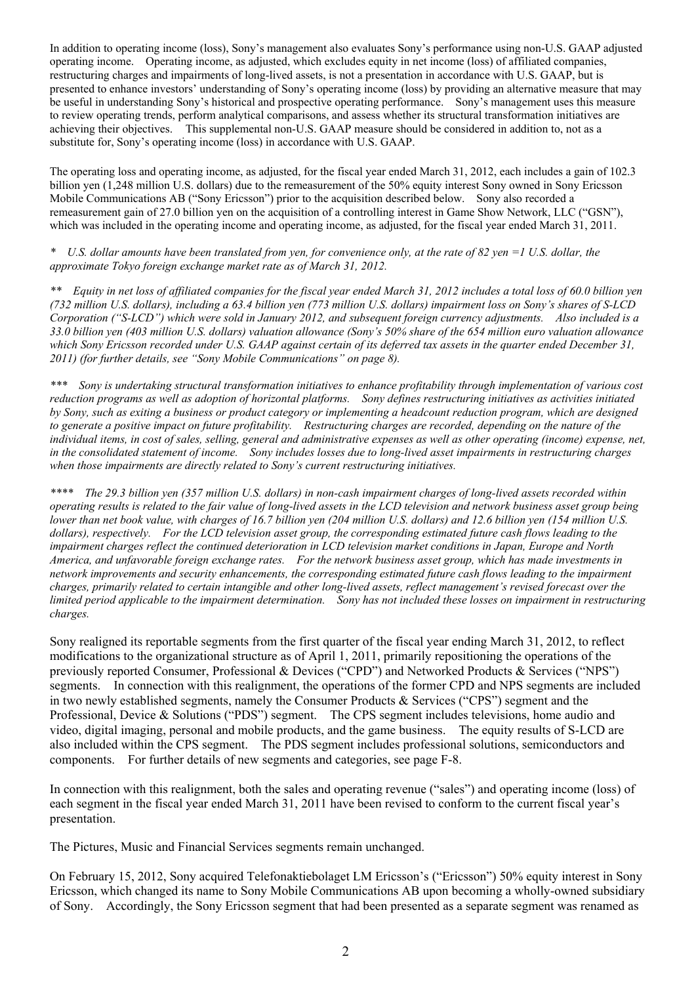In addition to operating income (loss), Sony's management also evaluates Sony's performance using non-U.S. GAAP adjusted operating income. Operating income, as adjusted, which excludes equity in net income (loss) of affiliated companies, restructuring charges and impairments of long-lived assets, is not a presentation in accordance with U.S. GAAP, but is presented to enhance investors' understanding of Sony's operating income (loss) by providing an alternative measure that may be useful in understanding Sony's historical and prospective operating performance. Sony's management uses this measure to review operating trends, perform analytical comparisons, and assess whether its structural transformation initiatives are achieving their objectives. This supplemental non-U.S. GAAP measure should be considered in addition to, not as a substitute for, Sony's operating income (loss) in accordance with U.S. GAAP.

The operating loss and operating income, as adjusted, for the fiscal year ended March 31, 2012, each includes a gain of 102.3 billion yen (1,248 million U.S. dollars) due to the remeasurement of the 50% equity interest Sony owned in Sony Ericsson Mobile Communications AB ("Sony Ericsson") prior to the acquisition described below. Sony also recorded a remeasurement gain of 27.0 billion yen on the acquisition of a controlling interest in Game Show Network, LLC ("GSN"), which was included in the operating income and operating income, as adjusted, for the fiscal year ended March 31, 2011.

*\* U.S. dollar amounts have been translated from yen, for convenience only, at the rate of 82 yen =1 U.S. dollar, the approximate Tokyo foreign exchange market rate as of March 31, 2012.* 

*\*\* Equity in net loss of affiliated companies for the fiscal year ended March 31, 2012 includes a total loss of 60.0 billion yen (732 million U.S. dollars), including a 63.4 billion yen (773 million U.S. dollars) impairment loss on Sony's shares of S-LCD Corporation ("S-LCD") which were sold in January 2012, and subsequent foreign currency adjustments. Also included is a 33.0 billion yen (403 million U.S. dollars) valuation allowance (Sony's 50% share of the 654 million euro valuation allowance which Sony Ericsson recorded under U.S. GAAP against certain of its deferred tax assets in the quarter ended December 31, 2011) (for further details, see "Sony Mobile Communications" on page 8).* 

*\*\*\* Sony is undertaking structural transformation initiatives to enhance profitability through implementation of various cost reduction programs as well as adoption of horizontal platforms. Sony defines restructuring initiatives as activities initiated by Sony, such as exiting a business or product category or implementing a headcount reduction program, which are designed to generate a positive impact on future profitability. Restructuring charges are recorded, depending on the nature of the individual items, in cost of sales, selling, general and administrative expenses as well as other operating (income) expense, net, in the consolidated statement of income. Sony includes losses due to long-lived asset impairments in restructuring charges when those impairments are directly related to Sony's current restructuring initiatives.* 

*\*\*\*\* The 29.3 billion yen (357 million U.S. dollars) in non-cash impairment charges of long-lived assets recorded within operating results is related to the fair value of long-lived assets in the LCD television and network business asset group being lower than net book value, with charges of 16.7 billion yen (204 million U.S. dollars) and 12.6 billion yen (154 million U.S. dollars), respectively. For the LCD television asset group, the corresponding estimated future cash flows leading to the impairment charges reflect the continued deterioration in LCD television market conditions in Japan, Europe and North America, and unfavorable foreign exchange rates. For the network business asset group, which has made investments in network improvements and security enhancements, the corresponding estimated future cash flows leading to the impairment charges, primarily related to certain intangible and other long-lived assets, reflect management's revised forecast over the limited period applicable to the impairment determination. Sony has not included these losses on impairment in restructuring charges.* 

Sony realigned its reportable segments from the first quarter of the fiscal year ending March 31, 2012, to reflect modifications to the organizational structure as of April 1, 2011, primarily repositioning the operations of the previously reported Consumer, Professional & Devices ("CPD") and Networked Products & Services ("NPS") segments. In connection with this realignment, the operations of the former CPD and NPS segments are included in two newly established segments, namely the Consumer Products & Services ("CPS") segment and the Professional, Device & Solutions ("PDS") segment. The CPS segment includes televisions, home audio and video, digital imaging, personal and mobile products, and the game business. The equity results of S-LCD are also included within the CPS segment. The PDS segment includes professional solutions, semiconductors and components. For further details of new segments and categories, see page F-8.

In connection with this realignment, both the sales and operating revenue ("sales") and operating income (loss) of each segment in the fiscal year ended March 31, 2011 have been revised to conform to the current fiscal year's presentation.

The Pictures, Music and Financial Services segments remain unchanged.

On February 15, 2012, Sony acquired Telefonaktiebolaget LM Ericsson's ("Ericsson") 50% equity interest in Sony Ericsson, which changed its name to Sony Mobile Communications AB upon becoming a wholly-owned subsidiary of Sony. Accordingly, the Sony Ericsson segment that had been presented as a separate segment was renamed as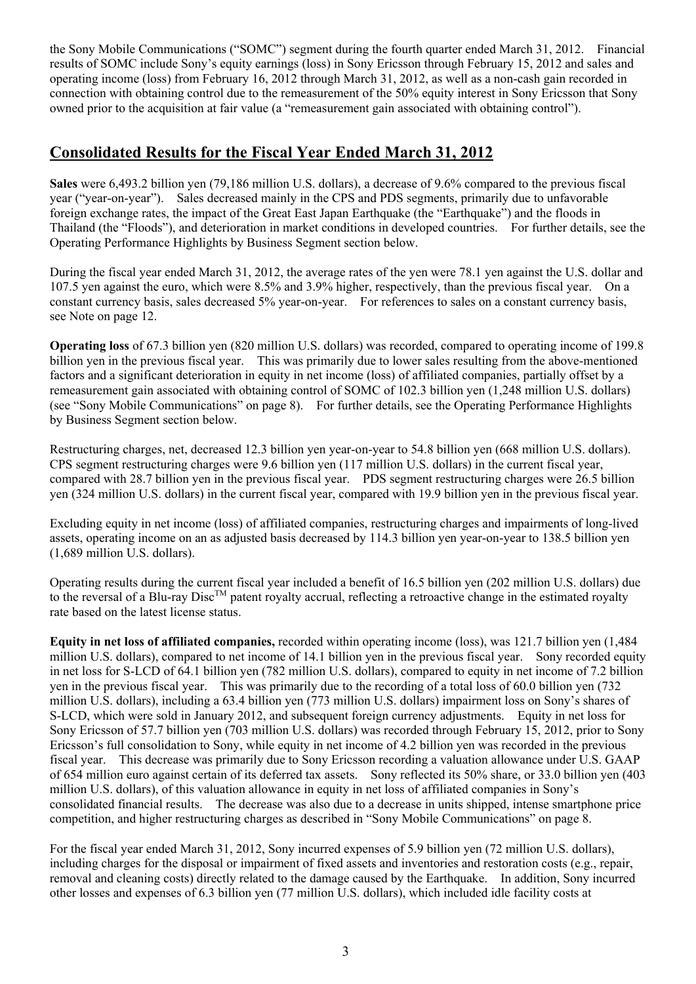the Sony Mobile Communications ("SOMC") segment during the fourth quarter ended March 31, 2012. Financial results of SOMC include Sony's equity earnings (loss) in Sony Ericsson through February 15, 2012 and sales and operating income (loss) from February 16, 2012 through March 31, 2012, as well as a non-cash gain recorded in connection with obtaining control due to the remeasurement of the 50% equity interest in Sony Ericsson that Sony owned prior to the acquisition at fair value (a "remeasurement gain associated with obtaining control").

## **Consolidated Results for the Fiscal Year Ended March 31, 2012**

**Sales** were 6,493.2 billion yen (79,186 million U.S. dollars), a decrease of 9.6% compared to the previous fiscal year ("year-on-year"). Sales decreased mainly in the CPS and PDS segments, primarily due to unfavorable foreign exchange rates, the impact of the Great East Japan Earthquake (the "Earthquake") and the floods in Thailand (the "Floods"), and deterioration in market conditions in developed countries. For further details, see the Operating Performance Highlights by Business Segment section below.

During the fiscal year ended March 31, 2012, the average rates of the yen were 78.1 yen against the U.S. dollar and 107.5 yen against the euro, which were 8.5% and 3.9% higher, respectively, than the previous fiscal year. On a constant currency basis, sales decreased 5% year-on-year. For references to sales on a constant currency basis, see Note on page 12.

**Operating loss** of 67.3 billion yen (820 million U.S. dollars) was recorded, compared to operating income of 199.8 billion yen in the previous fiscal year. This was primarily due to lower sales resulting from the above-mentioned factors and a significant deterioration in equity in net income (loss) of affiliated companies, partially offset by a remeasurement gain associated with obtaining control of SOMC of 102.3 billion yen (1,248 million U.S. dollars) (see "Sony Mobile Communications" on page 8). For further details, see the Operating Performance Highlights by Business Segment section below.

Restructuring charges, net, decreased 12.3 billion yen year-on-year to 54.8 billion yen (668 million U.S. dollars). CPS segment restructuring charges were 9.6 billion yen (117 million U.S. dollars) in the current fiscal year, compared with 28.7 billion yen in the previous fiscal year. PDS segment restructuring charges were 26.5 billion yen (324 million U.S. dollars) in the current fiscal year, compared with 19.9 billion yen in the previous fiscal year.

Excluding equity in net income (loss) of affiliated companies, restructuring charges and impairments of long-lived assets, operating income on an as adjusted basis decreased by 114.3 billion yen year-on-year to 138.5 billion yen (1,689 million U.S. dollars).

Operating results during the current fiscal year included a benefit of 16.5 billion yen (202 million U.S. dollars) due to the reversal of a Blu-ray Disc<sup>TM</sup> patent royalty accrual, reflecting a retroactive change in the estimated royalty rate based on the latest license status.

**Equity in net loss of affiliated companies,** recorded within operating income (loss), was 121.7 billion yen (1,484 million U.S. dollars), compared to net income of 14.1 billion yen in the previous fiscal year. Sony recorded equity in net loss for S-LCD of 64.1 billion yen (782 million U.S. dollars), compared to equity in net income of 7.2 billion yen in the previous fiscal year. This was primarily due to the recording of a total loss of 60.0 billion yen (732 million U.S. dollars), including a 63.4 billion yen (773 million U.S. dollars) impairment loss on Sony's shares of S-LCD, which were sold in January 2012, and subsequent foreign currency adjustments. Equity in net loss for Sony Ericsson of 57.7 billion yen (703 million U.S. dollars) was recorded through February 15, 2012, prior to Sony Ericsson's full consolidation to Sony, while equity in net income of 4.2 billion yen was recorded in the previous fiscal year. This decrease was primarily due to Sony Ericsson recording a valuation allowance under U.S. GAAP of 654 million euro against certain of its deferred tax assets. Sony reflected its 50% share, or 33.0 billion yen (403 million U.S. dollars), of this valuation allowance in equity in net loss of affiliated companies in Sony's consolidated financial results. The decrease was also due to a decrease in units shipped, intense smartphone price competition, and higher restructuring charges as described in "Sony Mobile Communications" on page 8.

For the fiscal year ended March 31, 2012, Sony incurred expenses of 5.9 billion yen (72 million U.S. dollars), including charges for the disposal or impairment of fixed assets and inventories and restoration costs (e.g., repair, removal and cleaning costs) directly related to the damage caused by the Earthquake. In addition, Sony incurred other losses and expenses of 6.3 billion yen (77 million U.S. dollars), which included idle facility costs at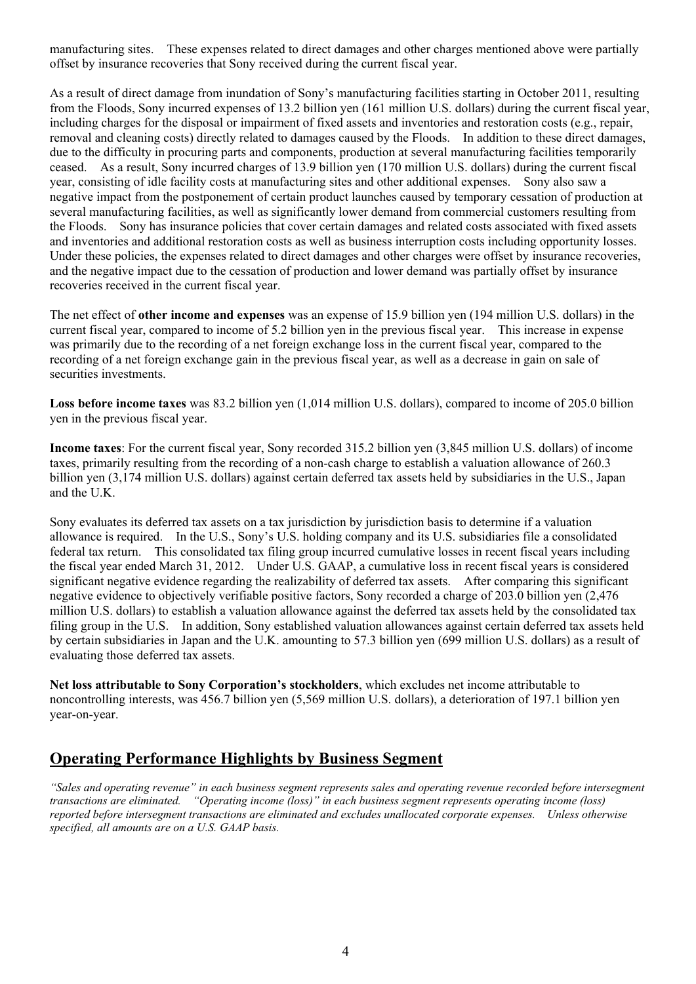manufacturing sites. These expenses related to direct damages and other charges mentioned above were partially offset by insurance recoveries that Sony received during the current fiscal year.

As a result of direct damage from inundation of Sony's manufacturing facilities starting in October 2011, resulting from the Floods, Sony incurred expenses of 13.2 billion yen (161 million U.S. dollars) during the current fiscal year, including charges for the disposal or impairment of fixed assets and inventories and restoration costs (e.g., repair, removal and cleaning costs) directly related to damages caused by the Floods. In addition to these direct damages, due to the difficulty in procuring parts and components, production at several manufacturing facilities temporarily ceased. As a result, Sony incurred charges of 13.9 billion yen (170 million U.S. dollars) during the current fiscal year, consisting of idle facility costs at manufacturing sites and other additional expenses. Sony also saw a negative impact from the postponement of certain product launches caused by temporary cessation of production at several manufacturing facilities, as well as significantly lower demand from commercial customers resulting from the Floods. Sony has insurance policies that cover certain damages and related costs associated with fixed assets and inventories and additional restoration costs as well as business interruption costs including opportunity losses. Under these policies, the expenses related to direct damages and other charges were offset by insurance recoveries, and the negative impact due to the cessation of production and lower demand was partially offset by insurance recoveries received in the current fiscal year.

The net effect of **other income and expenses** was an expense of 15.9 billion yen (194 million U.S. dollars) in the current fiscal year, compared to income of 5.2 billion yen in the previous fiscal year. This increase in expense was primarily due to the recording of a net foreign exchange loss in the current fiscal year, compared to the recording of a net foreign exchange gain in the previous fiscal year, as well as a decrease in gain on sale of securities investments.

**Loss before income taxes** was 83.2 billion yen (1,014 million U.S. dollars), compared to income of 205.0 billion yen in the previous fiscal year.

**Income taxes**: For the current fiscal year, Sony recorded 315.2 billion yen (3,845 million U.S. dollars) of income taxes, primarily resulting from the recording of a non-cash charge to establish a valuation allowance of 260.3 billion yen (3,174 million U.S. dollars) against certain deferred tax assets held by subsidiaries in the U.S., Japan and the U.K.

Sony evaluates its deferred tax assets on a tax jurisdiction by jurisdiction basis to determine if a valuation allowance is required. In the U.S., Sony's U.S. holding company and its U.S. subsidiaries file a consolidated federal tax return. This consolidated tax filing group incurred cumulative losses in recent fiscal years including the fiscal year ended March 31, 2012. Under U.S. GAAP, a cumulative loss in recent fiscal years is considered significant negative evidence regarding the realizability of deferred tax assets. After comparing this significant negative evidence to objectively verifiable positive factors, Sony recorded a charge of 203.0 billion yen (2,476 million U.S. dollars) to establish a valuation allowance against the deferred tax assets held by the consolidated tax filing group in the U.S. In addition, Sony established valuation allowances against certain deferred tax assets held by certain subsidiaries in Japan and the U.K. amounting to 57.3 billion yen (699 million U.S. dollars) as a result of evaluating those deferred tax assets.

**Net loss attributable to Sony Corporation's stockholders**, which excludes net income attributable to noncontrolling interests, was 456.7 billion yen (5,569 million U.S. dollars), a deterioration of 197.1 billion yen year-on-year.

## **Operating Performance Highlights by Business Segment**

*"Sales and operating revenue" in each business segment represents sales and operating revenue recorded before intersegment transactions are eliminated. "Operating income (loss)" in each business segment represents operating income (loss) reported before intersegment transactions are eliminated and excludes unallocated corporate expenses. Unless otherwise specified, all amounts are on a U.S. GAAP basis.*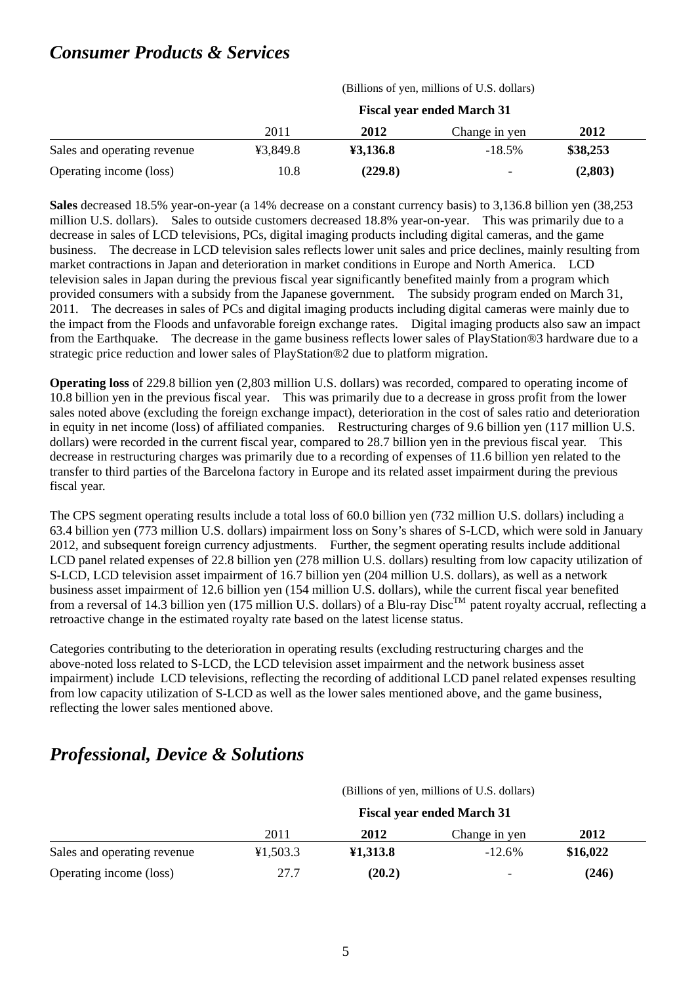# *Consumer Products & Services*

(Billions of yen, millions of U.S. dollars)

|                             | <b>Fiscal year ended March 31</b> |          |                          |          |  |
|-----------------------------|-----------------------------------|----------|--------------------------|----------|--|
|                             | 2011                              | 2012     | Change in yen            | 2012     |  |
| Sales and operating revenue | ¥3,849.8                          | 43,136.8 | $-18.5\%$                | \$38,253 |  |
| Operating income (loss)     | 10.8                              | (229.8)  | $\overline{\phantom{0}}$ | (2,803)  |  |

**Sales** decreased 18.5% year-on-year (a 14% decrease on a constant currency basis) to 3,136.8 billion yen (38,253 million U.S. dollars). Sales to outside customers decreased 18.8% year-on-year. This was primarily due to a decrease in sales of LCD televisions, PCs, digital imaging products including digital cameras, and the game business. The decrease in LCD television sales reflects lower unit sales and price declines, mainly resulting from market contractions in Japan and deterioration in market conditions in Europe and North America. LCD television sales in Japan during the previous fiscal year significantly benefited mainly from a program which provided consumers with a subsidy from the Japanese government. The subsidy program ended on March 31, 2011. The decreases in sales of PCs and digital imaging products including digital cameras were mainly due to the impact from the Floods and unfavorable foreign exchange rates. Digital imaging products also saw an impact from the Earthquake. The decrease in the game business reflects lower sales of PlayStation®3 hardware due to a strategic price reduction and lower sales of PlayStation®2 due to platform migration.

**Operating loss** of 229.8 billion yen (2,803 million U.S. dollars) was recorded, compared to operating income of 10.8 billion yen in the previous fiscal year. This was primarily due to a decrease in gross profit from the lower sales noted above (excluding the foreign exchange impact), deterioration in the cost of sales ratio and deterioration in equity in net income (loss) of affiliated companies. Restructuring charges of 9.6 billion yen (117 million U.S. dollars) were recorded in the current fiscal year, compared to 28.7 billion yen in the previous fiscal year. This decrease in restructuring charges was primarily due to a recording of expenses of 11.6 billion yen related to the transfer to third parties of the Barcelona factory in Europe and its related asset impairment during the previous fiscal year.

The CPS segment operating results include a total loss of 60.0 billion yen (732 million U.S. dollars) including a 63.4 billion yen (773 million U.S. dollars) impairment loss on Sony's shares of S-LCD, which were sold in January 2012, and subsequent foreign currency adjustments. Further, the segment operating results include additional LCD panel related expenses of 22.8 billion yen (278 million U.S. dollars) resulting from low capacity utilization of S-LCD, LCD television asset impairment of 16.7 billion yen (204 million U.S. dollars), as well as a network business asset impairment of 12.6 billion yen (154 million U.S. dollars), while the current fiscal year benefited from a reversal of 14.3 billion yen (175 million U.S. dollars) of a Blu-ray Disc<sup>TM</sup> patent royalty accrual, reflecting a retroactive change in the estimated royalty rate based on the latest license status.

Categories contributing to the deterioration in operating results (excluding restructuring charges and the above-noted loss related to S-LCD, the LCD television asset impairment and the network business asset impairment) include LCD televisions, reflecting the recording of additional LCD panel related expenses resulting from low capacity utilization of S-LCD as well as the lower sales mentioned above, and the game business, reflecting the lower sales mentioned above.

|                             | (Billions of yen, millions of U.S. dollars)<br><b>Fiscal year ended March 31</b> |          |                          |          |  |  |
|-----------------------------|----------------------------------------------------------------------------------|----------|--------------------------|----------|--|--|
|                             |                                                                                  |          |                          |          |  |  |
|                             | 2011                                                                             | 2012     | Change in yen            | 2012     |  |  |
| Sales and operating revenue | ¥1,503.3                                                                         | ¥1,313.8 | $-12.6\%$                | \$16,022 |  |  |
| Operating income (loss)     | 27.7                                                                             | (20.2)   | $\overline{\phantom{0}}$ | (246)    |  |  |

# *Professional, Device & Solutions*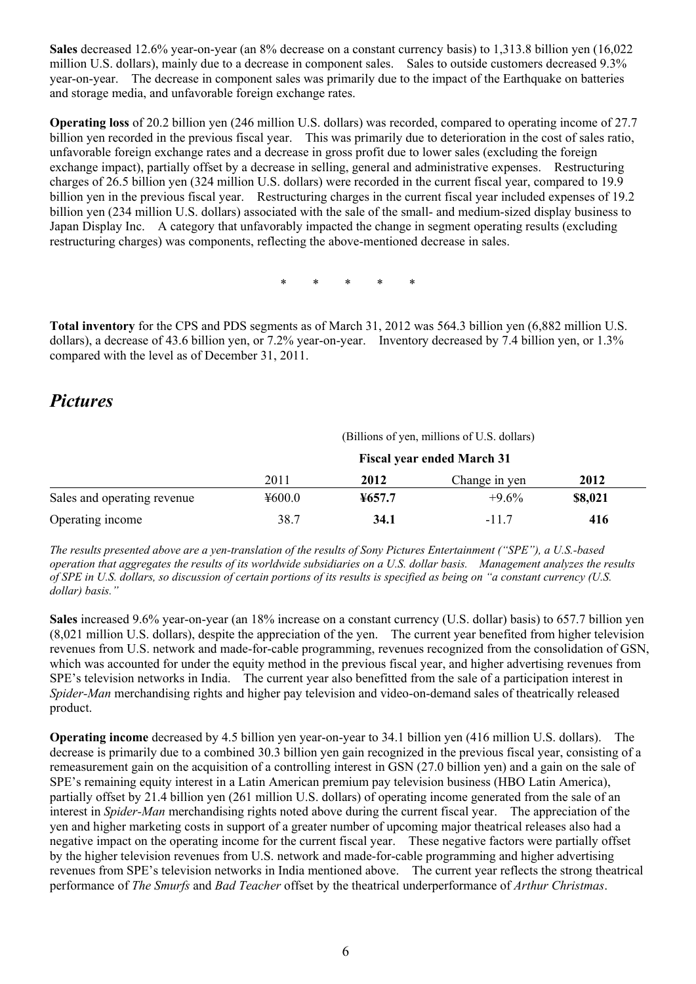**Sales** decreased 12.6% year-on-year (an 8% decrease on a constant currency basis) to 1,313.8 billion yen (16,022 million U.S. dollars), mainly due to a decrease in component sales. Sales to outside customers decreased 9.3% year-on-year. The decrease in component sales was primarily due to the impact of the Earthquake on batteries and storage media, and unfavorable foreign exchange rates.

**Operating loss** of 20.2 billion yen (246 million U.S. dollars) was recorded, compared to operating income of 27.7 billion yen recorded in the previous fiscal year. This was primarily due to deterioration in the cost of sales ratio, unfavorable foreign exchange rates and a decrease in gross profit due to lower sales (excluding the foreign exchange impact), partially offset by a decrease in selling, general and administrative expenses. Restructuring charges of 26.5 billion yen (324 million U.S. dollars) were recorded in the current fiscal year, compared to 19.9 billion yen in the previous fiscal year. Restructuring charges in the current fiscal year included expenses of 19.2 billion yen (234 million U.S. dollars) associated with the sale of the small- and medium-sized display business to Japan Display Inc. A category that unfavorably impacted the change in segment operating results (excluding restructuring charges) was components, reflecting the above-mentioned decrease in sales.

\* \* \* \* \*

**Total inventory** for the CPS and PDS segments as of March 31, 2012 was 564.3 billion yen (6,882 million U.S. dollars), a decrease of 43.6 billion yen, or 7.2% year-on-year. Inventory decreased by 7.4 billion yen, or 1.3% compared with the level as of December 31, 2011.

# *Pictures*

(Billions of yen, millions of U.S. dollars)

|                             | <b>Fiscal year ended March 31</b> |        |               |         |  |  |
|-----------------------------|-----------------------------------|--------|---------------|---------|--|--|
|                             | 2011                              | 2012   | Change in yen | 2012    |  |  |
| Sales and operating revenue | ¥600.0                            | ¥657.7 | $+9.6\%$      | \$8,021 |  |  |
| Operating income            | 38.7                              | 34.1   | $-117$        | 416     |  |  |

*The results presented above are a yen-translation of the results of Sony Pictures Entertainment ("SPE"), a U.S.-based operation that aggregates the results of its worldwide subsidiaries on a U.S. dollar basis. Management analyzes the results of SPE in U.S. dollars, so discussion of certain portions of its results is specified as being on "a constant currency (U.S. dollar) basis."* 

**Sales** increased 9.6% year-on-year (an 18% increase on a constant currency (U.S. dollar) basis) to 657.7 billion yen (8,021 million U.S. dollars), despite the appreciation of the yen. The current year benefited from higher television revenues from U.S. network and made-for-cable programming, revenues recognized from the consolidation of GSN, which was accounted for under the equity method in the previous fiscal year, and higher advertising revenues from SPE's television networks in India. The current year also benefitted from the sale of a participation interest in *Spider-Man* merchandising rights and higher pay television and video-on-demand sales of theatrically released product.

**Operating income** decreased by 4.5 billion yen year-on-year to 34.1 billion yen (416 million U.S. dollars). The decrease is primarily due to a combined 30.3 billion yen gain recognized in the previous fiscal year, consisting of a remeasurement gain on the acquisition of a controlling interest in GSN (27.0 billion yen) and a gain on the sale of SPE's remaining equity interest in a Latin American premium pay television business (HBO Latin America), partially offset by 21.4 billion yen (261 million U.S. dollars) of operating income generated from the sale of an interest in *Spider-Man* merchandising rights noted above during the current fiscal year. The appreciation of the yen and higher marketing costs in support of a greater number of upcoming major theatrical releases also had a negative impact on the operating income for the current fiscal year. These negative factors were partially offset by the higher television revenues from U.S. network and made-for-cable programming and higher advertising revenues from SPE's television networks in India mentioned above. The current year reflects the strong theatrical performance of *The Smurfs* and *Bad Teacher* offset by the theatrical underperformance of *Arthur Christmas*.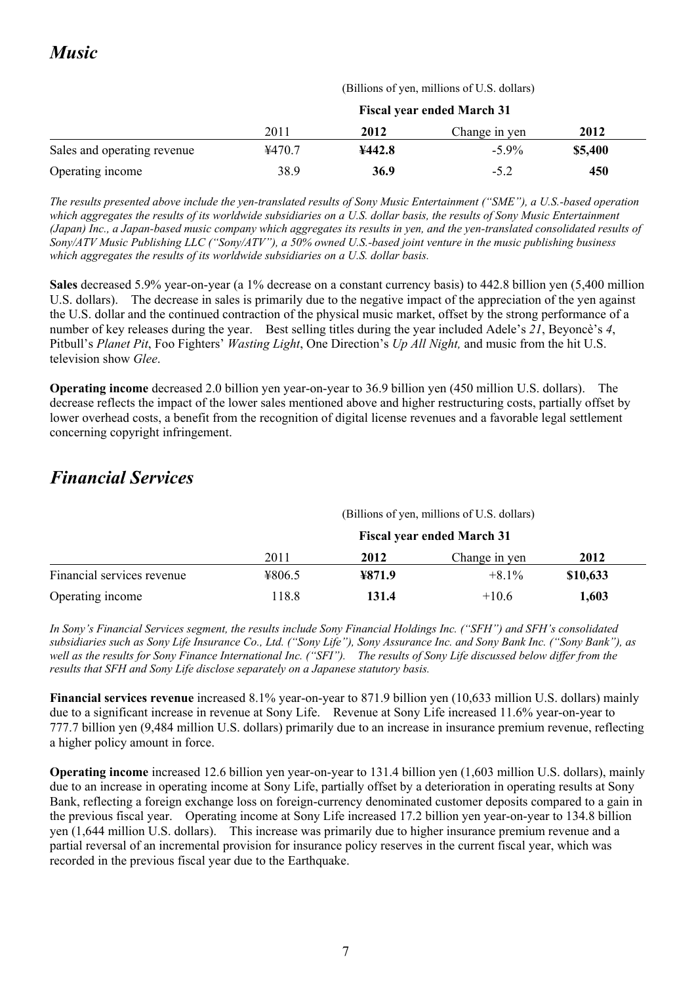# *Music*

(Billions of yen, millions of U.S. dollars)

|                             | <b>Fiscal year ended March 31</b> |        |               |         |  |  |
|-----------------------------|-----------------------------------|--------|---------------|---------|--|--|
|                             | 2011                              | 2012   | Change in yen | 2012    |  |  |
| Sales and operating revenue | 4470.7                            | ¥442.8 | $-5.9\%$      | \$5,400 |  |  |
| Operating income            | 38.9                              | 36.9   | $-5.2$        | 450     |  |  |

*The results presented above include the yen-translated results of Sony Music Entertainment ("SME"), a U.S.-based operation which aggregates the results of its worldwide subsidiaries on a U.S. dollar basis, the results of Sony Music Entertainment (Japan) Inc., a Japan-based music company which aggregates its results in yen, and the yen-translated consolidated results of Sony/ATV Music Publishing LLC ("Sony/ATV"), a 50% owned U.S.-based joint venture in the music publishing business which aggregates the results of its worldwide subsidiaries on a U.S. dollar basis.* 

**Sales** decreased 5.9% year-on-year (a 1% decrease on a constant currency basis) to 442.8 billion yen (5.400 million U.S. dollars). The decrease in sales is primarily due to the negative impact of the appreciation of the yen against the U.S. dollar and the continued contraction of the physical music market, offset by the strong performance of a number of key releases during the year. Best selling titles during the year included Adele's *21*, Beyoncè's *4*, Pitbull's *Planet Pit*, Foo Fighters' *Wasting Light*, One Direction's *Up All Night,* and music from the hit U.S. television show *Glee*.

**Operating income** decreased 2.0 billion yen year-on-year to 36.9 billion yen (450 million U.S. dollars). The decrease reflects the impact of the lower sales mentioned above and higher restructuring costs, partially offset by lower overhead costs, a benefit from the recognition of digital license revenues and a favorable legal settlement concerning copyright infringement.

# *Financial Services*

(Billions of yen, millions of U.S. dollars)

|                            | <b>Fiscal year ended March 31</b> |        |               |          |  |  |
|----------------------------|-----------------------------------|--------|---------------|----------|--|--|
|                            | 2011                              | 2012   | Change in yen | 2012     |  |  |
| Financial services revenue | ¥806.5                            | ¥871.9 | $+8.1\%$      | \$10,633 |  |  |
| Operating income           | 118.8                             | 131.4  | $+106$        | 1,603    |  |  |

*In Sony's Financial Services segment, the results include Sony Financial Holdings Inc. ("SFH") and SFH's consolidated subsidiaries such as Sony Life Insurance Co., Ltd. ("Sony Life"), Sony Assurance Inc. and Sony Bank Inc. ("Sony Bank"), as well as the results for Sony Finance International Inc. ("SFI"). The results of Sony Life discussed below differ from the results that SFH and Sony Life disclose separately on a Japanese statutory basis.* 

**Financial services revenue** increased 8.1% year-on-year to 871.9 billion yen (10,633 million U.S. dollars) mainly due to a significant increase in revenue at Sony Life. Revenue at Sony Life increased 11.6% year-on-year to 777.7 billion yen (9,484 million U.S. dollars) primarily due to an increase in insurance premium revenue, reflecting a higher policy amount in force.

**Operating income** increased 12.6 billion yen year-on-year to 131.4 billion yen (1,603 million U.S. dollars), mainly due to an increase in operating income at Sony Life, partially offset by a deterioration in operating results at Sony Bank, reflecting a foreign exchange loss on foreign-currency denominated customer deposits compared to a gain in the previous fiscal year. Operating income at Sony Life increased 17.2 billion yen year-on-year to 134.8 billion yen (1,644 million U.S. dollars). This increase was primarily due to higher insurance premium revenue and a partial reversal of an incremental provision for insurance policy reserves in the current fiscal year, which was recorded in the previous fiscal year due to the Earthquake.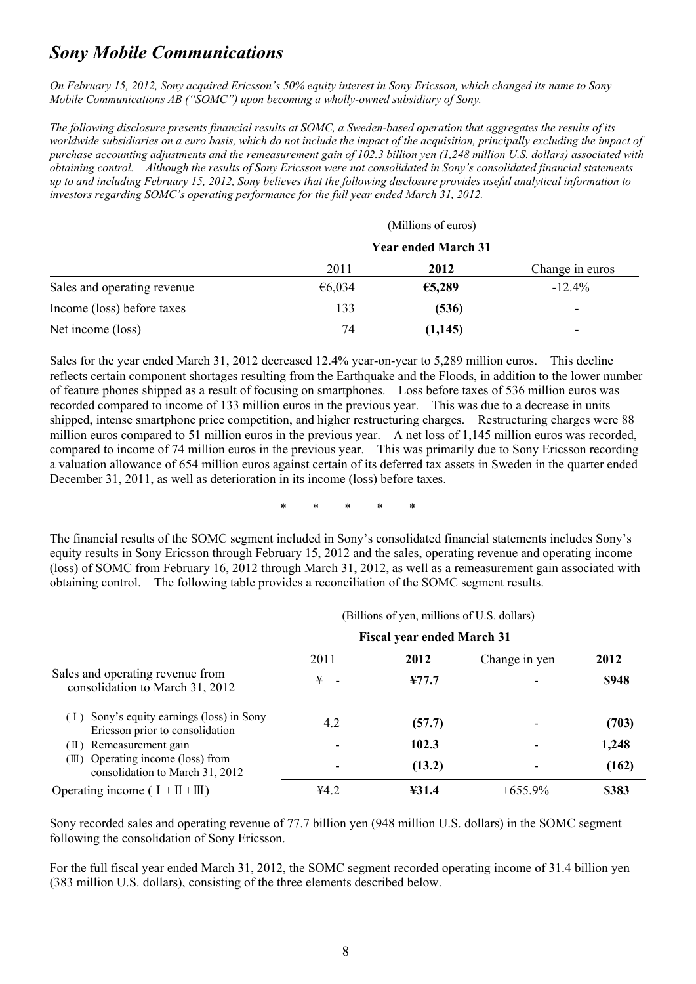# *Sony Mobile Communications*

*On February 15, 2012, Sony acquired Ericsson's 50% equity interest in Sony Ericsson, which changed its name to Sony Mobile Communications AB ("SOMC") upon becoming a wholly-owned subsidiary of Sony.* 

*The following disclosure presents financial results at SOMC, a Sweden-based operation that aggregates the results of its worldwide subsidiaries on a euro basis, which do not include the impact of the acquisition, principally excluding the impact of purchase accounting adjustments and the remeasurement gain of 102.3 billion yen (1,248 million U.S. dollars) associated with obtaining control. Although the results of Sony Ericsson were not consolidated in Sony's consolidated financial statements up to and including February 15, 2012, Sony believes that the following disclosure provides useful analytical information to investors regarding SOMC's operating performance for the full year ended March 31, 2012.* 

|                             |                            | (Millions of euros) |                          |  |  |
|-----------------------------|----------------------------|---------------------|--------------------------|--|--|
|                             | <b>Year ended March 31</b> |                     |                          |  |  |
|                             | 2011                       | 2012                | Change in euros          |  |  |
| Sales and operating revenue | € $6,034$                  | €5,289              | $-12.4%$                 |  |  |
| Income (loss) before taxes  | 133                        | (536)               | $\overline{\phantom{0}}$ |  |  |
| Net income (loss)           | 74                         | (1,145)             | $\overline{\phantom{0}}$ |  |  |

Sales for the year ended March 31, 2012 decreased 12.4% year-on-year to 5,289 million euros. This decline reflects certain component shortages resulting from the Earthquake and the Floods, in addition to the lower number of feature phones shipped as a result of focusing on smartphones. Loss before taxes of 536 million euros was recorded compared to income of 133 million euros in the previous year. This was due to a decrease in units shipped, intense smartphone price competition, and higher restructuring charges. Restructuring charges were 88 million euros compared to 51 million euros in the previous year. A net loss of 1,145 million euros was recorded, compared to income of 74 million euros in the previous year. This was primarily due to Sony Ericsson recording a valuation allowance of 654 million euros against certain of its deferred tax assets in Sweden in the quarter ended December 31, 2011, as well as deterioration in its income (loss) before taxes.

\* \* \* \* \*

The financial results of the SOMC segment included in Sony's consolidated financial statements includes Sony's equity results in Sony Ericsson through February 15, 2012 and the sales, operating revenue and operating income (loss) of SOMC from February 16, 2012 through March 31, 2012, as well as a remeasurement gain associated with obtaining control. The following table provides a reconciliation of the SOMC segment results.

|                                                                                 | <b>Fiscal year ended March 31</b> |        |               |              |
|---------------------------------------------------------------------------------|-----------------------------------|--------|---------------|--------------|
|                                                                                 | 2011                              | 2012   | Change in yen | 2012         |
| Sales and operating revenue from<br>consolidation to March 31, 2012             | ¥<br>$\sim$                       | 477.7  |               | <b>\$948</b> |
| (I) Sony's equity earnings (loss) in Sony<br>Ericsson prior to consolidation    | 4.2                               | (57.7) |               | (703)        |
| Remeasurement gain<br>(II)                                                      |                                   | 102.3  |               | 1,248        |
| $(\mathbb{II})$ Operating income (loss) from<br>consolidation to March 31, 2012 |                                   | (13.2) |               | (162)        |
| Operating income ( $I + II + III$ )                                             | 44.2                              | ¥31.4  | $+655.9\%$    | \$383        |

Sony recorded sales and operating revenue of 77.7 billion yen (948 million U.S. dollars) in the SOMC segment following the consolidation of Sony Ericsson.

For the full fiscal year ended March 31, 2012, the SOMC segment recorded operating income of 31.4 billion yen (383 million U.S. dollars), consisting of the three elements described below.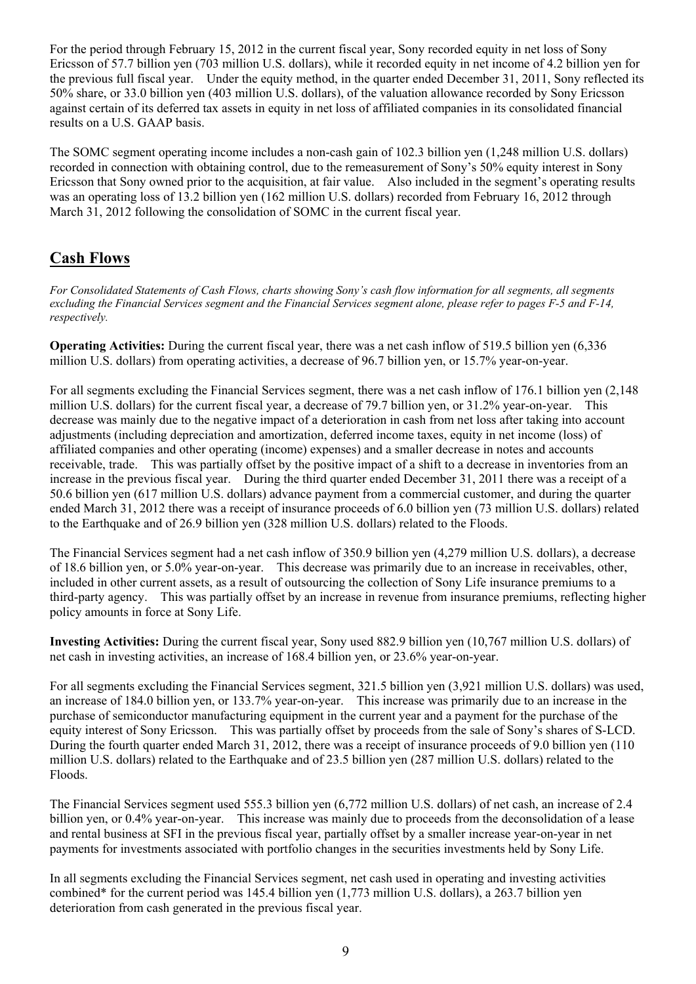For the period through February 15, 2012 in the current fiscal year, Sony recorded equity in net loss of Sony Ericsson of 57.7 billion yen (703 million U.S. dollars), while it recorded equity in net income of 4.2 billion yen for the previous full fiscal year. Under the equity method, in the quarter ended December 31, 2011, Sony reflected its 50% share, or 33.0 billion yen (403 million U.S. dollars), of the valuation allowance recorded by Sony Ericsson against certain of its deferred tax assets in equity in net loss of affiliated companies in its consolidated financial results on a U.S. GAAP basis.

The SOMC segment operating income includes a non-cash gain of 102.3 billion yen (1,248 million U.S. dollars) recorded in connection with obtaining control, due to the remeasurement of Sony's 50% equity interest in Sony Ericsson that Sony owned prior to the acquisition, at fair value. Also included in the segment's operating results was an operating loss of 13.2 billion yen (162 million U.S. dollars) recorded from February 16, 2012 through March 31, 2012 following the consolidation of SOMC in the current fiscal year.

## **Cash Flows**

*For Consolidated Statements of Cash Flows, charts showing Sony's cash flow information for all segments, all segments excluding the Financial Services segment and the Financial Services segment alone, please refer to pages F-5 and F-14, respectively.* 

**Operating Activities:** During the current fiscal year, there was a net cash inflow of 519.5 billion yen (6,336 million U.S. dollars) from operating activities, a decrease of 96.7 billion yen, or 15.7% year-on-year.

For all segments excluding the Financial Services segment, there was a net cash inflow of 176.1 billion yen (2,148 million U.S. dollars) for the current fiscal year, a decrease of 79.7 billion yen, or 31.2% year-on-year. This decrease was mainly due to the negative impact of a deterioration in cash from net loss after taking into account adjustments (including depreciation and amortization, deferred income taxes, equity in net income (loss) of affiliated companies and other operating (income) expenses) and a smaller decrease in notes and accounts receivable, trade. This was partially offset by the positive impact of a shift to a decrease in inventories from an increase in the previous fiscal year. During the third quarter ended December 31, 2011 there was a receipt of a 50.6 billion yen (617 million U.S. dollars) advance payment from a commercial customer, and during the quarter ended March 31, 2012 there was a receipt of insurance proceeds of 6.0 billion yen (73 million U.S. dollars) related to the Earthquake and of 26.9 billion yen (328 million U.S. dollars) related to the Floods.

The Financial Services segment had a net cash inflow of 350.9 billion yen (4,279 million U.S. dollars), a decrease of 18.6 billion yen, or 5.0% year-on-year. This decrease was primarily due to an increase in receivables, other, included in other current assets, as a result of outsourcing the collection of Sony Life insurance premiums to a third-party agency. This was partially offset by an increase in revenue from insurance premiums, reflecting higher policy amounts in force at Sony Life.

**Investing Activities:** During the current fiscal year, Sony used 882.9 billion yen (10,767 million U.S. dollars) of net cash in investing activities, an increase of 168.4 billion yen, or 23.6% year-on-year.

For all segments excluding the Financial Services segment, 321.5 billion yen (3,921 million U.S. dollars) was used, an increase of 184.0 billion yen, or 133.7% year-on-year. This increase was primarily due to an increase in the purchase of semiconductor manufacturing equipment in the current year and a payment for the purchase of the equity interest of Sony Ericsson. This was partially offset by proceeds from the sale of Sony's shares of S-LCD. During the fourth quarter ended March 31, 2012, there was a receipt of insurance proceeds of 9.0 billion yen (110 million U.S. dollars) related to the Earthquake and of 23.5 billion yen (287 million U.S. dollars) related to the Floods.

The Financial Services segment used 555.3 billion yen (6,772 million U.S. dollars) of net cash, an increase of 2.4 billion yen, or 0.4% year-on-year. This increase was mainly due to proceeds from the deconsolidation of a lease and rental business at SFI in the previous fiscal year, partially offset by a smaller increase year-on-year in net payments for investments associated with portfolio changes in the securities investments held by Sony Life.

In all segments excluding the Financial Services segment, net cash used in operating and investing activities combined\* for the current period was 145.4 billion yen (1,773 million U.S. dollars), a 263.7 billion yen deterioration from cash generated in the previous fiscal year.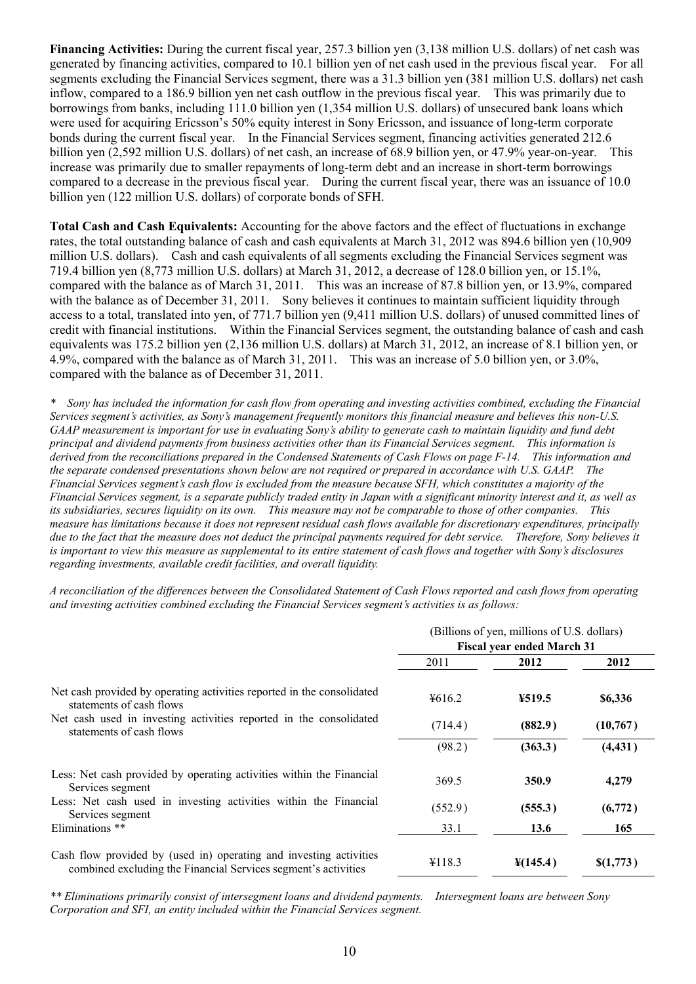**Financing Activities:** During the current fiscal year, 257.3 billion yen (3,138 million U.S. dollars) of net cash was generated by financing activities, compared to 10.1 billion yen of net cash used in the previous fiscal year. For all segments excluding the Financial Services segment, there was a 31.3 billion yen (381 million U.S. dollars) net cash inflow, compared to a 186.9 billion yen net cash outflow in the previous fiscal year. This was primarily due to borrowings from banks, including 111.0 billion yen (1,354 million U.S. dollars) of unsecured bank loans which were used for acquiring Ericsson's 50% equity interest in Sony Ericsson, and issuance of long-term corporate bonds during the current fiscal year. In the Financial Services segment, financing activities generated 212.6 billion yen (2,592 million U.S. dollars) of net cash, an increase of 68.9 billion yen, or 47.9% year-on-year. This increase was primarily due to smaller repayments of long-term debt and an increase in short-term borrowings compared to a decrease in the previous fiscal year. During the current fiscal year, there was an issuance of 10.0 billion yen (122 million U.S. dollars) of corporate bonds of SFH.

**Total Cash and Cash Equivalents:** Accounting for the above factors and the effect of fluctuations in exchange rates, the total outstanding balance of cash and cash equivalents at March 31, 2012 was 894.6 billion yen (10,909 million U.S. dollars). Cash and cash equivalents of all segments excluding the Financial Services segment was 719.4 billion yen (8,773 million U.S. dollars) at March 31, 2012, a decrease of 128.0 billion yen, or 15.1%, compared with the balance as of March 31, 2011. This was an increase of 87.8 billion yen, or 13.9%, compared with the balance as of December 31, 2011. Sony believes it continues to maintain sufficient liquidity through access to a total, translated into yen, of 771.7 billion yen (9,411 million U.S. dollars) of unused committed lines of credit with financial institutions. Within the Financial Services segment, the outstanding balance of cash and cash equivalents was 175.2 billion yen (2,136 million U.S. dollars) at March 31, 2012, an increase of 8.1 billion yen, or 4.9%, compared with the balance as of March 31, 2011. This was an increase of 5.0 billion yen, or 3.0%, compared with the balance as of December 31, 2011.

*\* Sony has included the information for cash flow from operating and investing activities combined, excluding the Financial Services segment's activities, as Sony's management frequently monitors this financial measure and believes this non-U.S. GAAP measurement is important for use in evaluating Sony's ability to generate cash to maintain liquidity and fund debt principal and dividend payments from business activities other than its Financial Services segment. This information is derived from the reconciliations prepared in the Condensed Statements of Cash Flows on page F-14. This information and the separate condensed presentations shown below are not required or prepared in accordance with U.S. GAAP. The Financial Services segment's cash flow is excluded from the measure because SFH, which constitutes a majority of the Financial Services segment, is a separate publicly traded entity in Japan with a significant minority interest and it, as well as its subsidiaries, secures liquidity on its own. This measure may not be comparable to those of other companies. This measure has limitations because it does not represent residual cash flows available for discretionary expenditures, principally due to the fact that the measure does not deduct the principal payments required for debt service. Therefore, Sony believes it is important to view this measure as supplemental to its entire statement of cash flows and together with Sony's disclosures regarding investments, available credit facilities, and overall liquidity.* 

*A reconciliation of the differences between the Consolidated Statement of Cash Flows reported and cash flows from operating and investing activities combined excluding the Financial Services segment's activities is as follows:* 

|                                                                                                                                      | (Billions of yen, millions of U.S. dollars)<br><b>Fiscal year ended March 31</b> |                      |           |
|--------------------------------------------------------------------------------------------------------------------------------------|----------------------------------------------------------------------------------|----------------------|-----------|
|                                                                                                                                      | 2011                                                                             | 2012                 | 2012      |
| Net cash provided by operating activities reported in the consolidated<br>statements of cash flows                                   | ¥616.2                                                                           | ¥519.5               | \$6,336   |
| Net cash used in investing activities reported in the consolidated<br>statements of cash flows                                       | (714.4)                                                                          | (882.9)              | (10,767)  |
|                                                                                                                                      | (98.2)                                                                           | (363.3)              | (4, 431)  |
| Less: Net cash provided by operating activities within the Financial<br>Services segment                                             | 369.5                                                                            | 350.9                | 4,279     |
| Less: Net cash used in investing activities within the Financial<br>Services segment                                                 | (552.9)                                                                          | (555.3)              | (6,772)   |
| Eliminations **                                                                                                                      | 33.1                                                                             | 13.6                 | 165       |
| Cash flow provided by (used in) operating and investing activities<br>combined excluding the Financial Services segment's activities | ¥118.3                                                                           | $\frac{1}{2}(145.4)$ | \$(1,773) |

*\*\* Eliminations primarily consist of intersegment loans and dividend payments. Intersegment loans are between Sony Corporation and SFI, an entity included within the Financial Services segment.*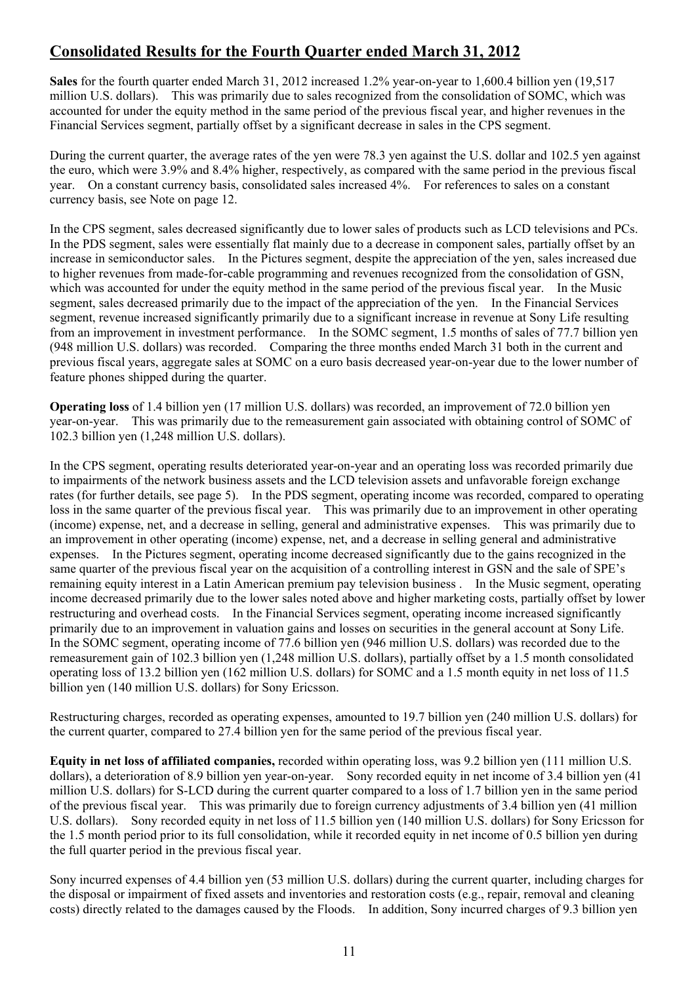## **Consolidated Results for the Fourth Quarter ended March 31, 2012**

**Sales** for the fourth quarter ended March 31, 2012 increased 1.2% year-on-year to 1,600.4 billion yen (19,517 million U.S. dollars). This was primarily due to sales recognized from the consolidation of SOMC, which was accounted for under the equity method in the same period of the previous fiscal year, and higher revenues in the Financial Services segment, partially offset by a significant decrease in sales in the CPS segment.

During the current quarter, the average rates of the yen were 78.3 yen against the U.S. dollar and 102.5 yen against the euro, which were 3.9% and 8.4% higher, respectively, as compared with the same period in the previous fiscal year. On a constant currency basis, consolidated sales increased 4%. For references to sales on a constant currency basis, see Note on page 12.

In the CPS segment, sales decreased significantly due to lower sales of products such as LCD televisions and PCs. In the PDS segment, sales were essentially flat mainly due to a decrease in component sales, partially offset by an increase in semiconductor sales. In the Pictures segment, despite the appreciation of the yen, sales increased due to higher revenues from made-for-cable programming and revenues recognized from the consolidation of GSN, which was accounted for under the equity method in the same period of the previous fiscal year. In the Music segment, sales decreased primarily due to the impact of the appreciation of the yen. In the Financial Services segment, revenue increased significantly primarily due to a significant increase in revenue at Sony Life resulting from an improvement in investment performance. In the SOMC segment, 1.5 months of sales of 77.7 billion yen (948 million U.S. dollars) was recorded. Comparing the three months ended March 31 both in the current and previous fiscal years, aggregate sales at SOMC on a euro basis decreased year-on-year due to the lower number of feature phones shipped during the quarter.

**Operating loss** of 1.4 billion yen (17 million U.S. dollars) was recorded, an improvement of 72.0 billion yen year-on-year. This was primarily due to the remeasurement gain associated with obtaining control of SOMC of 102.3 billion yen (1,248 million U.S. dollars).

In the CPS segment, operating results deteriorated year-on-year and an operating loss was recorded primarily due to impairments of the network business assets and the LCD television assets and unfavorable foreign exchange rates (for further details, see page 5). In the PDS segment, operating income was recorded, compared to operating loss in the same quarter of the previous fiscal year. This was primarily due to an improvement in other operating (income) expense, net, and a decrease in selling, general and administrative expenses. This was primarily due to an improvement in other operating (income) expense, net, and a decrease in selling general and administrative expenses. In the Pictures segment, operating income decreased significantly due to the gains recognized in the same quarter of the previous fiscal year on the acquisition of a controlling interest in GSN and the sale of SPE's remaining equity interest in a Latin American premium pay television business . In the Music segment, operating income decreased primarily due to the lower sales noted above and higher marketing costs, partially offset by lower restructuring and overhead costs. In the Financial Services segment, operating income increased significantly primarily due to an improvement in valuation gains and losses on securities in the general account at Sony Life. In the SOMC segment, operating income of 77.6 billion yen (946 million U.S. dollars) was recorded due to the remeasurement gain of 102.3 billion yen (1,248 million U.S. dollars), partially offset by a 1.5 month consolidated operating loss of 13.2 billion yen (162 million U.S. dollars) for SOMC and a 1.5 month equity in net loss of 11.5 billion yen (140 million U.S. dollars) for Sony Ericsson.

Restructuring charges, recorded as operating expenses, amounted to 19.7 billion yen (240 million U.S. dollars) for the current quarter, compared to 27.4 billion yen for the same period of the previous fiscal year.

**Equity in net loss of affiliated companies,** recorded within operating loss, was 9.2 billion yen (111 million U.S. dollars), a deterioration of 8.9 billion yen year-on-year. Sony recorded equity in net income of 3.4 billion yen (41 million U.S. dollars) for S-LCD during the current quarter compared to a loss of 1.7 billion yen in the same period of the previous fiscal year. This was primarily due to foreign currency adjustments of 3.4 billion yen (41 million U.S. dollars). Sony recorded equity in net loss of 11.5 billion yen (140 million U.S. dollars) for Sony Ericsson for the 1.5 month period prior to its full consolidation, while it recorded equity in net income of 0.5 billion yen during the full quarter period in the previous fiscal year.

Sony incurred expenses of 4.4 billion yen (53 million U.S. dollars) during the current quarter, including charges for the disposal or impairment of fixed assets and inventories and restoration costs (e.g., repair, removal and cleaning costs) directly related to the damages caused by the Floods. In addition, Sony incurred charges of 9.3 billion yen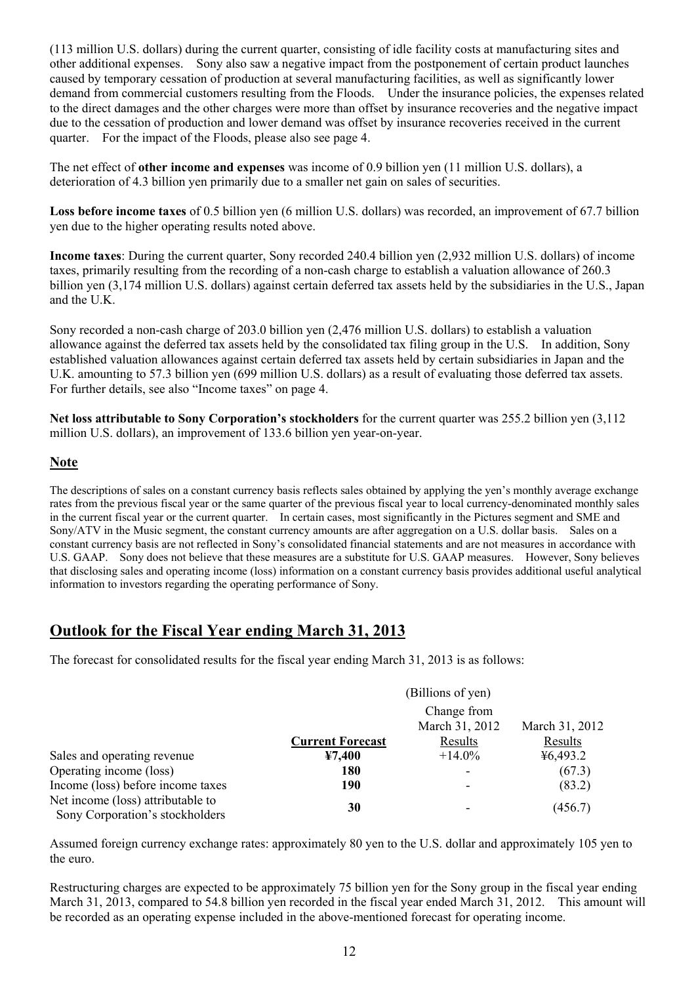(113 million U.S. dollars) during the current quarter, consisting of idle facility costs at manufacturing sites and other additional expenses. Sony also saw a negative impact from the postponement of certain product launches caused by temporary cessation of production at several manufacturing facilities, as well as significantly lower demand from commercial customers resulting from the Floods. Under the insurance policies, the expenses related to the direct damages and the other charges were more than offset by insurance recoveries and the negative impact due to the cessation of production and lower demand was offset by insurance recoveries received in the current quarter. For the impact of the Floods, please also see page 4.

The net effect of **other income and expenses** was income of 0.9 billion yen (11 million U.S. dollars), a deterioration of 4.3 billion yen primarily due to a smaller net gain on sales of securities.

**Loss before income taxes** of 0.5 billion yen (6 million U.S. dollars) was recorded, an improvement of 67.7 billion yen due to the higher operating results noted above.

**Income taxes**: During the current quarter, Sony recorded 240.4 billion yen (2,932 million U.S. dollars) of income taxes, primarily resulting from the recording of a non-cash charge to establish a valuation allowance of 260.3 billion yen (3,174 million U.S. dollars) against certain deferred tax assets held by the subsidiaries in the U.S., Japan and the U.K.

Sony recorded a non-cash charge of 203.0 billion yen (2,476 million U.S. dollars) to establish a valuation allowance against the deferred tax assets held by the consolidated tax filing group in the U.S. In addition, Sony established valuation allowances against certain deferred tax assets held by certain subsidiaries in Japan and the U.K. amounting to 57.3 billion yen (699 million U.S. dollars) as a result of evaluating those deferred tax assets. For further details, see also "Income taxes" on page 4.

**Net loss attributable to Sony Corporation's stockholders** for the current quarter was 255.2 billion yen (3,112 million U.S. dollars), an improvement of 133.6 billion yen year-on-year.

## **Note**

The descriptions of sales on a constant currency basis reflects sales obtained by applying the yen's monthly average exchange rates from the previous fiscal year or the same quarter of the previous fiscal year to local currency-denominated monthly sales in the current fiscal year or the current quarter. In certain cases, most significantly in the Pictures segment and SME and Sony/ATV in the Music segment, the constant currency amounts are after aggregation on a U.S. dollar basis. Sales on a constant currency basis are not reflected in Sony's consolidated financial statements and are not measures in accordance with U.S. GAAP. Sony does not believe that these measures are a substitute for U.S. GAAP measures. However, Sony believes that disclosing sales and operating income (loss) information on a constant currency basis provides additional useful analytical information to investors regarding the operating performance of Sony.

## **Outlook for the Fiscal Year ending March 31, 2013**

The forecast for consolidated results for the fiscal year ending March 31, 2013 is as follows:

|                                                                      | (Billions of yen)       |                           |                           |  |
|----------------------------------------------------------------------|-------------------------|---------------------------|---------------------------|--|
|                                                                      |                         |                           |                           |  |
|                                                                      | <b>Current Forecast</b> | March 31, 2012<br>Results | March 31, 2012<br>Results |  |
| Sales and operating revenue                                          | 47,400                  | $+14.0\%$                 | 46,493.2                  |  |
| Operating income (loss)                                              | <b>180</b>              |                           | (67.3)                    |  |
| Income (loss) before income taxes                                    | 190                     |                           | (83.2)                    |  |
| Net income (loss) attributable to<br>Sony Corporation's stockholders | 30                      |                           | (456.7)                   |  |

Assumed foreign currency exchange rates: approximately 80 yen to the U.S. dollar and approximately 105 yen to the euro.

Restructuring charges are expected to be approximately 75 billion yen for the Sony group in the fiscal year ending March 31, 2013, compared to 54.8 billion yen recorded in the fiscal year ended March 31, 2012. This amount will be recorded as an operating expense included in the above-mentioned forecast for operating income.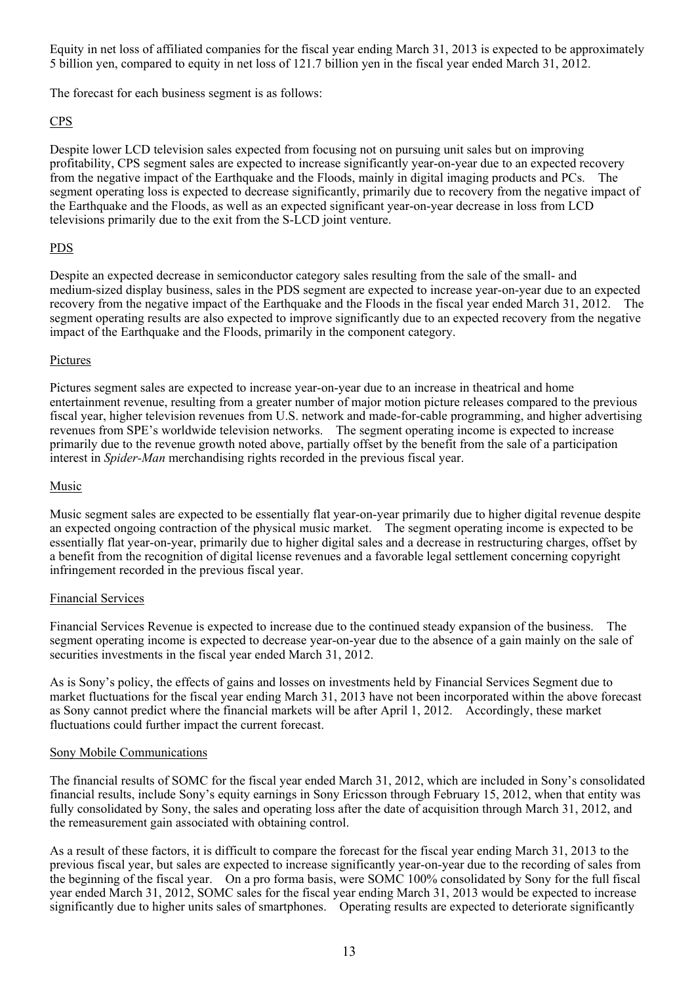Equity in net loss of affiliated companies for the fiscal year ending March 31, 2013 is expected to be approximately 5 billion yen, compared to equity in net loss of 121.7 billion yen in the fiscal year ended March 31, 2012.

The forecast for each business segment is as follows:

## CPS

Despite lower LCD television sales expected from focusing not on pursuing unit sales but on improving profitability, CPS segment sales are expected to increase significantly year-on-year due to an expected recovery from the negative impact of the Earthquake and the Floods, mainly in digital imaging products and PCs. The segment operating loss is expected to decrease significantly, primarily due to recovery from the negative impact of the Earthquake and the Floods, as well as an expected significant year-on-year decrease in loss from LCD televisions primarily due to the exit from the S-LCD joint venture.

## PDS

Despite an expected decrease in semiconductor category sales resulting from the sale of the small- and medium-sized display business, sales in the PDS segment are expected to increase year-on-year due to an expected recovery from the negative impact of the Earthquake and the Floods in the fiscal year ended March 31, 2012. The segment operating results are also expected to improve significantly due to an expected recovery from the negative impact of the Earthquake and the Floods, primarily in the component category.

### Pictures

Pictures segment sales are expected to increase year-on-year due to an increase in theatrical and home entertainment revenue, resulting from a greater number of major motion picture releases compared to the previous fiscal year, higher television revenues from U.S. network and made-for-cable programming, and higher advertising revenues from SPE's worldwide television networks. The segment operating income is expected to increase primarily due to the revenue growth noted above, partially offset by the benefit from the sale of a participation interest in *Spider-Man* merchandising rights recorded in the previous fiscal year.

### Music

Music segment sales are expected to be essentially flat year-on-year primarily due to higher digital revenue despite an expected ongoing contraction of the physical music market. The segment operating income is expected to be essentially flat year-on-year, primarily due to higher digital sales and a decrease in restructuring charges, offset by a benefit from the recognition of digital license revenues and a favorable legal settlement concerning copyright infringement recorded in the previous fiscal year.

### Financial Services

Financial Services Revenue is expected to increase due to the continued steady expansion of the business. The segment operating income is expected to decrease year-on-year due to the absence of a gain mainly on the sale of securities investments in the fiscal year ended March 31, 2012.

As is Sony's policy, the effects of gains and losses on investments held by Financial Services Segment due to market fluctuations for the fiscal year ending March 31, 2013 have not been incorporated within the above forecast as Sony cannot predict where the financial markets will be after April 1, 2012. Accordingly, these market fluctuations could further impact the current forecast.

### Sony Mobile Communications

The financial results of SOMC for the fiscal year ended March 31, 2012, which are included in Sony's consolidated financial results, include Sony's equity earnings in Sony Ericsson through February 15, 2012, when that entity was fully consolidated by Sony, the sales and operating loss after the date of acquisition through March 31, 2012, and the remeasurement gain associated with obtaining control.

As a result of these factors, it is difficult to compare the forecast for the fiscal year ending March 31, 2013 to the previous fiscal year, but sales are expected to increase significantly year-on-year due to the recording of sales from the beginning of the fiscal year. On a pro forma basis, were SOMC 100% consolidated by Sony for the full fiscal year ended March 31, 2012, SOMC sales for the fiscal year ending March 31, 2013 would be expected to increase significantly due to higher units sales of smartphones. Operating results are expected to deteriorate significantly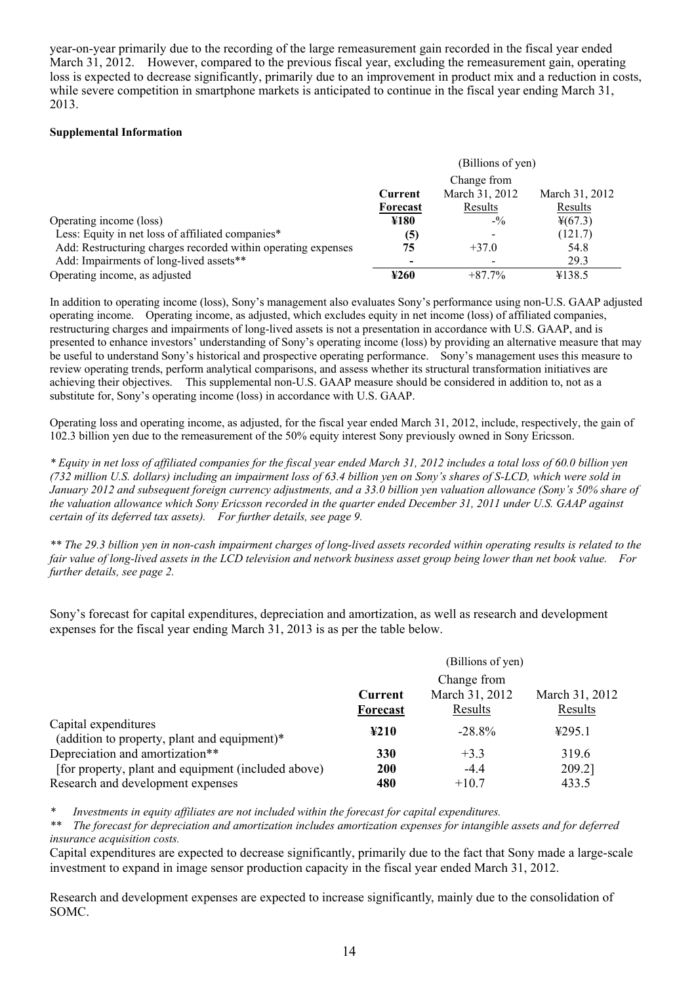year-on-year primarily due to the recording of the large remeasurement gain recorded in the fiscal year ended March 31, 2012. However, compared to the previous fiscal year, excluding the remeasurement gain, operating loss is expected to decrease significantly, primarily due to an improvement in product mix and a reduction in costs, while severe competition in smartphone markets is anticipated to continue in the fiscal year ending March 31, 2013.

#### **Supplemental Information**

|                                                               |          | (Billions of yen) |                     |
|---------------------------------------------------------------|----------|-------------------|---------------------|
|                                                               |          | Change from       |                     |
|                                                               | Current  | March 31, 2012    | March 31, 2012      |
|                                                               | Forecast | Results           | Results             |
| Operating income (loss)                                       | ¥180     | $-9/0$            | $\frac{1}{2}(67.3)$ |
| Less: Equity in net loss of affiliated companies*             | (5)      |                   | (121.7)             |
| Add: Restructuring charges recorded within operating expenses | 75       | $+37.0$           | 54.8                |
| Add: Impairments of long-lived assets**                       |          |                   | 29.3                |
| Operating income, as adjusted                                 | ¥260     | $+87.7\%$         | ¥138.5              |

In addition to operating income (loss), Sony's management also evaluates Sony's performance using non-U.S. GAAP adjusted operating income. Operating income, as adjusted, which excludes equity in net income (loss) of affiliated companies, restructuring charges and impairments of long-lived assets is not a presentation in accordance with U.S. GAAP, and is presented to enhance investors' understanding of Sony's operating income (loss) by providing an alternative measure that may be useful to understand Sony's historical and prospective operating performance. Sony's management uses this measure to review operating trends, perform analytical comparisons, and assess whether its structural transformation initiatives are achieving their objectives. This supplemental non-U.S. GAAP measure should be considered in addition to, not as a substitute for, Sony's operating income (loss) in accordance with U.S. GAAP.

Operating loss and operating income, as adjusted, for the fiscal year ended March 31, 2012, include, respectively, the gain of 102.3 billion yen due to the remeasurement of the 50% equity interest Sony previously owned in Sony Ericsson.

*\* Equity in net loss of affiliated companies for the fiscal year ended March 31, 2012 includes a total loss of 60.0 billion yen (732 million U.S. dollars) including an impairment loss of 63.4 billion yen on Sony's shares of S-LCD, which were sold in January 2012 and subsequent foreign currency adjustments, and a 33.0 billion yen valuation allowance (Sony's 50% share of the valuation allowance which Sony Ericsson recorded in the quarter ended December 31, 2011 under U.S. GAAP against certain of its deferred tax assets). For further details, see page 9.* 

*\*\* The 29.3 billion yen in non-cash impairment charges of long-lived assets recorded within operating results is related to the fair value of long-lived assets in the LCD television and network business asset group being lower than net book value. For further details, see page 2.* 

Sony's forecast for capital expenditures, depreciation and amortization, as well as research and development expenses for the fiscal year ending March 31, 2013 is as per the table below.

|                                                                      |                     | (Billions of yen)                        |                           |
|----------------------------------------------------------------------|---------------------|------------------------------------------|---------------------------|
|                                                                      | Current<br>Forecast | Change from<br>March 31, 2012<br>Results | March 31, 2012<br>Results |
| Capital expenditures<br>(addition to property, plant and equipment)* | ¥210                | $-28.8\%$                                | 4295.1                    |
| Depreciation and amortization**                                      | 330                 | $+3.3$                                   | 319.6                     |
| [for property, plant and equipment (included above)                  | <b>200</b>          | $-4.4$                                   | 209.2]                    |
| Research and development expenses                                    | 480                 | $+10.7$                                  | 433.5                     |

*\* Investments in equity affiliates are not included within the forecast for capital expenditures.* 

*\*\* The forecast for depreciation and amortization includes amortization expenses for intangible assets and for deferred insurance acquisition costs.* 

Capital expenditures are expected to decrease significantly, primarily due to the fact that Sony made a large-scale investment to expand in image sensor production capacity in the fiscal year ended March 31, 2012.

Research and development expenses are expected to increase significantly, mainly due to the consolidation of SOMC.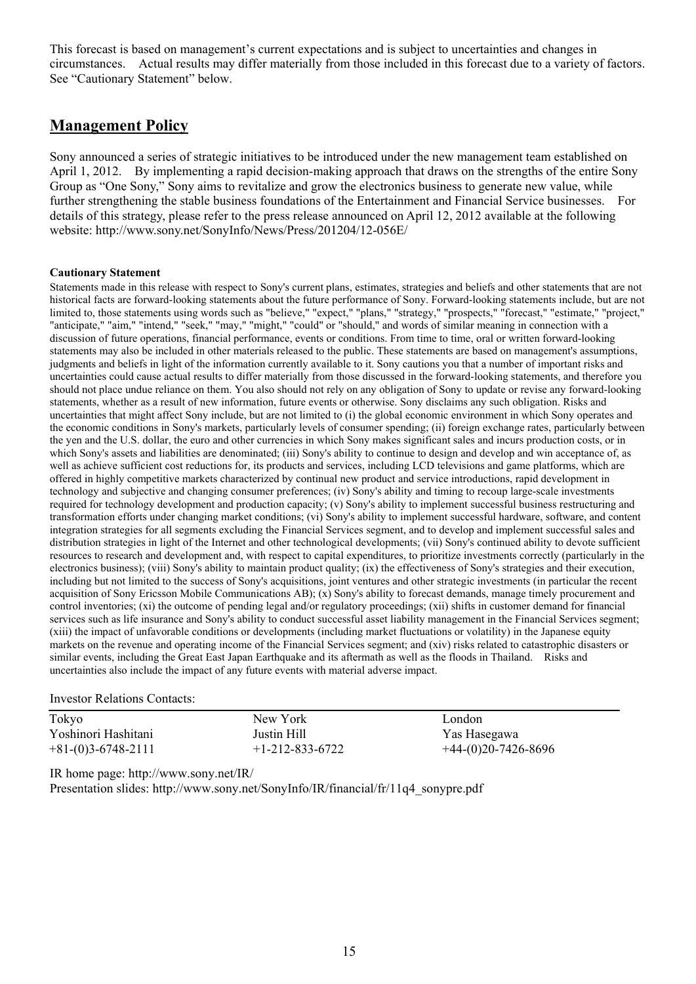This forecast is based on management's current expectations and is subject to uncertainties and changes in circumstances. Actual results may differ materially from those included in this forecast due to a variety of factors. See "Cautionary Statement" below.

## **Management Policy**

Sony announced a series of strategic initiatives to be introduced under the new management team established on April 1, 2012. By implementing a rapid decision-making approach that draws on the strengths of the entire Sony Group as "One Sony," Sony aims to revitalize and grow the electronics business to generate new value, while further strengthening the stable business foundations of the Entertainment and Financial Service businesses. For details of this strategy, please refer to the press release announced on April 12, 2012 available at the following website: http://www.sony.net/SonyInfo/News/Press/201204/12-056E/

### **Cautionary Statement**

 Statements made in this release with respect to Sony's current plans, estimates, strategies and beliefs and other statements that are not historical facts are forward-looking statements about the future performance of Sony. Forward-looking statements include, but are not limited to, those statements using words such as "believe," "expect," "plans," "strategy," "prospects," "forecast," "estimate," "project," "anticipate," "aim," "intend," "seek," "may," "might," "could" or "should," and words of similar meaning in connection with a discussion of future operations, financial performance, events or conditions. From time to time, oral or written forward-looking statements may also be included in other materials released to the public. These statements are based on management's assumptions, judgments and beliefs in light of the information currently available to it. Sony cautions you that a number of important risks and uncertainties could cause actual results to differ materially from those discussed in the forward-looking statements, and therefore you should not place undue reliance on them. You also should not rely on any obligation of Sony to update or revise any forward-looking statements, whether as a result of new information, future events or otherwise. Sony disclaims any such obligation. Risks and uncertainties that might affect Sony include, but are not limited to (i) the global economic environment in which Sony operates and the economic conditions in Sony's markets, particularly levels of consumer spending; (ii) foreign exchange rates, particularly between the yen and the U.S. dollar, the euro and other currencies in which Sony makes significant sales and incurs production costs, or in which Sony's assets and liabilities are denominated; (iii) Sony's ability to continue to design and develop and win acceptance of, as well as achieve sufficient cost reductions for, its products and services, including LCD televisions and game platforms, which are offered in highly competitive markets characterized by continual new product and service introductions, rapid development in technology and subjective and changing consumer preferences; (iv) Sony's ability and timing to recoup large-scale investments required for technology development and production capacity; (v) Sony's ability to implement successful business restructuring and transformation efforts under changing market conditions; (vi) Sony's ability to implement successful hardware, software, and content integration strategies for all segments excluding the Financial Services segment, and to develop and implement successful sales and distribution strategies in light of the Internet and other technological developments; (vii) Sony's continued ability to devote sufficient resources to research and development and, with respect to capital expenditures, to prioritize investments correctly (particularly in the electronics business); (viii) Sony's ability to maintain product quality; (ix) the effectiveness of Sony's strategies and their execution, including but not limited to the success of Sony's acquisitions, joint ventures and other strategic investments (in particular the recent acquisition of Sony Ericsson Mobile Communications AB); (x) Sony's ability to forecast demands, manage timely procurement and control inventories; (xi) the outcome of pending legal and/or regulatory proceedings; (xii) shifts in customer demand for financial services such as life insurance and Sony's ability to conduct successful asset liability management in the Financial Services segment; (xiii) the impact of unfavorable conditions or developments (including market fluctuations or volatility) in the Japanese equity markets on the revenue and operating income of the Financial Services segment; and (xiv) risks related to catastrophic disasters or similar events, including the Great East Japan Earthquake and its aftermath as well as the floods in Thailand. Risks and uncertainties also include the impact of any future events with material adverse impact.

### Investor Relations Contacts:

| Tokyo                | New York                | London              |
|----------------------|-------------------------|---------------------|
| Yoshinori Hashitani  | Justin Hill             | Yas Hasegawa        |
| $+81-(0)3-6748-2111$ | $+1 - 212 - 833 - 6722$ | +44-(0)20-7426-8696 |

IR home page: http://www.sony.net/IR/ Presentation slides: http://www.sony.net/SonyInfo/IR/financial/fr/11q4\_sonypre.pdf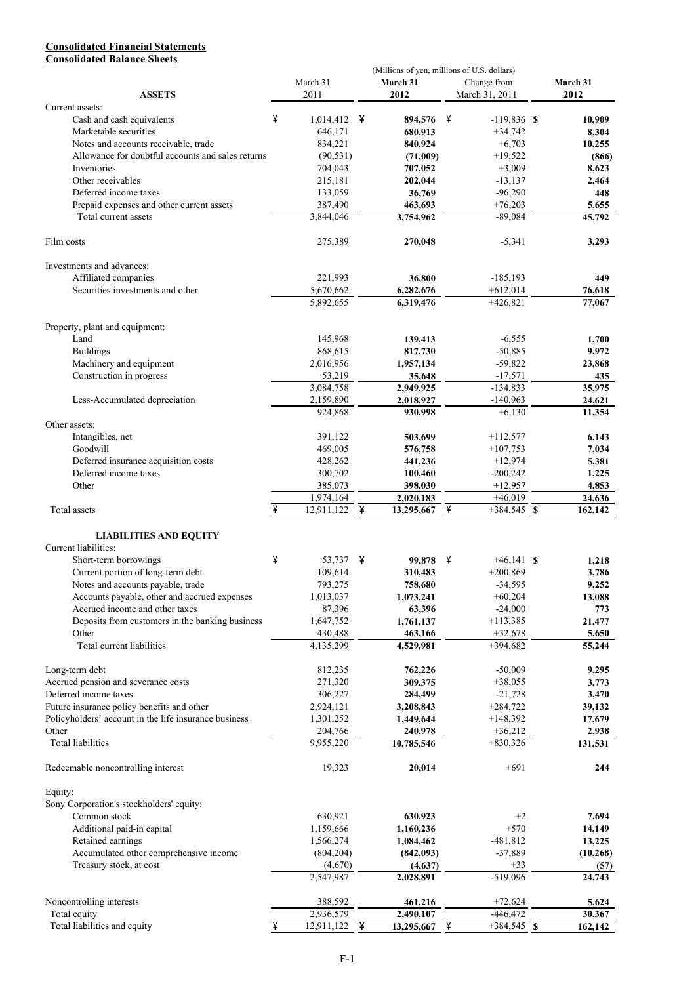#### **Consolidated Financial Statements Consolidated Balance Sheets**

|                                                       |                         |               |                         | (Millions of yen, millions of U.S. dollars) |                         |                |           |
|-------------------------------------------------------|-------------------------|---------------|-------------------------|---------------------------------------------|-------------------------|----------------|-----------|
|                                                       |                         | March 31      |                         | March 31                                    |                         | Change from    | March 31  |
| <b>ASSETS</b>                                         |                         | 2011          |                         | 2012                                        |                         | March 31, 2011 | 2012      |
| Current assets:                                       |                         |               |                         |                                             |                         |                |           |
| Cash and cash equivalents                             | ¥                       | $1,014,412$ ¥ |                         | 894,576                                     | ¥                       | $-119,836$ \$  | 10,909    |
| Marketable securities                                 |                         | 646,171       |                         | 680,913                                     |                         | $+34,742$      | 8,304     |
| Notes and accounts receivable, trade                  |                         | 834,221       |                         | 840,924                                     |                         | $+6,703$       | 10,255    |
| Allowance for doubtful accounts and sales returns     |                         | (90, 531)     |                         | (71,009)                                    |                         | $+19,522$      | (866)     |
| Inventories                                           |                         | 704,043       |                         | 707,052                                     |                         | $+3,009$       | 8,623     |
| Other receivables                                     |                         | 215,181       |                         | 202,044                                     |                         | $-13,137$      | 2,464     |
| Deferred income taxes                                 |                         |               |                         |                                             |                         |                |           |
|                                                       |                         | 133,059       |                         | 36,769                                      |                         | $-96,290$      | 448       |
| Prepaid expenses and other current assets             |                         | 387,490       |                         | 463,693                                     |                         | $+76,203$      | 5,655     |
| Total current assets                                  |                         | 3,844,046     |                         | 3,754,962                                   |                         | $-89,084$      | 45,792    |
| Film costs                                            |                         | 275,389       |                         | 270,048                                     |                         | $-5,341$       | 3,293     |
|                                                       |                         |               |                         |                                             |                         |                |           |
| Investments and advances:                             |                         |               |                         |                                             |                         |                |           |
| Affiliated companies                                  |                         | 221,993       |                         | 36,800                                      |                         | $-185,193$     | 449       |
| Securities investments and other                      |                         | 5,670,662     |                         | 6,282,676                                   |                         | $+612,014$     | 76,618    |
|                                                       |                         | 5,892,655     |                         | 6,319,476                                   |                         | $+426,821$     | 77,067    |
|                                                       |                         |               |                         |                                             |                         |                |           |
| Property, plant and equipment:                        |                         |               |                         |                                             |                         |                |           |
| Land                                                  |                         | 145,968       |                         | 139,413                                     |                         | $-6,555$       | 1,700     |
| <b>Buildings</b>                                      |                         | 868,615       |                         | 817,730                                     |                         | $-50,885$      | 9,972     |
| Machinery and equipment                               |                         | 2,016,956     |                         | 1,957,134                                   |                         | $-59,822$      | 23,868    |
| Construction in progress                              |                         | 53,219        |                         | 35,648                                      |                         | $-17,571$      | 435       |
|                                                       |                         | 3,084,758     |                         | 2,949,925                                   |                         | $-134,833$     | 35,975    |
| Less-Accumulated depreciation                         |                         | 2,159,890     |                         | 2,018,927                                   |                         | $-140.963$     | 24,621    |
|                                                       |                         | 924,868       |                         | 930,998                                     |                         | $+6,130$       | 11,354    |
| Other assets:                                         |                         |               |                         |                                             |                         |                |           |
| Intangibles, net                                      |                         | 391,122       |                         | 503,699                                     |                         | $+112,577$     | 6,143     |
| Goodwill                                              |                         | 469,005       |                         | 576,758                                     |                         | $+107,753$     | 7,034     |
|                                                       |                         |               |                         |                                             |                         |                |           |
| Deferred insurance acquisition costs                  |                         | 428,262       |                         | 441,236                                     |                         | $+12,974$      | 5,381     |
| Deferred income taxes                                 |                         | 300,702       |                         | 100,460                                     |                         | $-200,242$     | 1,225     |
| Other                                                 |                         | 385,073       |                         | 398,030                                     |                         | $+12,957$      | 4,853     |
|                                                       |                         | 1,974,164     |                         | 2,020,183                                   |                         | $+46,019$      | 24,636    |
| Total assets                                          | $\overline{\mathbf{r}}$ | 12,911,122    | $\overline{\textbf{r}}$ | 13,295,667                                  | ¥                       | $+384,545$ \$  | 162,142   |
| <b>LIABILITIES AND EQUITY</b>                         |                         |               |                         |                                             |                         |                |           |
| Current liabilities:                                  |                         |               |                         |                                             |                         |                |           |
|                                                       |                         |               |                         |                                             |                         |                |           |
| Short-term borrowings                                 | ¥                       | 53,737        | ¥                       | 99,878                                      | ¥                       | $+46,141$ \$   | 1,218     |
| Current portion of long-term debt                     |                         | 109,614       |                         | 310,483                                     |                         | $+200,869$     | 3,786     |
| Notes and accounts payable, trade                     |                         | 793,275       |                         | 758,680                                     |                         | $-34,595$      | 9,252     |
| Accounts payable, other and accrued expenses          |                         | 1,013,037     |                         | 1,073,241                                   |                         | $+60,204$      | 13,088    |
| Accrued income and other taxes                        |                         | 87,396        |                         | 63,396                                      |                         | $-24,000$      | 773       |
| Deposits from customers in the banking business       |                         | 1,647,752     |                         | 1,761,137                                   |                         | $+113,385$     | 21,477    |
| Other                                                 |                         | 430,488       |                         | 463,166                                     |                         | $+32,678$      | 5,650     |
| Total current liabilities                             |                         | 4,135,299     |                         | 4,529,981                                   |                         | $+394,682$     | 55,244    |
|                                                       |                         |               |                         |                                             |                         |                |           |
| Long-term debt                                        |                         | 812,235       |                         | 762,226                                     |                         | $-50,009$      | 9,295     |
| Accrued pension and severance costs                   |                         | 271,320       |                         | 309,375                                     |                         | $+38,055$      | 3,773     |
| Deferred income taxes                                 |                         | 306,227       |                         | 284,499                                     |                         | $-21,728$      | 3,470     |
| Future insurance policy benefits and other            |                         | 2,924,121     |                         | 3,208,843                                   |                         | $+284,722$     | 39,132    |
| Policyholders' account in the life insurance business |                         | 1,301,252     |                         | 1,449,644                                   |                         | $+148,392$     | 17,679    |
| Other                                                 |                         | 204,766       |                         |                                             |                         | $+36,212$      |           |
| <b>Total liabilities</b>                              |                         | 9,955,220     |                         | 240,978                                     |                         | $+830,326$     | 2,938     |
|                                                       |                         |               |                         | 10,785,546                                  |                         |                | 131,531   |
| Redeemable noncontrolling interest                    |                         | 19,323        |                         | 20,014                                      |                         | $+691$         | 244       |
|                                                       |                         |               |                         |                                             |                         |                |           |
| Equity:                                               |                         |               |                         |                                             |                         |                |           |
| Sony Corporation's stockholders' equity:              |                         |               |                         |                                             |                         |                |           |
| Common stock                                          |                         | 630,921       |                         | 630,923                                     |                         | $+2$           | 7,694     |
| Additional paid-in capital                            |                         | 1,159,666     |                         | 1,160,236                                   |                         | $+570$         | 14,149    |
| Retained earnings                                     |                         | 1,566,274     |                         | 1,084,462                                   |                         | $-481,812$     | 13,225    |
| Accumulated other comprehensive income                |                         | (804, 204)    |                         | (842,093)                                   |                         | $-37,889$      | (10, 268) |
| Treasury stock, at cost                               |                         | (4,670)       |                         | (4,637)                                     |                         | $+33$          | (57)      |
|                                                       |                         | 2,547,987     |                         | 2,028,891                                   |                         | $-519,096$     | 24,743    |
|                                                       |                         |               |                         |                                             |                         |                |           |
| Noncontrolling interests                              |                         | 388,592       |                         | 461,216                                     |                         | $+72,624$      | 5,624     |
| Total equity                                          |                         | 2,936,579     |                         | 2,490,107                                   |                         | $-446,472$     | 30,367    |
| Total liabilities and equity                          | ¥                       | 12,911,122    | $\overline{\mathbf{v}}$ | 13,295,667                                  | $\overline{\mathbf{r}}$ | $+384,545$ \$  | 162,142   |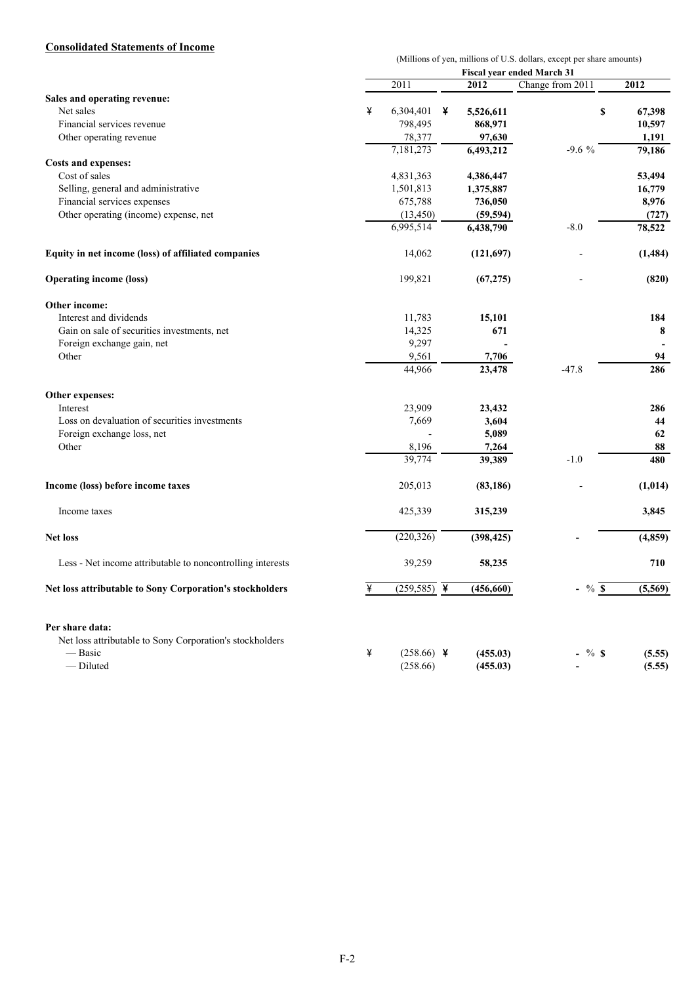## **Consolidated Statements of Income**

(Millions of yen, millions of U.S. dollars, except per share amounts)

|                                                                                        |   |                         |            | <b>Fiscal year ended March 31</b>  |          |
|----------------------------------------------------------------------------------------|---|-------------------------|------------|------------------------------------|----------|
|                                                                                        |   | 2011                    | 2012       | Change from 2011                   | 2012     |
| Sales and operating revenue:                                                           |   |                         |            |                                    |          |
| Net sales                                                                              | ¥ | 6,304,401 $\frac{1}{2}$ | 5,526,611  | \$                                 | 67,398   |
| Financial services revenue                                                             |   | 798,495                 | 868,971    |                                    | 10,597   |
| Other operating revenue                                                                |   | 78,377                  | 97,630     |                                    | 1,191    |
|                                                                                        |   | 7,181,273               | 6,493,212  | $-9.6%$                            | 79,186   |
| <b>Costs and expenses:</b>                                                             |   |                         |            |                                    |          |
| Cost of sales                                                                          |   | 4,831,363               | 4,386,447  |                                    | 53,494   |
| Selling, general and administrative                                                    |   | 1,501,813               | 1,375,887  |                                    | 16,779   |
| Financial services expenses                                                            |   | 675,788                 | 736,050    |                                    | 8,976    |
| Other operating (income) expense, net                                                  |   | (13, 450)               | (59, 594)  |                                    | (727)    |
|                                                                                        |   | 6,995,514               | 6,438,790  | $-8.0$                             | 78,522   |
| Equity in net income (loss) of affiliated companies                                    |   | 14,062                  | (121,697)  |                                    | (1,484)  |
| <b>Operating income (loss)</b>                                                         |   | 199,821                 | (67, 275)  |                                    | (820)    |
| Other income:                                                                          |   |                         |            |                                    |          |
| Interest and dividends                                                                 |   | 11,783                  | 15,101     |                                    | 184      |
| Gain on sale of securities investments, net                                            |   | 14,325                  | 671        |                                    | 8        |
| Foreign exchange gain, net                                                             |   | 9,297                   |            |                                    |          |
| Other                                                                                  |   | 9,561                   | 7,706      |                                    | 94       |
|                                                                                        |   | 44,966                  | 23,478     | $-47.8$                            | 286      |
| Other expenses:                                                                        |   |                         |            |                                    |          |
| Interest                                                                               |   | 23,909                  | 23,432     |                                    | 286      |
| Loss on devaluation of securities investments                                          |   | 7,669                   | 3,604      |                                    | 44       |
| Foreign exchange loss, net                                                             |   |                         | 5,089      |                                    | 62       |
| Other                                                                                  |   | 8,196                   | 7,264      |                                    | 88       |
|                                                                                        |   | 39,774                  | 39,389     | $-1.0$                             | 480      |
| Income (loss) before income taxes                                                      |   | 205,013                 | (83, 186)  |                                    | (1,014)  |
| Income taxes                                                                           |   | 425,339                 | 315,239    |                                    | 3,845    |
| <b>Net loss</b>                                                                        |   | (220, 326)              | (398, 425) |                                    | (4, 859) |
| Less - Net income attributable to noncontrolling interests                             |   | 39,259                  | 58,235     |                                    | 710      |
| Net loss attributable to Sony Corporation's stockholders                               | ¥ | $(259,585)$ ¥           | (456, 660) | $%$ \$<br>$\overline{\phantom{a}}$ | (5,569)  |
| Per share data:<br>Net loss attributable to Sony Corporation's stockholders<br>— Basic | ¥ | $(258.66)$ ¥            | (455.03)   | $%$ \$<br>-                        | (5.55)   |
| — Diluted                                                                              |   | (258.66)                | (455.03)   |                                    | (5.55)   |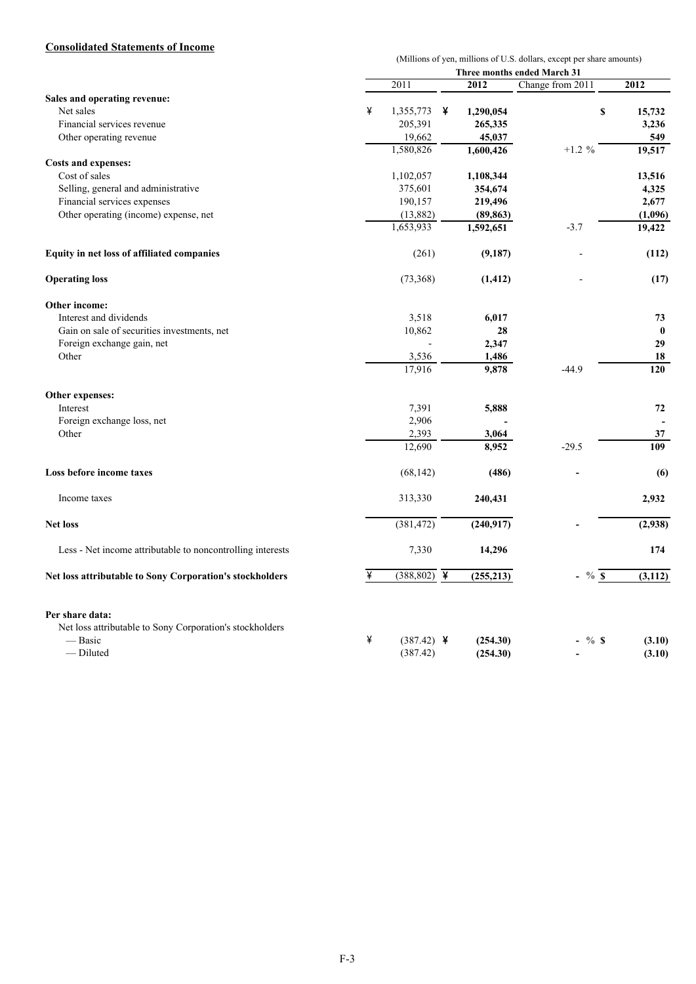#### **Consolidated Statements of Income**

(Millions of yen, millions of U.S. dollars, except per share amounts)

|                                                                             |   |                |   |            | Three months ended March 31    |          |  |  |
|-----------------------------------------------------------------------------|---|----------------|---|------------|--------------------------------|----------|--|--|
|                                                                             |   | 2011           |   | 2012       | Change from 2011               | 2012     |  |  |
| Sales and operating revenue:                                                |   |                |   |            |                                |          |  |  |
| Net sales                                                                   | ¥ | 1,355,773      | ¥ | 1,290,054  | \$                             | 15,732   |  |  |
| Financial services revenue                                                  |   | 205,391        |   | 265,335    |                                | 3,236    |  |  |
| Other operating revenue                                                     |   | 19,662         |   | 45,037     |                                | 549      |  |  |
|                                                                             |   | 1,580,826      |   | 1,600,426  | $+1.2 \%$                      | 19,517   |  |  |
| Costs and expenses:                                                         |   |                |   |            |                                |          |  |  |
| Cost of sales                                                               |   | 1,102,057      |   | 1,108,344  |                                | 13,516   |  |  |
| Selling, general and administrative                                         |   | 375,601        |   | 354,674    |                                | 4,325    |  |  |
| Financial services expenses                                                 |   | 190,157        |   | 219,496    |                                | 2,677    |  |  |
| Other operating (income) expense, net                                       |   | (13,882)       |   | (89, 863)  |                                | (1,096)  |  |  |
|                                                                             |   | 1,653,933      |   | 1,592,651  | $-3.7$                         | 19,422   |  |  |
| Equity in net loss of affiliated companies                                  |   | (261)          |   | (9, 187)   |                                | (112)    |  |  |
| <b>Operating loss</b>                                                       |   | (73, 368)      |   | (1, 412)   |                                | (17)     |  |  |
| Other income:                                                               |   |                |   |            |                                |          |  |  |
| Interest and dividends                                                      |   | 3,518          |   | 6,017      |                                | 73       |  |  |
| Gain on sale of securities investments, net                                 |   | 10,862         |   | 28         |                                | $\bf{0}$ |  |  |
| Foreign exchange gain, net                                                  |   |                |   | 2,347      |                                | 29       |  |  |
| Other                                                                       |   | 3,536          |   | 1,486      |                                | 18       |  |  |
|                                                                             |   | 17,916         |   | 9,878      | $-44.9$                        | 120      |  |  |
| Other expenses:                                                             |   |                |   |            |                                |          |  |  |
| Interest                                                                    |   | 7,391          |   | 5,888      |                                | 72       |  |  |
| Foreign exchange loss, net                                                  |   | 2,906          |   |            |                                |          |  |  |
| Other                                                                       |   | 2,393          |   | 3,064      |                                | 37       |  |  |
|                                                                             |   | 12,690         |   | 8,952      | $-29.5$                        | 109      |  |  |
| Loss before income taxes                                                    |   | (68, 142)      |   | (486)      |                                | (6)      |  |  |
| Income taxes                                                                |   | 313,330        |   | 240,431    |                                | 2,932    |  |  |
| <b>Net loss</b>                                                             |   | (381, 472)     |   | (240, 917) |                                | (2,938)  |  |  |
| Less - Net income attributable to noncontrolling interests                  |   | 7,330          |   | 14,296     |                                | 174      |  |  |
| Net loss attributable to Sony Corporation's stockholders                    | ¥ | $(388, 802)$ ¥ |   | (255, 213) | $-$ % $\overline{\$}$          | (3, 112) |  |  |
| Per share data:<br>Net loss attributable to Sony Corporation's stockholders |   |                |   |            |                                |          |  |  |
| — Basic                                                                     | ¥ | $(387.42)$ ¥   |   | (254.30)   | %S<br>$\overline{\phantom{0}}$ | (3.10)   |  |  |
| — Diluted                                                                   |   | (387.42)       |   | (254.30)   |                                | (3.10)   |  |  |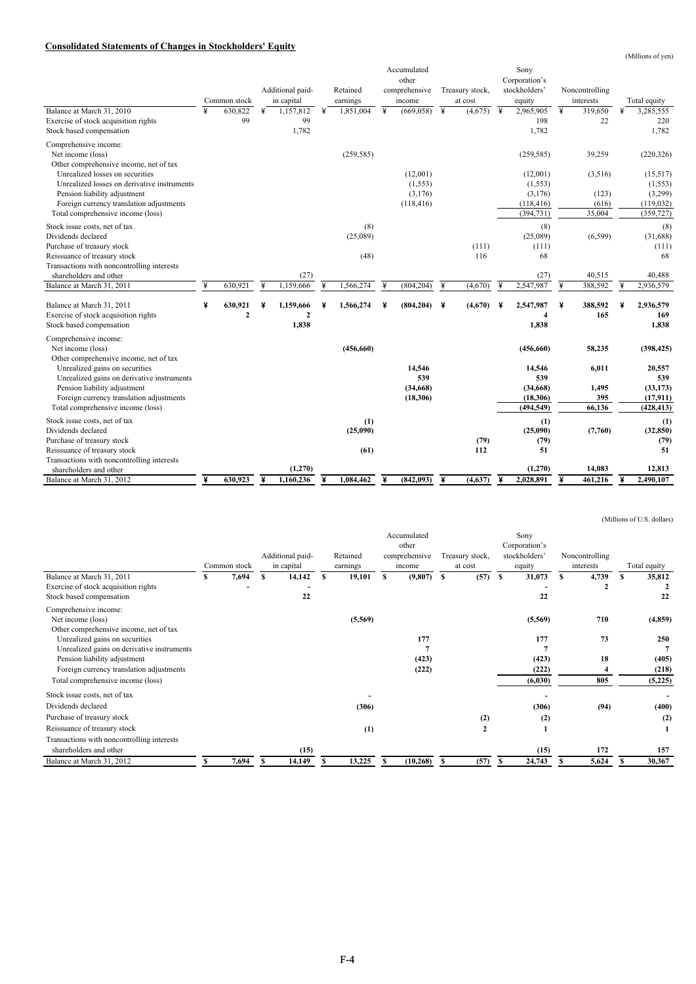#### **Consolidated Statements of Changes in Stockholders' Equity**

(Millions of yen)

|                                                                                               |   | Common stock   |   | Additional paid-<br>in capital |   | Retained<br>earnings |   | Accumulated<br>other<br>comprehensive<br>income |   | Treasury stock,<br>at cost |   | Corporation's<br>stockholders'<br>equity |                         |                 |   |                           |  |  |  |  |  |  |  |  |  |  |  |  |  |  |  |  |  |  |  |  |  |  |  |  |  |  |  |  |  | Sony |  |  |  | Noncontrolling<br>interests |  | Total equity |
|-----------------------------------------------------------------------------------------------|---|----------------|---|--------------------------------|---|----------------------|---|-------------------------------------------------|---|----------------------------|---|------------------------------------------|-------------------------|-----------------|---|---------------------------|--|--|--|--|--|--|--|--|--|--|--|--|--|--|--|--|--|--|--|--|--|--|--|--|--|--|--|--|--|------|--|--|--|-----------------------------|--|--------------|
| Balance at March 31, 2010<br>Exercise of stock acquisition rights<br>Stock based compensation | ¥ | 630.822<br>99  | ¥ | 1,157,812<br>99<br>1,782       | ¥ | 1,851,004            | ¥ | (669, 058)                                      | ¥ | (4,675)                    | ¥ | 2,965,905<br>198<br>1,782                | $\overline{\mathbf{y}}$ | 319,650<br>22   | ¥ | 3,285,555<br>220<br>1,782 |  |  |  |  |  |  |  |  |  |  |  |  |  |  |  |  |  |  |  |  |  |  |  |  |  |  |  |  |  |      |  |  |  |                             |  |              |
| Comprehensive income:<br>Net income (loss)<br>Other comprehensive income, net of tax          |   |                |   |                                |   | (259, 585)           |   |                                                 |   |                            |   | (259, 585)                               |                         | 39,259          |   | (220, 326)                |  |  |  |  |  |  |  |  |  |  |  |  |  |  |  |  |  |  |  |  |  |  |  |  |  |  |  |  |  |      |  |  |  |                             |  |              |
| Unrealized losses on securities                                                               |   |                |   |                                |   |                      |   | (12,001)                                        |   |                            |   | (12,001)                                 |                         | (3,516)         |   | (15, 517)                 |  |  |  |  |  |  |  |  |  |  |  |  |  |  |  |  |  |  |  |  |  |  |  |  |  |  |  |  |  |      |  |  |  |                             |  |              |
| Unrealized losses on derivative instruments                                                   |   |                |   |                                |   |                      |   | (1, 553)                                        |   |                            |   | (1, 553)                                 |                         |                 |   | (1, 553)                  |  |  |  |  |  |  |  |  |  |  |  |  |  |  |  |  |  |  |  |  |  |  |  |  |  |  |  |  |  |      |  |  |  |                             |  |              |
| Pension liability adjustment                                                                  |   |                |   |                                |   |                      |   | (3,176)                                         |   |                            |   | (3,176)                                  |                         | (123)           |   | (3,299)                   |  |  |  |  |  |  |  |  |  |  |  |  |  |  |  |  |  |  |  |  |  |  |  |  |  |  |  |  |  |      |  |  |  |                             |  |              |
| Foreign currency translation adjustments<br>Total comprehensive income (loss)                 |   |                |   |                                |   |                      |   | (118, 416)                                      |   |                            |   | (118, 416)<br>(394, 731)                 |                         | (616)<br>35,004 |   | (119, 032)<br>(359, 727)  |  |  |  |  |  |  |  |  |  |  |  |  |  |  |  |  |  |  |  |  |  |  |  |  |  |  |  |  |  |      |  |  |  |                             |  |              |
|                                                                                               |   |                |   |                                |   |                      |   |                                                 |   |                            |   |                                          |                         |                 |   |                           |  |  |  |  |  |  |  |  |  |  |  |  |  |  |  |  |  |  |  |  |  |  |  |  |  |  |  |  |  |      |  |  |  |                             |  |              |
| Stock issue costs, net of tax                                                                 |   |                |   |                                |   | (8)                  |   |                                                 |   |                            |   | (8)                                      |                         |                 |   | (8)                       |  |  |  |  |  |  |  |  |  |  |  |  |  |  |  |  |  |  |  |  |  |  |  |  |  |  |  |  |  |      |  |  |  |                             |  |              |
| Dividends declared                                                                            |   |                |   |                                |   | (25,089)             |   |                                                 |   |                            |   | (25,089)                                 |                         | (6, 599)        |   | (31,688)                  |  |  |  |  |  |  |  |  |  |  |  |  |  |  |  |  |  |  |  |  |  |  |  |  |  |  |  |  |  |      |  |  |  |                             |  |              |
| Purchase of treasury stock<br>Reissuance of treasury stock                                    |   |                |   |                                |   | (48)                 |   |                                                 |   | (111)<br>116               |   | (111)<br>68                              |                         |                 |   | (111)<br>68               |  |  |  |  |  |  |  |  |  |  |  |  |  |  |  |  |  |  |  |  |  |  |  |  |  |  |  |  |  |      |  |  |  |                             |  |              |
| Transactions with noncontrolling interests                                                    |   |                |   |                                |   |                      |   |                                                 |   |                            |   |                                          |                         |                 |   |                           |  |  |  |  |  |  |  |  |  |  |  |  |  |  |  |  |  |  |  |  |  |  |  |  |  |  |  |  |  |      |  |  |  |                             |  |              |
| shareholders and other                                                                        |   |                |   | (27)                           |   |                      |   |                                                 |   |                            |   | (27)                                     |                         | 40,515          |   | 40,488                    |  |  |  |  |  |  |  |  |  |  |  |  |  |  |  |  |  |  |  |  |  |  |  |  |  |  |  |  |  |      |  |  |  |                             |  |              |
| Balance at March 31, 2011                                                                     | ¥ | 630,921        | ¥ | 1.159.666                      | ¥ | 1,566,274            | ¥ | (804, 204)                                      | ¥ | (4,670)                    |   | 2,547,987                                | ¥                       | 388,592         |   | 2,936,579                 |  |  |  |  |  |  |  |  |  |  |  |  |  |  |  |  |  |  |  |  |  |  |  |  |  |  |  |  |  |      |  |  |  |                             |  |              |
|                                                                                               |   |                |   |                                |   |                      |   |                                                 |   |                            |   |                                          |                         |                 |   |                           |  |  |  |  |  |  |  |  |  |  |  |  |  |  |  |  |  |  |  |  |  |  |  |  |  |  |  |  |  |      |  |  |  |                             |  |              |
| Balance at March 31, 2011                                                                     |   | 630,921        | ¥ | 1.159.666                      |   | 1,566,274            | ¥ | (804, 204)                                      | ¥ | (4,670)                    |   | 2,547,987                                | ¥                       | 388,592         | ¥ | 2,936,579                 |  |  |  |  |  |  |  |  |  |  |  |  |  |  |  |  |  |  |  |  |  |  |  |  |  |  |  |  |  |      |  |  |  |                             |  |              |
| Exercise of stock acquisition rights                                                          |   | $\overline{2}$ |   | $\mathbf{2}$                   |   |                      |   |                                                 |   |                            |   | $\boldsymbol{4}$                         |                         | 165             |   | 169                       |  |  |  |  |  |  |  |  |  |  |  |  |  |  |  |  |  |  |  |  |  |  |  |  |  |  |  |  |  |      |  |  |  |                             |  |              |
| Stock based compensation                                                                      |   |                |   | 1,838                          |   |                      |   |                                                 |   |                            |   | 1,838                                    |                         |                 |   | 1,838                     |  |  |  |  |  |  |  |  |  |  |  |  |  |  |  |  |  |  |  |  |  |  |  |  |  |  |  |  |  |      |  |  |  |                             |  |              |
| Comprehensive income:<br>Net income (loss)<br>Other comprehensive income, net of tax          |   |                |   |                                |   | (456, 660)           |   |                                                 |   |                            |   | (456, 660)                               |                         | 58,235          |   | (398, 425)                |  |  |  |  |  |  |  |  |  |  |  |  |  |  |  |  |  |  |  |  |  |  |  |  |  |  |  |  |  |      |  |  |  |                             |  |              |
| Unrealized gains on securities                                                                |   |                |   |                                |   |                      |   | 14,546                                          |   |                            |   | 14,546                                   |                         | 6,011           |   | 20,557                    |  |  |  |  |  |  |  |  |  |  |  |  |  |  |  |  |  |  |  |  |  |  |  |  |  |  |  |  |  |      |  |  |  |                             |  |              |
| Unrealized gains on derivative instruments                                                    |   |                |   |                                |   |                      |   | 539                                             |   |                            |   | 539                                      |                         |                 |   | 539                       |  |  |  |  |  |  |  |  |  |  |  |  |  |  |  |  |  |  |  |  |  |  |  |  |  |  |  |  |  |      |  |  |  |                             |  |              |
| Pension liability adjustment                                                                  |   |                |   |                                |   |                      |   | (34, 668)                                       |   |                            |   | (34, 668)                                |                         | 1,495           |   | (33, 173)                 |  |  |  |  |  |  |  |  |  |  |  |  |  |  |  |  |  |  |  |  |  |  |  |  |  |  |  |  |  |      |  |  |  |                             |  |              |
| Foreign currency translation adjustments                                                      |   |                |   |                                |   |                      |   | (18,306)                                        |   |                            |   | (18,306)                                 |                         | 395             |   | (17, 911)                 |  |  |  |  |  |  |  |  |  |  |  |  |  |  |  |  |  |  |  |  |  |  |  |  |  |  |  |  |  |      |  |  |  |                             |  |              |
| Total comprehensive income (loss)                                                             |   |                |   |                                |   |                      |   |                                                 |   |                            |   | (494, 549)                               |                         | 66,136          |   | (428, 413)                |  |  |  |  |  |  |  |  |  |  |  |  |  |  |  |  |  |  |  |  |  |  |  |  |  |  |  |  |  |      |  |  |  |                             |  |              |
| Stock issue costs, net of tax                                                                 |   |                |   |                                |   | (1)                  |   |                                                 |   |                            |   | (1)                                      |                         |                 |   | (1)                       |  |  |  |  |  |  |  |  |  |  |  |  |  |  |  |  |  |  |  |  |  |  |  |  |  |  |  |  |  |      |  |  |  |                             |  |              |
| Dividends declared                                                                            |   |                |   |                                |   | (25,090)             |   |                                                 |   |                            |   | (25,090)                                 |                         | (7,760)         |   | (32, 850)                 |  |  |  |  |  |  |  |  |  |  |  |  |  |  |  |  |  |  |  |  |  |  |  |  |  |  |  |  |  |      |  |  |  |                             |  |              |
| Purchase of treasury stock                                                                    |   |                |   |                                |   |                      |   |                                                 |   | (79)                       |   | (79)                                     |                         |                 |   | (79)                      |  |  |  |  |  |  |  |  |  |  |  |  |  |  |  |  |  |  |  |  |  |  |  |  |  |  |  |  |  |      |  |  |  |                             |  |              |
| Reissuance of treasury stock                                                                  |   |                |   |                                |   | (61)                 |   |                                                 |   | 112                        |   | 51                                       |                         |                 |   | 51                        |  |  |  |  |  |  |  |  |  |  |  |  |  |  |  |  |  |  |  |  |  |  |  |  |  |  |  |  |  |      |  |  |  |                             |  |              |
| Transactions with noncontrolling interests                                                    |   |                |   |                                |   |                      |   |                                                 |   |                            |   |                                          |                         | 14,083          |   | 12,813                    |  |  |  |  |  |  |  |  |  |  |  |  |  |  |  |  |  |  |  |  |  |  |  |  |  |  |  |  |  |      |  |  |  |                             |  |              |
| shareholders and other                                                                        | ¥ |                |   | (1,270)                        |   |                      |   |                                                 |   |                            |   | (1,270)                                  |                         |                 |   |                           |  |  |  |  |  |  |  |  |  |  |  |  |  |  |  |  |  |  |  |  |  |  |  |  |  |  |  |  |  |      |  |  |  |                             |  |              |
| Balance at March 31, 2012                                                                     |   | 630,923        | ¥ | 1,160,236                      | ¥ | 1,084,462            | ¥ | (842,093)                                       | ¥ | (4,637)                    |   | 2,028,891                                | ¥                       | 461,216         | ¥ | 2,490,107                 |  |  |  |  |  |  |  |  |  |  |  |  |  |  |  |  |  |  |  |  |  |  |  |  |  |  |  |  |  |      |  |  |  |                             |  |              |

(Millions of U.S. dollars)

|                                                                          | Common stock |   | Additional paid-<br>in capital |   | Retained<br>earnings |   | Accumulated<br>other<br>comprehensive<br>income |    | Treasury stock,<br>at cost |   | Sony<br>Corporation's<br>stockholders'<br>equity |   | Noncontrolling<br>interests |   | Total equity |
|--------------------------------------------------------------------------|--------------|---|--------------------------------|---|----------------------|---|-------------------------------------------------|----|----------------------------|---|--------------------------------------------------|---|-----------------------------|---|--------------|
| Balance at March 31, 2011                                                | 7,694        | S | 14,142                         | S | 19,101               | S | (9,807)                                         | -S | (57)                       | S | 31,073                                           | S | 4,739                       | S | 35,812       |
| Exercise of stock acquisition rights                                     |              |   |                                |   |                      |   |                                                 |    |                            |   |                                                  |   |                             |   | $\mathbf{Z}$ |
| Stock based compensation                                                 |              |   | 22                             |   |                      |   |                                                 |    |                            |   | 22                                               |   |                             |   | 22           |
| Comprehensive income:                                                    |              |   |                                |   |                      |   |                                                 |    |                            |   |                                                  |   |                             |   |              |
| Net income (loss)                                                        |              |   |                                |   | (5,569)              |   |                                                 |    |                            |   | (5,569)                                          |   | 710                         |   | (4, 859)     |
| Other comprehensive income, net of tax<br>Unrealized gains on securities |              |   |                                |   |                      |   | 177                                             |    |                            |   | 177                                              |   | 73                          |   | 250          |
| Unrealized gains on derivative instruments                               |              |   |                                |   |                      |   |                                                 |    |                            |   |                                                  |   |                             |   |              |
| Pension liability adjustment                                             |              |   |                                |   |                      |   | (423)                                           |    |                            |   | (423)                                            |   | 18                          |   | (405)        |
| Foreign currency translation adjustments                                 |              |   |                                |   |                      |   | (222)                                           |    |                            |   | (222)                                            |   |                             |   | (218)        |
| Total comprehensive income (loss)                                        |              |   |                                |   |                      |   |                                                 |    |                            |   | (6,030)                                          |   | 805                         |   | (5, 225)     |
| Stock issue costs, net of tax                                            |              |   |                                |   |                      |   |                                                 |    |                            |   |                                                  |   |                             |   |              |
| Dividends declared                                                       |              |   |                                |   | (306)                |   |                                                 |    |                            |   | (306)                                            |   | (94)                        |   | (400)        |
| Purchase of treasury stock                                               |              |   |                                |   |                      |   |                                                 |    | (2)                        |   | (2)                                              |   |                             |   | (2)          |
| Reissuance of treasury stock                                             |              |   |                                |   | (1)                  |   |                                                 |    | $\overline{2}$             |   |                                                  |   |                             |   |              |
| Transactions with noncontrolling interests                               |              |   |                                |   |                      |   |                                                 |    |                            |   |                                                  |   |                             |   |              |
| shareholders and other                                                   |              |   | (15)                           |   |                      |   |                                                 |    |                            |   | (15)                                             |   | 172                         |   | 157          |
| Balance at March 31, 2012                                                | 7,694        |   | 14,149                         |   | 13,225               |   | (10, 268)                                       | S  | (57)                       |   | 24,743                                           |   | 5,624                       |   | 30,367       |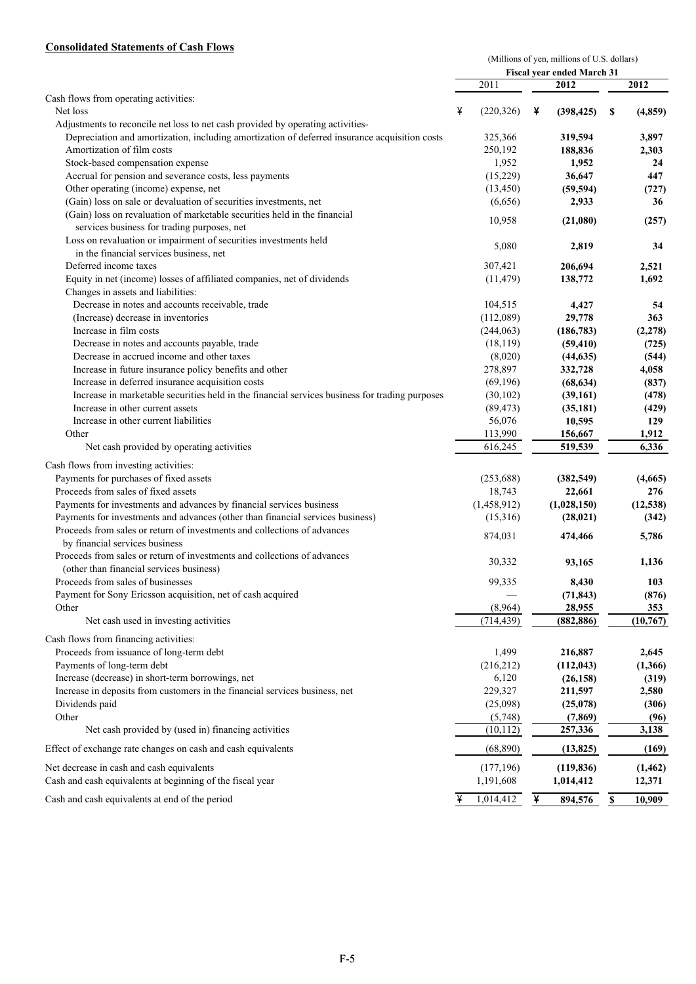## **Consolidated Statements of Cash Flows**

|                                                                                                | (Millions of yen, millions of U.S. dollars) |             |   |                            |    |           |
|------------------------------------------------------------------------------------------------|---------------------------------------------|-------------|---|----------------------------|----|-----------|
|                                                                                                |                                             |             |   | Fiscal year ended March 31 |    |           |
|                                                                                                |                                             | 2011        |   | 2012                       |    | 2012      |
| Cash flows from operating activities:                                                          |                                             |             |   |                            |    |           |
| Net loss                                                                                       | ¥                                           | (220, 326)  | ¥ | (398, 425)                 | S  | (4,859)   |
| Adjustments to reconcile net loss to net cash provided by operating activities-                |                                             |             |   |                            |    |           |
| Depreciation and amortization, including amortization of deferred insurance acquisition costs  |                                             | 325,366     |   | 319,594                    |    | 3,897     |
| Amortization of film costs                                                                     |                                             | 250,192     |   | 188,836                    |    | 2,303     |
| Stock-based compensation expense                                                               |                                             | 1,952       |   | 1,952                      |    | 24        |
| Accrual for pension and severance costs, less payments                                         |                                             | (15,229)    |   | 36,647                     |    | 447       |
| Other operating (income) expense, net                                                          |                                             | (13, 450)   |   | (59, 594)                  |    | (727)     |
| (Gain) loss on sale or devaluation of securities investments, net                              |                                             | (6,656)     |   | 2,933                      |    | 36        |
| (Gain) loss on revaluation of marketable securities held in the financial                      |                                             |             |   |                            |    |           |
| services business for trading purposes, net                                                    |                                             | 10,958      |   | (21,080)                   |    | (257)     |
| Loss on revaluation or impairment of securities investments held                               |                                             |             |   |                            |    |           |
| in the financial services business, net                                                        |                                             | 5,080       |   | 2,819                      |    | 34        |
| Deferred income taxes                                                                          |                                             | 307,421     |   | 206,694                    |    | 2,521     |
| Equity in net (income) losses of affiliated companies, net of dividends                        |                                             | (11, 479)   |   | 138,772                    |    | 1,692     |
| Changes in assets and liabilities:                                                             |                                             |             |   |                            |    |           |
| Decrease in notes and accounts receivable, trade                                               |                                             | 104,515     |   | 4,427                      |    | 54        |
| (Increase) decrease in inventories                                                             |                                             | (112,089)   |   | 29,778                     |    | 363       |
| Increase in film costs                                                                         |                                             |             |   |                            |    |           |
|                                                                                                |                                             | (244, 063)  |   | (186, 783)                 |    | (2,278)   |
| Decrease in notes and accounts payable, trade                                                  |                                             | (18, 119)   |   | (59, 410)                  |    | (725)     |
| Decrease in accrued income and other taxes                                                     |                                             | (8,020)     |   | (44, 635)                  |    | (544)     |
| Increase in future insurance policy benefits and other                                         |                                             | 278,897     |   | 332,728                    |    | 4,058     |
| Increase in deferred insurance acquisition costs                                               |                                             | (69, 196)   |   | (68, 634)                  |    | (837)     |
| Increase in marketable securities held in the financial services business for trading purposes |                                             | (30,102)    |   | (39,161)                   |    | (478)     |
| Increase in other current assets                                                               |                                             | (89, 473)   |   | (35, 181)                  |    | (429)     |
| Increase in other current liabilities                                                          |                                             | 56,076      |   | 10,595                     |    | 129       |
| Other                                                                                          |                                             | 113,990     |   | 156,667                    |    | 1,912     |
| Net cash provided by operating activities                                                      |                                             | 616,245     |   | 519,539                    |    | 6,336     |
|                                                                                                |                                             |             |   |                            |    |           |
| Cash flows from investing activities:                                                          |                                             |             |   |                            |    |           |
| Payments for purchases of fixed assets                                                         |                                             | (253, 688)  |   | (382, 549)                 |    | (4,665)   |
| Proceeds from sales of fixed assets                                                            |                                             | 18,743      |   | 22,661                     |    | 276       |
| Payments for investments and advances by financial services business                           |                                             | (1,458,912) |   | (1,028,150)                |    | (12, 538) |
| Payments for investments and advances (other than financial services business)                 |                                             | (15,316)    |   | (28, 021)                  |    | (342)     |
| Proceeds from sales or return of investments and collections of advances                       |                                             | 874,031     |   | 474,466                    |    | 5,786     |
| by financial services business                                                                 |                                             |             |   |                            |    |           |
| Proceeds from sales or return of investments and collections of advances                       |                                             | 30,332      |   | 93,165                     |    | 1,136     |
| (other than financial services business)                                                       |                                             |             |   |                            |    |           |
| Proceeds from sales of businesses                                                              |                                             | 99,335      |   | 8,430                      |    | 103       |
| Payment for Sony Ericsson acquisition, net of cash acquired                                    |                                             |             |   | (71, 843)                  |    | (876)     |
| Other                                                                                          |                                             | (8,964)     |   | 28,955                     |    | 353       |
| Net cash used in investing activities                                                          |                                             | (714, 439)  |   | (882, 886)                 |    | (10, 767) |
|                                                                                                |                                             |             |   |                            |    |           |
| Cash flows from financing activities:                                                          |                                             |             |   |                            |    |           |
| Proceeds from issuance of long-term debt                                                       |                                             | 1,499       |   | 216,887                    |    | 2,645     |
| Payments of long-term debt                                                                     |                                             | (216,212)   |   | (112, 043)                 |    | (1,366)   |
| Increase (decrease) in short-term borrowings, net                                              |                                             | 6,120       |   | (26, 158)                  |    | (319)     |
| Increase in deposits from customers in the financial services business, net                    |                                             | 229,327     |   | 211,597                    |    | 2,580     |
| Dividends paid                                                                                 |                                             | (25,098)    |   | (25,078)                   |    | (306)     |
| Other                                                                                          |                                             | (5,748)     |   | (7, 869)                   |    | (96)      |
| Net cash provided by (used in) financing activities                                            |                                             | (10, 112)   |   | 257,336                    |    | 3,138     |
| Effect of exchange rate changes on cash and cash equivalents                                   |                                             | (68, 890)   |   | (13, 825)                  |    | (169)     |
| Net decrease in cash and cash equivalents                                                      |                                             | (177, 196)  |   | (119, 836)                 |    | (1, 462)  |
| Cash and cash equivalents at beginning of the fiscal year                                      |                                             | 1,191,608   |   |                            |    |           |
|                                                                                                |                                             |             |   | 1,014,412                  |    | 12,371    |
| Cash and cash equivalents at end of the period                                                 |                                             | 1,014,412   | ¥ | 894,576                    | \$ | 10,909    |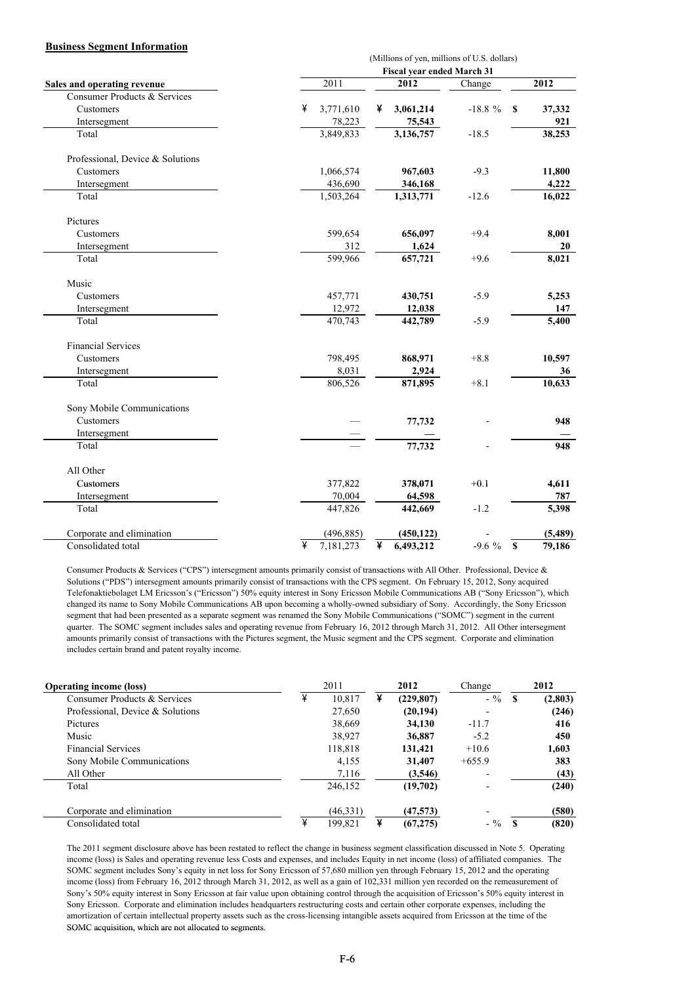#### **Business Segment Information**

|                                  | (Millions of yen, millions of U.S. dollars) |                |                            |                        |  |  |  |  |  |  |  |
|----------------------------------|---------------------------------------------|----------------|----------------------------|------------------------|--|--|--|--|--|--|--|
|                                  |                                             |                | Fiscal year ended March 31 |                        |  |  |  |  |  |  |  |
| Sales and operating revenue      | $\overline{2011}$                           | $\sqrt{2012}$  | Change                     | 2012                   |  |  |  |  |  |  |  |
| Consumer Products & Services     |                                             |                |                            |                        |  |  |  |  |  |  |  |
| Customers                        | 3,771,610<br>¥                              | 3,061,214<br>¥ | $-18.8%$                   | \$<br>37,332           |  |  |  |  |  |  |  |
| Intersegment                     | 78,223                                      | 75,543         |                            | 921                    |  |  |  |  |  |  |  |
| Total                            | 3,849,833                                   | 3,136,757      | $-18.5$                    | 38,253                 |  |  |  |  |  |  |  |
| Professional, Device & Solutions |                                             |                |                            |                        |  |  |  |  |  |  |  |
| Customers                        | 1,066,574                                   | 967,603        | $-9.3$                     | 11,800                 |  |  |  |  |  |  |  |
| Intersegment                     | 436,690                                     | 346,168        |                            | 4,222                  |  |  |  |  |  |  |  |
| Total                            | 1,503,264                                   | 1,313,771      | $-12.6$                    | 16,022                 |  |  |  |  |  |  |  |
| Pictures                         |                                             |                |                            |                        |  |  |  |  |  |  |  |
| Customers                        | 599,654                                     | 656,097        | $+9.4$                     | 8,001                  |  |  |  |  |  |  |  |
| Intersegment                     | 312                                         | 1,624          |                            | 20                     |  |  |  |  |  |  |  |
| Total                            | 599,966                                     | 657,721        | $+9.6$                     | 8,021                  |  |  |  |  |  |  |  |
| Music                            |                                             |                |                            |                        |  |  |  |  |  |  |  |
| Customers                        | 457,771                                     | 430,751        | $-5.9$                     | 5,253                  |  |  |  |  |  |  |  |
| Intersegment                     | 12,972                                      | 12,038         |                            | 147                    |  |  |  |  |  |  |  |
| Total                            | 470,743                                     | 442,789        | $-5.9$                     | 5,400                  |  |  |  |  |  |  |  |
| <b>Financial Services</b>        |                                             |                |                            |                        |  |  |  |  |  |  |  |
| Customers                        | 798,495                                     | 868,971        | $+8.8$                     | 10,597                 |  |  |  |  |  |  |  |
| Intersegment                     | 8,031                                       | 2,924          |                            | 36                     |  |  |  |  |  |  |  |
| Total                            | 806,526                                     | 871,895        | $+8.1$                     | 10,633                 |  |  |  |  |  |  |  |
| Sony Mobile Communications       |                                             |                |                            |                        |  |  |  |  |  |  |  |
| Customers                        |                                             | 77,732         |                            | 948                    |  |  |  |  |  |  |  |
| Intersegment                     |                                             |                |                            |                        |  |  |  |  |  |  |  |
| Total                            |                                             | 77,732         |                            | 948                    |  |  |  |  |  |  |  |
| All Other                        |                                             |                |                            |                        |  |  |  |  |  |  |  |
| Customers                        | 377,822                                     | 378,071        | $+0.1$                     | 4,611                  |  |  |  |  |  |  |  |
| Intersegment                     | 70,004                                      | 64,598         |                            | 787                    |  |  |  |  |  |  |  |
| Total                            | 447,826                                     | 442,669        | $-1.2$                     | 5,398                  |  |  |  |  |  |  |  |
| Corporate and elimination        | (496, 885)                                  | (450, 122)     |                            | (5,489)                |  |  |  |  |  |  |  |
| Consolidated total               | ¥<br>7,181,273                              | ¥<br>6,493,212 | $-9.6 \%$                  | $\mathbf{s}$<br>79,186 |  |  |  |  |  |  |  |

Consumer Products & Services ("CPS") intersegment amounts primarily consist of transactions with All Other. Professional, Device & Solutions ("PDS") intersegment amounts primarily consist of transactions with the CPS segment. On February 15, 2012, Sony acquired Telefonaktiebolaget LM Ericsson's ("Ericsson") 50% equity interest in Sony Ericsson Mobile Communications AB ("Sony Ericsson"), which changed its name to Sony Mobile Communications AB upon becoming a wholly-owned subsidiary of Sony. Accordingly, the Sony Ericsson segment that had been presented as a separate segment was renamed the Sony Mobile Communications ("SOMC") segment in the current quarter. The SOMC segment includes sales and operating revenue from February 16, 2012 through March 31, 2012. All Other intersegment amounts primarily consist of transactions with the Pictures segment, the Music segment and the CPS segment. Corporate and elimination includes certain brand and patent royalty income.

| <b>Operating income (loss)</b>   |   | 2011      | 2012       | Change   |    | 2012     |
|----------------------------------|---|-----------|------------|----------|----|----------|
| Consumer Products & Services     | ¥ | 10,817    | (229, 807) | $-$ %    | -8 | (2, 803) |
| Professional, Device & Solutions |   | 27,650    | (20, 194)  |          |    | (246)    |
| Pictures                         |   | 38,669    | 34,130     | $-11.7$  |    | 416      |
| Music                            |   | 38,927    | 36,887     | $-5.2$   |    | 450      |
| <b>Financial Services</b>        |   | 118,818   | 131,421    | $+10.6$  |    | 1.603    |
| Sony Mobile Communications       |   | 4,155     | 31,407     | $+655.9$ |    | 383      |
| All Other                        |   | 7,116     | (3,546)    |          |    | (43)     |
| Total                            |   | 246,152   | (19,702)   |          |    | (240)    |
| Corporate and elimination        |   | (46, 331) | (47,573)   |          |    | (580)    |
| Consolidated total               | ¥ | 199.821   | (67, 275)  | $-$ %    |    | (820)    |

The 2011 segment disclosure above has been restated to reflect the change in business segment classification discussed in Note 5. Operating income (loss) is Sales and operating revenue less Costs and expenses, and includes Equity in net income (loss) of affiliated companies. The SOMC segment includes Sony's equity in net loss for Sony Ericsson of 57,680 million yen through February 15, 2012 and the operating income (loss) from February 16, 2012 through March 31, 2012, as well as a gain of 102,331 million yen recorded on the remeasurement of Sony's 50% equity interest in Sony Ericsson at fair value upon obtaining control through the acquisition of Ericsson's 50% equity interest in Sony Ericsson. Corporate and elimination includes headquarters restructuring costs and certain other corporate expenses, including the amortization of certain intellectual property assets such as the cross-licensing intangible assets acquired from Ericsson at the time of the SOMC acquisition, which are not allocated to segments.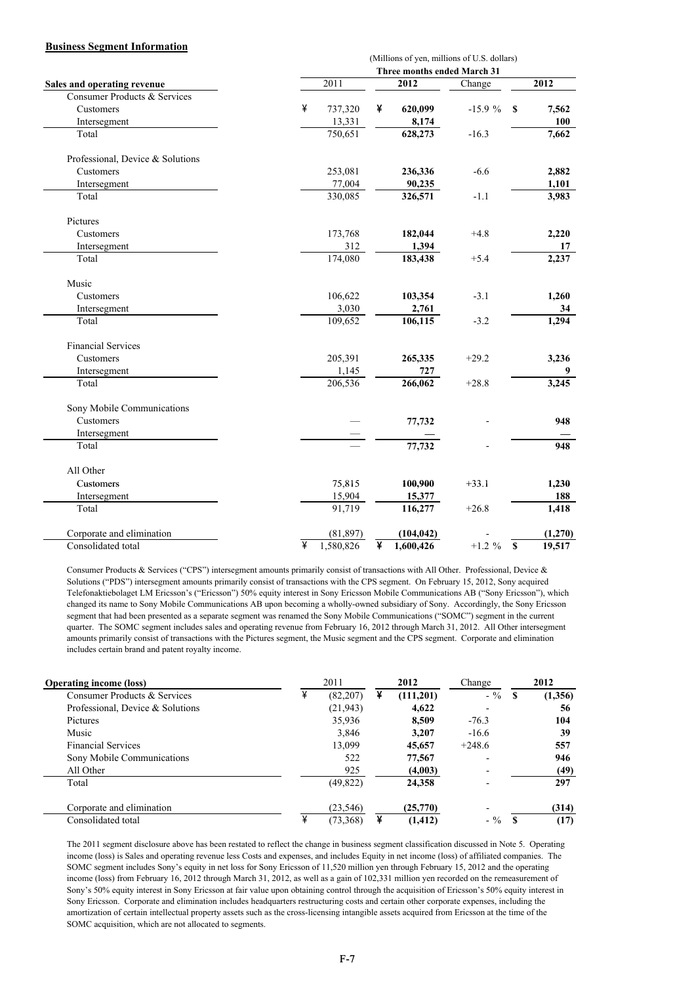#### **Business Segment Information**

|                                  | (Millions of yen, millions of U.S. dollars) |                   |   |                             |           |                       |  |  |  |  |  |  |
|----------------------------------|---------------------------------------------|-------------------|---|-----------------------------|-----------|-----------------------|--|--|--|--|--|--|
|                                  |                                             |                   |   | Three months ended March 31 |           |                       |  |  |  |  |  |  |
| Sales and operating revenue      |                                             | $\overline{2011}$ |   | $\sqrt{2012}$               | Change    | 2012                  |  |  |  |  |  |  |
| Consumer Products & Services     |                                             |                   |   |                             |           |                       |  |  |  |  |  |  |
| Customers                        | ¥                                           | 737,320           | ¥ | 620,099                     | $-15.9%$  | 7,562<br>S            |  |  |  |  |  |  |
| Intersegment                     |                                             | 13,331            |   | 8,174                       |           | 100                   |  |  |  |  |  |  |
| Total                            |                                             | 750,651           |   | 628,273                     | $-16.3$   | 7,662                 |  |  |  |  |  |  |
| Professional, Device & Solutions |                                             |                   |   |                             |           |                       |  |  |  |  |  |  |
| Customers                        |                                             | 253,081           |   | 236,336                     | $-6.6$    | 2,882                 |  |  |  |  |  |  |
| Intersegment                     |                                             | 77,004            |   | 90,235                      |           | 1,101                 |  |  |  |  |  |  |
| Total                            |                                             | 330,085           |   | 326,571                     | $-1.1$    | 3,983                 |  |  |  |  |  |  |
| Pictures                         |                                             |                   |   |                             |           |                       |  |  |  |  |  |  |
| Customers                        |                                             | 173,768           |   | 182,044                     | $+4.8$    | 2,220                 |  |  |  |  |  |  |
| Intersegment                     |                                             | 312               |   | 1,394                       |           | 17                    |  |  |  |  |  |  |
| Total                            |                                             | 174,080           |   | 183,438                     | $+5.4$    | 2,237                 |  |  |  |  |  |  |
| Music                            |                                             |                   |   |                             |           |                       |  |  |  |  |  |  |
| Customers                        |                                             | 106,622           |   | 103,354                     | $-3.1$    | 1,260                 |  |  |  |  |  |  |
| Intersegment                     |                                             | 3,030             |   | 2,761                       |           | 34                    |  |  |  |  |  |  |
| Total                            |                                             | 109,652           |   | 106,115                     | $-3.2$    | 1,294                 |  |  |  |  |  |  |
| <b>Financial Services</b>        |                                             |                   |   |                             |           |                       |  |  |  |  |  |  |
| Customers                        |                                             | 205,391           |   | 265,335                     | $+29.2$   | 3,236                 |  |  |  |  |  |  |
| Intersegment                     |                                             | 1,145             |   | 727                         |           | 9                     |  |  |  |  |  |  |
| Total                            |                                             | 206,536           |   | 266,062                     | $+28.8$   | 3,245                 |  |  |  |  |  |  |
| Sony Mobile Communications       |                                             |                   |   |                             |           |                       |  |  |  |  |  |  |
| Customers                        |                                             |                   |   | 77,732                      |           | 948                   |  |  |  |  |  |  |
| Intersegment                     |                                             |                   |   |                             |           |                       |  |  |  |  |  |  |
| Total                            |                                             |                   |   | 77,732                      |           | 948                   |  |  |  |  |  |  |
| All Other                        |                                             |                   |   |                             |           |                       |  |  |  |  |  |  |
| Customers                        |                                             | 75,815            |   | 100,900                     | $+33.1$   | 1,230                 |  |  |  |  |  |  |
| Intersegment                     |                                             | 15,904            |   | 15,377                      |           | 188                   |  |  |  |  |  |  |
| Total                            |                                             | 91,719            |   | 116,277                     | $+26.8$   | 1,418                 |  |  |  |  |  |  |
| Corporate and elimination        |                                             | (81, 897)         |   | (104, 042)                  |           | (1,270)               |  |  |  |  |  |  |
| Consolidated total               | ¥                                           | 1,580,826         | ¥ | 1,600,426                   | $+1.2 \%$ | $\mathbf S$<br>19,517 |  |  |  |  |  |  |

Consumer Products & Services ("CPS") intersegment amounts primarily consist of transactions with All Other. Professional, Device & Solutions ("PDS") intersegment amounts primarily consist of transactions with the CPS segment. On February 15, 2012, Sony acquired Telefonaktiebolaget LM Ericsson's ("Ericsson") 50% equity interest in Sony Ericsson Mobile Communications AB ("Sony Ericsson"), which changed its name to Sony Mobile Communications AB upon becoming a wholly-owned subsidiary of Sony. Accordingly, the Sony Ericsson segment that had been presented as a separate segment was renamed the Sony Mobile Communications ("SOMC") segment in the current quarter. The SOMC segment includes sales and operating revenue from February 16, 2012 through March 31, 2012. All Other intersegment amounts primarily consist of transactions with the Pictures segment, the Music segment and the CPS segment. Corporate and elimination includes certain brand and patent royalty income.

| <b>Operating income (loss)</b>   | 2011 |           | 2012      | Change   |      | 2012    |
|----------------------------------|------|-----------|-----------|----------|------|---------|
| Consumer Products & Services     | ¥    | (82, 207) | (111,201) | $-$ %    | - \$ | (1,356) |
| Professional, Device & Solutions |      | (21, 943) | 4,622     |          |      | 56      |
| Pictures                         |      | 35,936    | 8,509     | $-76.3$  |      | 104     |
| Music                            |      | 3,846     | 3,207     | $-16.6$  |      | 39      |
| <b>Financial Services</b>        |      | 13.099    | 45,657    | $+248.6$ |      | 557     |
| Sony Mobile Communications       |      | 522       | 77,567    |          |      | 946     |
| All Other                        |      | 925       | (4,003)   |          |      | (49)    |
| Total                            |      | (49, 822) | 24,358    |          |      | 297     |
| Corporate and elimination        |      | (23, 546) | (25,770)  |          |      | (314)   |
| Consolidated total               | ¥    | (73,368)  | (1, 412)  | $-$ %    |      | (17)    |

The 2011 segment disclosure above has been restated to reflect the change in business segment classification discussed in Note 5. Operating income (loss) is Sales and operating revenue less Costs and expenses, and includes Equity in net income (loss) of affiliated companies. The SOMC segment includes Sony's equity in net loss for Sony Ericsson of 11,520 million yen through February 15, 2012 and the operating income (loss) from February 16, 2012 through March 31, 2012, as well as a gain of 102,331 million yen recorded on the remeasurement of Sony's 50% equity interest in Sony Ericsson at fair value upon obtaining control through the acquisition of Ericsson's 50% equity interest in Sony Ericsson. Corporate and elimination includes headquarters restructuring costs and certain other corporate expenses, including the amortization of certain intellectual property assets such as the cross-licensing intangible assets acquired from Ericsson at the time of the SOMC acquisition, which are not allocated to segments.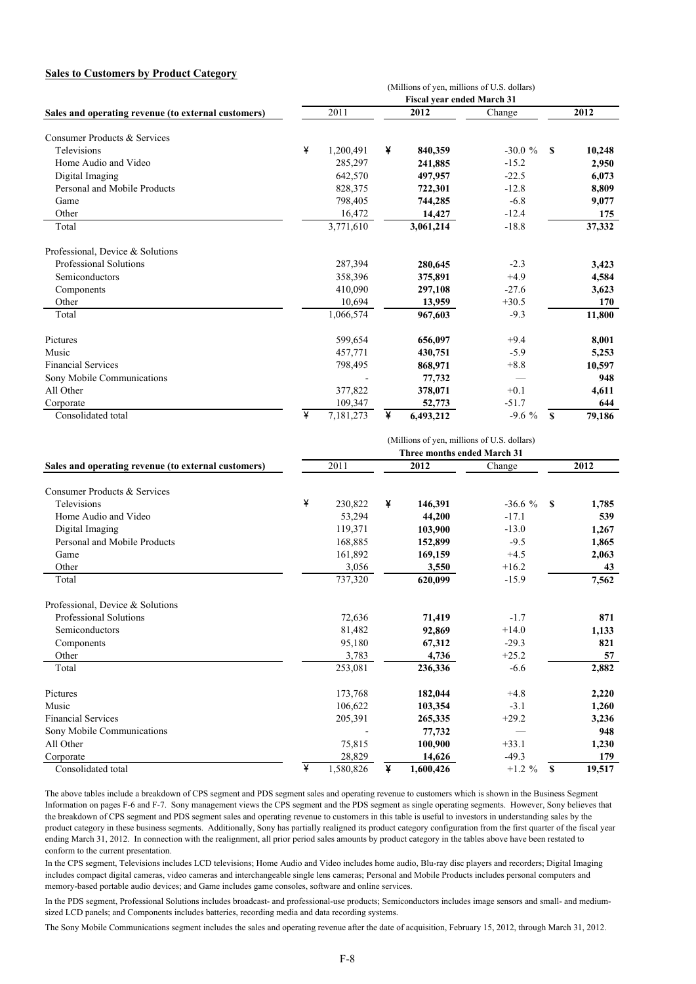#### **Sales to Customers by Product Category**

|                                                     | (Millions of yen, millions of U.S. dollars)<br><b>Fiscal year ended March 31</b> |                        |   |           |            |     |        |  |  |  |  |
|-----------------------------------------------------|----------------------------------------------------------------------------------|------------------------|---|-----------|------------|-----|--------|--|--|--|--|
| Sales and operating revenue (to external customers) |                                                                                  | 2011                   |   | 2012      | Change     |     | 2012   |  |  |  |  |
| Consumer Products & Services                        |                                                                                  |                        |   |           |            |     |        |  |  |  |  |
| Televisions                                         | ¥                                                                                | 1,200,491              | ¥ | 840,359   | $-30.0 \%$ | \$. | 10,248 |  |  |  |  |
| Home Audio and Video                                |                                                                                  | 285,297                |   | 241,885   | $-15.2$    |     | 2,950  |  |  |  |  |
| Digital Imaging                                     |                                                                                  | 642,570                |   | 497,957   | $-22.5$    |     | 6,073  |  |  |  |  |
| Personal and Mobile Products                        |                                                                                  | 828,375                |   | 722,301   | $-12.8$    |     | 8,809  |  |  |  |  |
| Game                                                |                                                                                  | 798,405                |   | 744,285   | $-6.8$     |     | 9,077  |  |  |  |  |
| Other                                               |                                                                                  | 16,472                 |   | 14,427    | $-12.4$    |     | 175    |  |  |  |  |
| Total                                               |                                                                                  | $\overline{3,771,610}$ |   | 3,061,214 | $-18.8$    |     | 37,332 |  |  |  |  |
| Professional, Device & Solutions                    |                                                                                  |                        |   |           |            |     |        |  |  |  |  |
| Professional Solutions                              |                                                                                  | 287,394                |   | 280,645   | $-2.3$     |     | 3,423  |  |  |  |  |
| <b>Semiconductors</b>                               |                                                                                  | 358,396                |   | 375,891   | $+4.9$     |     | 4,584  |  |  |  |  |
| Components                                          |                                                                                  | 410,090                |   | 297,108   | $-27.6$    |     | 3,623  |  |  |  |  |
| Other                                               |                                                                                  | 10,694                 |   | 13,959    | $+30.5$    |     | 170    |  |  |  |  |
| Total                                               |                                                                                  | 1,066,574              |   | 967,603   | $-9.3$     |     | 11,800 |  |  |  |  |
| Pictures                                            |                                                                                  | 599,654                |   | 656,097   | $+9.4$     |     | 8,001  |  |  |  |  |
| Music                                               |                                                                                  | 457,771                |   | 430,751   | $-5.9$     |     | 5,253  |  |  |  |  |
| <b>Financial Services</b>                           |                                                                                  | 798,495                |   | 868,971   | $+8.8$     |     | 10,597 |  |  |  |  |
| Sony Mobile Communications                          |                                                                                  |                        |   | 77,732    |            |     | 948    |  |  |  |  |
| All Other                                           |                                                                                  | 377,822                |   | 378,071   | $+0.1$     |     | 4,611  |  |  |  |  |
| Corporate                                           |                                                                                  | 109,347                |   | 52,773    | $-51.7$    |     | 644    |  |  |  |  |
| Consolidated total                                  | ¥                                                                                | 7,181,273              | ¥ | 6,493,212 | $-9.6 \%$  | S   | 79,186 |  |  |  |  |

|                                                     | (Millions of yen, millions of U.S. dollars) |           |   |                             |           |   |        |  |  |  |  |
|-----------------------------------------------------|---------------------------------------------|-----------|---|-----------------------------|-----------|---|--------|--|--|--|--|
|                                                     |                                             |           |   | Three months ended March 31 |           |   |        |  |  |  |  |
| Sales and operating revenue (to external customers) |                                             | 2011      |   | 2012                        | Change    |   | 2012   |  |  |  |  |
| Consumer Products & Services                        |                                             |           |   |                             |           |   |        |  |  |  |  |
| <b>Televisions</b>                                  | ¥                                           | 230,822   | ¥ | 146,391                     | $-36.6\%$ | S | 1,785  |  |  |  |  |
| Home Audio and Video                                |                                             | 53,294    |   | 44,200                      | $-17.1$   |   | 539    |  |  |  |  |
| Digital Imaging                                     |                                             | 119,371   |   | 103,900                     | $-13.0$   |   | 1,267  |  |  |  |  |
| Personal and Mobile Products                        |                                             | 168,885   |   | 152,899                     | $-9.5$    |   | 1,865  |  |  |  |  |
| Game                                                |                                             | 161,892   |   | 169,159                     | $+4.5$    |   | 2,063  |  |  |  |  |
| Other                                               |                                             | 3,056     |   | 3,550                       | $+16.2$   |   | 43     |  |  |  |  |
| Total                                               |                                             | 737,320   |   | 620,099                     | $-15.9$   |   | 7,562  |  |  |  |  |
| Professional, Device & Solutions                    |                                             |           |   |                             |           |   |        |  |  |  |  |
| Professional Solutions                              |                                             | 72,636    |   | 71,419                      | $-1.7$    |   | 871    |  |  |  |  |
| Semiconductors                                      |                                             | 81,482    |   | 92,869                      | $+14.0$   |   | 1,133  |  |  |  |  |
| Components                                          |                                             | 95,180    |   | 67,312                      | $-29.3$   |   | 821    |  |  |  |  |
| Other                                               |                                             | 3,783     |   | 4,736                       | $+25.2$   |   | 57     |  |  |  |  |
| Total                                               |                                             | 253,081   |   | 236,336                     | $-6.6$    |   | 2,882  |  |  |  |  |
| Pictures                                            |                                             | 173,768   |   | 182,044                     | $+4.8$    |   | 2,220  |  |  |  |  |
| Music                                               |                                             | 106,622   |   | 103,354                     | $-3.1$    |   | 1,260  |  |  |  |  |
| <b>Financial Services</b>                           |                                             | 205,391   |   | 265,335                     | $+29.2$   |   | 3,236  |  |  |  |  |
| Sony Mobile Communications                          |                                             |           |   | 77,732                      |           |   | 948    |  |  |  |  |
| All Other                                           |                                             | 75,815    |   | 100,900                     | $+33.1$   |   | 1,230  |  |  |  |  |
| Corporate                                           |                                             | 28,829    |   | 14,626                      | $-49.3$   |   | 179    |  |  |  |  |
| Consolidated total                                  | ¥                                           | 1,580,826 | ¥ | 1,600,426                   | $+1.2 \%$ | S | 19,517 |  |  |  |  |

The above tables include a breakdown of CPS segment and PDS segment sales and operating revenue to customers which is shown in the Business Segment Information on pages F-6 and F-7. Sony management views the CPS segment and the PDS segment as single operating segments. However, Sony believes that the breakdown of CPS segment and PDS segment sales and operating revenue to customers in this table is useful to investors in understanding sales by the product category in these business segments. Additionally, Sony has partially realigned its product category configuration from the first quarter of the fiscal year ending March 31, 2012. In connection with the realignment, all prior period sales amounts by product category in the tables above have been restated to conform to the current presentation.

In the CPS segment, Televisions includes LCD televisions; Home Audio and Video includes home audio, Blu-ray disc players and recorders; Digital Imaging includes compact digital cameras, video cameras and interchangeable single lens cameras; Personal and Mobile Products includes personal computers and memory-based portable audio devices; and Game includes game consoles, software and online services.

In the PDS segment, Professional Solutions includes broadcast- and professional-use products; Semiconductors includes image sensors and small- and mediumsized LCD panels; and Components includes batteries, recording media and data recording systems.

The Sony Mobile Communications segment includes the sales and operating revenue after the date of acquisition, February 15, 2012, through March 31, 2012.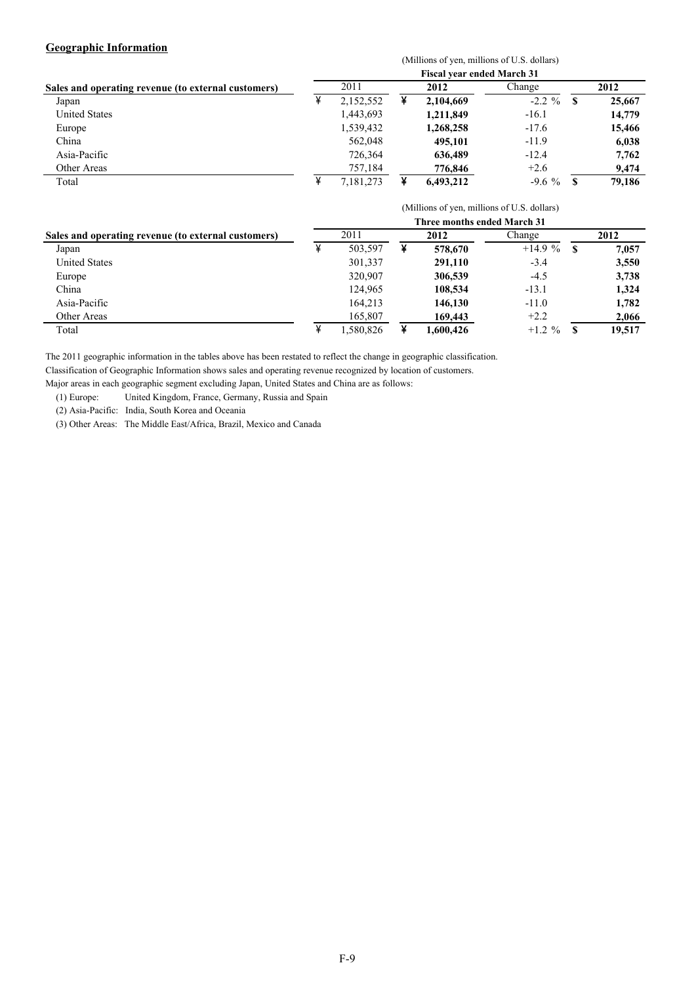#### **Geographic Information**

(Millions of yen, millions of U.S. dollars)

| Sales and operating revenue (to external customers) | <b>Fiscal year ended March 31</b> |           |      |           |           |      |        |  |  |  |  |
|-----------------------------------------------------|-----------------------------------|-----------|------|-----------|-----------|------|--------|--|--|--|--|
|                                                     | 2011                              |           | 2012 |           | Change    | 2012 |        |  |  |  |  |
| Japan                                               |                                   | 2,152,552 | ¥    | 2,104,669 | $-2.2 \%$ |      | 25,667 |  |  |  |  |
| <b>United States</b>                                |                                   | 1,443,693 |      | 1,211,849 | $-16.1$   |      | 14,779 |  |  |  |  |
| Europe                                              |                                   | 1,539,432 |      | 1,268,258 | $-17.6$   |      | 15,466 |  |  |  |  |
| China                                               |                                   | 562,048   |      | 495,101   | $-11.9$   |      | 6,038  |  |  |  |  |
| Asia-Pacific                                        |                                   | 726.364   |      | 636,489   | $-12.4$   |      | 7,762  |  |  |  |  |
| Other Areas                                         |                                   | 757,184   |      | 776,846   | $+2.6$    |      | 9,474  |  |  |  |  |
| Total                                               |                                   | 7,181,273 |      | 6,493,212 | $-9.6\%$  |      | 79,186 |  |  |  |  |

### (Millions of yen, millions of U.S. dollars)

|                                                     | Three months ended March 31 |           |      |           |           |   |        |  |  |  |  |
|-----------------------------------------------------|-----------------------------|-----------|------|-----------|-----------|---|--------|--|--|--|--|
| Sales and operating revenue (to external customers) | 2011                        |           | 2012 |           | Change    |   | 2012   |  |  |  |  |
| Japan                                               |                             | 503,597   |      | 578,670   | $+14.9%$  | S | 7,057  |  |  |  |  |
| <b>United States</b>                                |                             | 301,337   |      | 291,110   | $-3.4$    |   | 3,550  |  |  |  |  |
| Europe                                              |                             | 320,907   |      | 306,539   | $-4.5$    |   | 3,738  |  |  |  |  |
| China                                               |                             | 124,965   |      | 108,534   | $-13.1$   |   | 1,324  |  |  |  |  |
| Asia-Pacific                                        |                             | 164,213   |      | 146,130   | $-11.0$   |   | 1,782  |  |  |  |  |
| Other Areas                                         |                             | 165,807   |      | 169,443   | $+2.2$    |   | 2,066  |  |  |  |  |
| Total                                               |                             | 1,580,826 |      | 1,600,426 | $+1.2 \%$ |   | 19,517 |  |  |  |  |

The 2011 geographic information in the tables above has been restated to reflect the change in geographic classification.

Classification of Geographic Information shows sales and operating revenue recognized by location of customers.

Major areas in each geographic segment excluding Japan, United States and China are as follows:

(1) Europe: United Kingdom, France, Germany, Russia and Spain

(2) Asia-Pacific: India, South Korea and Oceania

(3) Other Areas: The Middle East/Africa, Brazil, Mexico and Canada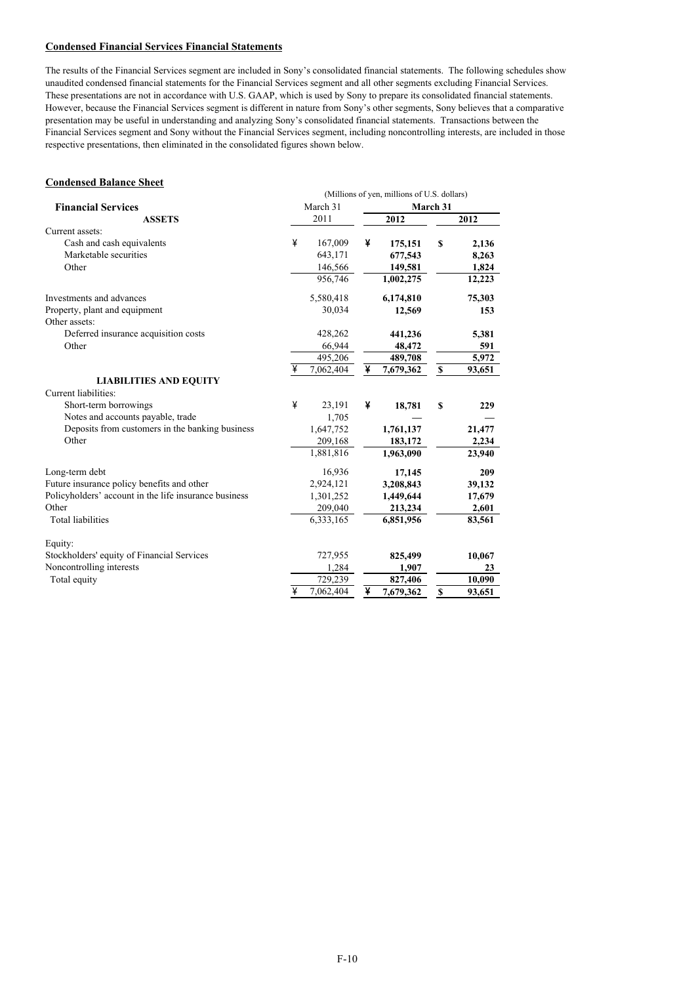#### **Condensed Financial Services Financial Statements**

The results of the Financial Services segment are included in Sony's consolidated financial statements. The following schedules show unaudited condensed financial statements for the Financial Services segment and all other segments excluding Financial Services. These presentations are not in accordance with U.S. GAAP, which is used by Sony to prepare its consolidated financial statements. However, because the Financial Services segment is different in nature from Sony's other segments, Sony believes that a comparative presentation may be useful in understanding and analyzing Sony's consolidated financial statements. Transactions between the Financial Services segment and Sony without the Financial Services segment, including noncontrolling interests, are included in those respective presentations, then eliminated in the consolidated figures shown below.

#### **Condensed Balance Sheet**

|                                                       | (Millions of yen, millions of U.S. dollars) |           |   |           |             |        |  |  |  |  |
|-------------------------------------------------------|---------------------------------------------|-----------|---|-----------|-------------|--------|--|--|--|--|
| <b>Financial Services</b>                             |                                             | March 31  |   |           | March 31    |        |  |  |  |  |
| <b>ASSETS</b>                                         |                                             | 2011      |   | 2012      |             | 2012   |  |  |  |  |
| Current assets:                                       |                                             |           |   |           |             |        |  |  |  |  |
| Cash and cash equivalents                             | ¥                                           | 167,009   | ¥ | 175,151   | S           | 2,136  |  |  |  |  |
| Marketable securities                                 |                                             | 643,171   |   | 677,543   |             | 8,263  |  |  |  |  |
| Other                                                 |                                             | 146,566   |   | 149,581   |             | 1,824  |  |  |  |  |
|                                                       |                                             | 956,746   |   | 1,002,275 |             | 12,223 |  |  |  |  |
| Investments and advances                              |                                             | 5,580,418 |   | 6,174,810 |             | 75,303 |  |  |  |  |
| Property, plant and equipment                         |                                             | 30,034    |   | 12,569    |             | 153    |  |  |  |  |
| Other assets:                                         |                                             |           |   |           |             |        |  |  |  |  |
| Deferred insurance acquisition costs                  |                                             | 428,262   |   | 441,236   |             | 5,381  |  |  |  |  |
| Other                                                 |                                             | 66,944    |   | 48,472    |             | 591    |  |  |  |  |
|                                                       |                                             | 495,206   |   | 489,708   |             | 5,972  |  |  |  |  |
|                                                       | ¥                                           | 7,062,404 | ¥ | 7,679,362 | $\mathbb S$ | 93,651 |  |  |  |  |
| <b>LIABILITIES AND EQUITY</b><br>Current liabilities: |                                             |           |   |           |             |        |  |  |  |  |
| Short-term borrowings                                 | ¥                                           | 23,191    | ¥ | 18,781    | S           | 229    |  |  |  |  |
| Notes and accounts payable, trade                     |                                             | 1,705     |   |           |             |        |  |  |  |  |
| Deposits from customers in the banking business       |                                             | 1,647,752 |   | 1,761,137 |             | 21,477 |  |  |  |  |
| Other                                                 |                                             | 209,168   |   | 183,172   |             | 2,234  |  |  |  |  |
|                                                       |                                             | 1,881,816 |   | 1,963,090 |             | 23,940 |  |  |  |  |
| Long-term debt                                        |                                             | 16,936    |   | 17,145    |             | 209    |  |  |  |  |
| Future insurance policy benefits and other            |                                             | 2,924,121 |   | 3,208,843 |             | 39,132 |  |  |  |  |
| Policyholders' account in the life insurance business |                                             | 1,301,252 |   | 1,449,644 |             | 17,679 |  |  |  |  |
| Other                                                 |                                             | 209,040   |   | 213,234   |             | 2,601  |  |  |  |  |
| <b>Total liabilities</b>                              |                                             | 6,333,165 |   | 6,851,956 |             | 83,561 |  |  |  |  |
| Equity:                                               |                                             |           |   |           |             |        |  |  |  |  |
| Stockholders' equity of Financial Services            |                                             | 727,955   |   | 825,499   |             | 10,067 |  |  |  |  |
| Noncontrolling interests                              |                                             | 1,284     |   | 1,907     |             | 23     |  |  |  |  |
| Total equity                                          |                                             | 729,239   |   | 827,406   |             | 10,090 |  |  |  |  |
|                                                       | ¥                                           | 7,062,404 | ¥ | 7,679,362 | \$          | 93,651 |  |  |  |  |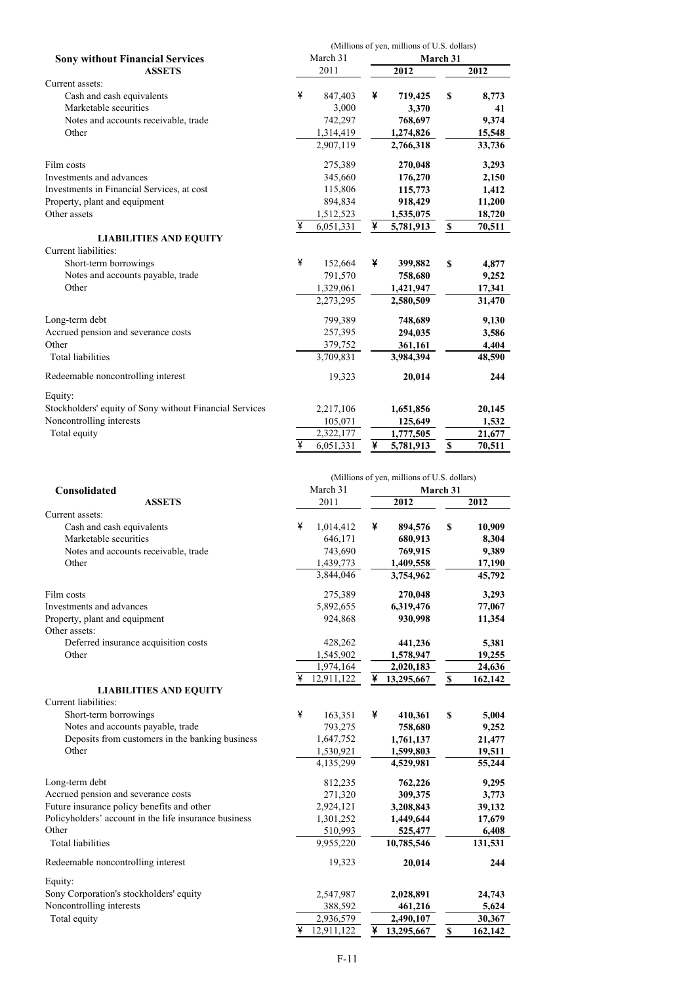|                                                         | (Millions of yen, millions of U.S. dollars) |           |          |           |             |        |  |  |  |  |
|---------------------------------------------------------|---------------------------------------------|-----------|----------|-----------|-------------|--------|--|--|--|--|
| <b>Sony without Financial Services</b>                  |                                             | March 31  | March 31 |           |             |        |  |  |  |  |
| <b>ASSETS</b>                                           |                                             | 2011      |          | 2012      |             | 2012   |  |  |  |  |
| Current assets:                                         |                                             |           |          |           |             |        |  |  |  |  |
| Cash and cash equivalents                               | ¥                                           | 847,403   | ¥        | 719,425   | S           | 8,773  |  |  |  |  |
| Marketable securities                                   |                                             | 3,000     |          | 3,370     |             | 41     |  |  |  |  |
| Notes and accounts receivable, trade                    |                                             | 742,297   |          | 768,697   |             | 9,374  |  |  |  |  |
| Other                                                   |                                             | 1,314,419 |          | 1,274,826 |             | 15,548 |  |  |  |  |
|                                                         |                                             | 2,907,119 |          | 2,766,318 |             | 33,736 |  |  |  |  |
| Film costs                                              |                                             | 275,389   |          | 270,048   |             | 3,293  |  |  |  |  |
| Investments and advances                                |                                             | 345,660   |          | 176,270   |             | 2,150  |  |  |  |  |
| Investments in Financial Services, at cost              |                                             | 115,806   |          | 115,773   |             | 1,412  |  |  |  |  |
| Property, plant and equipment                           |                                             | 894,834   |          | 918,429   |             | 11,200 |  |  |  |  |
| Other assets                                            |                                             | 1,512,523 |          | 1,535,075 |             | 18,720 |  |  |  |  |
|                                                         | ¥                                           | 6,051,331 | ¥        | 5,781,913 | \$          | 70,511 |  |  |  |  |
| <b>LIABILITIES AND EQUITY</b>                           |                                             |           |          |           |             |        |  |  |  |  |
| Current liabilities:                                    |                                             |           |          |           |             |        |  |  |  |  |
| Short-term borrowings                                   | ¥                                           | 152,664   | ¥        | 399,882   | S           | 4,877  |  |  |  |  |
| Notes and accounts payable, trade                       |                                             | 791,570   |          | 758,680   |             | 9,252  |  |  |  |  |
| Other                                                   |                                             | 1,329,061 |          | 1,421,947 |             | 17,341 |  |  |  |  |
|                                                         |                                             | 2,273,295 |          | 2,580,509 |             | 31,470 |  |  |  |  |
| Long-term debt                                          |                                             | 799,389   |          | 748,689   |             | 9,130  |  |  |  |  |
| Accrued pension and severance costs                     |                                             | 257,395   |          | 294,035   |             | 3,586  |  |  |  |  |
| Other                                                   |                                             | 379,752   |          | 361,161   |             | 4,404  |  |  |  |  |
| <b>Total liabilities</b>                                |                                             | 3,709,831 |          | 3,984,394 |             | 48,590 |  |  |  |  |
| Redeemable noncontrolling interest                      |                                             | 19,323    |          | 20,014    |             | 244    |  |  |  |  |
| Equity:                                                 |                                             |           |          |           |             |        |  |  |  |  |
| Stockholders' equity of Sony without Financial Services |                                             | 2,217,106 |          | 1,651,856 |             | 20,145 |  |  |  |  |
| Noncontrolling interests                                |                                             | 105,071   |          | 125,649   |             | 1,532  |  |  |  |  |
| Total equity                                            |                                             | 2,322,177 |          | 1,777,505 |             | 21,677 |  |  |  |  |
|                                                         | ¥                                           | 6,051,331 | ¥        | 5,781,913 | $\mathbf S$ | 70,511 |  |  |  |  |

|                                                       |                        | (Millions of yen, millions of U.S. dollars) |                        |
|-------------------------------------------------------|------------------------|---------------------------------------------|------------------------|
| Consolidated                                          | March 31               |                                             | March 31               |
| <b>ASSETS</b>                                         | 2011                   | 2012                                        | 2012                   |
| Current assets:                                       |                        |                                             |                        |
| Cash and cash equivalents                             | ¥<br>1,014,412         | ¥<br>894,576                                | S<br>10,909            |
| Marketable securities                                 | 646,171                | 680,913                                     | 8,304                  |
| Notes and accounts receivable, trade                  | 743,690                | 769,915                                     | 9,389                  |
| Other                                                 | 1,439,773              | 1,409,558                                   | 17,190                 |
|                                                       | 3,844,046              | 3,754,962                                   | 45,792                 |
| Film costs                                            | 275,389                | 270,048                                     | 3,293                  |
| Investments and advances                              | 5,892,655              | 6,319,476                                   | 77,067                 |
| Property, plant and equipment<br>Other assets:        | 924,868                | 930,998                                     | 11,354                 |
| Deferred insurance acquisition costs                  | 428,262                | 441,236                                     | 5,381                  |
| Other                                                 | 1,545,902              | 1,578,947                                   | 19,255                 |
|                                                       | $\overline{1,}974,164$ | 2,020,183                                   | 24,636                 |
|                                                       | ¥<br>12,911,122        | ¥<br>13,295,667                             | $\mathbb S$<br>162,142 |
| <b>LIABILITIES AND EQUITY</b><br>Current liabilities: |                        |                                             |                        |
| Short-term borrowings                                 | ¥<br>163,351           | ¥                                           | 5,004<br>S             |
| Notes and accounts payable, trade                     | 793,275                | 410,361                                     |                        |
| Deposits from customers in the banking business       | 1,647,752              | 758,680                                     | 9,252                  |
| Other                                                 | 1,530,921              | 1,761,137<br>1,599,803                      | 21,477<br>19,511       |
|                                                       | 4,135,299              | 4,529,981                                   | 55,244                 |
|                                                       |                        |                                             |                        |
| Long-term debt                                        | 812,235                | 762,226                                     | 9,295                  |
| Accrued pension and severance costs                   | 271,320                | 309,375                                     | 3,773                  |
| Future insurance policy benefits and other            | 2,924,121              | 3,208,843                                   | 39,132                 |
| Policyholders' account in the life insurance business | 1,301,252              | 1,449,644                                   | 17,679                 |
| Other                                                 | 510,993                | 525,477                                     | 6,408                  |
| <b>Total liabilities</b>                              | 9,955,220              | 10,785,546                                  | 131,531                |
| Redeemable noncontrolling interest                    | 19,323                 | 20,014                                      | 244                    |
| Equity:                                               |                        |                                             |                        |
| Sony Corporation's stockholders' equity               | 2,547,987              | 2,028,891                                   | 24,743                 |
| Noncontrolling interests                              | 388,592                | 461,216                                     | 5,624                  |
| Total equity                                          | 2,936,579              | 2,490,107                                   | 30,367                 |
|                                                       | ¥<br>12,911,122        | ¥<br>13,295,667                             | \$<br>162,142          |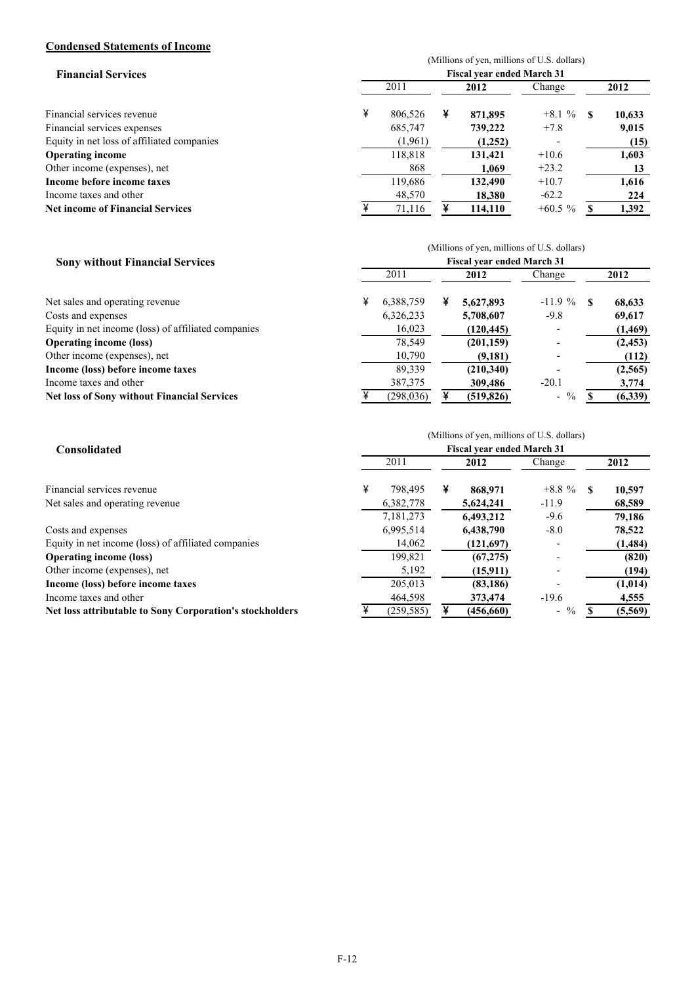#### **Condensed Statements of Income**

|                                            | (Millions of yen, millions of U.S. dollars) |                                   |      |         |            |     |        |  |  |  |  |
|--------------------------------------------|---------------------------------------------|-----------------------------------|------|---------|------------|-----|--------|--|--|--|--|
| <b>Financial Services</b>                  |                                             | <b>Fiscal year ended March 31</b> |      |         |            |     |        |  |  |  |  |
|                                            |                                             | 2011                              | 2012 |         | Change     |     | 2012   |  |  |  |  |
| Financial services revenue                 | ¥                                           | 806,526                           | ¥    | 871,895 | $+8.1%$    | \$. | 10,633 |  |  |  |  |
| Financial services expenses                |                                             | 685,747                           |      | 739,222 | $+7.8$     |     | 9,015  |  |  |  |  |
| Equity in net loss of affiliated companies |                                             | (1,961)                           |      | (1,252) |            |     | (15)   |  |  |  |  |
| <b>Operating income</b>                    |                                             | 118,818                           |      | 131,421 | $+10.6$    |     | 1,603  |  |  |  |  |
| Other income (expenses), net               |                                             | 868                               |      | 1,069   | $+23.2$    |     | 13     |  |  |  |  |
| Income before income taxes                 |                                             | 119.686                           |      | 132,490 | $+10.7$    |     | 1,616  |  |  |  |  |
| Income taxes and other                     |                                             | 48,570                            |      | 18,380  | $-62.2$    |     | 224    |  |  |  |  |
| <b>Net income of Financial Services</b>    |                                             | 71.116                            |      | 114,110 | $+60.5 \%$ | \$. | 1.392  |  |  |  |  |

|                                                     | (Millions of yen, millions of U.S. dollars) |            |  |                                   |                                           |   |          |  |  |  |  |
|-----------------------------------------------------|---------------------------------------------|------------|--|-----------------------------------|-------------------------------------------|---|----------|--|--|--|--|
| <b>Sony without Financial Services</b>              |                                             |            |  | <b>Fiscal year ended March 31</b> |                                           |   |          |  |  |  |  |
|                                                     |                                             | 2011       |  | 2012                              | Change                                    |   | 2012     |  |  |  |  |
| Net sales and operating revenue                     | ¥                                           | 6.388.759  |  | 5,627,893                         | $-11.9%$                                  | S | 68,633   |  |  |  |  |
| Costs and expenses                                  |                                             | 6,326,233  |  | 5,708,607                         | $-9.8$                                    |   | 69,617   |  |  |  |  |
| Equity in net income (loss) of affiliated companies |                                             | 16,023     |  | (120, 445)                        |                                           |   | (1, 469) |  |  |  |  |
| <b>Operating income (loss)</b>                      |                                             | 78.549     |  | (201, 159)                        |                                           |   | (2, 453) |  |  |  |  |
| Other income (expenses), net                        |                                             | 10,790     |  | (9,181)                           |                                           |   | (112)    |  |  |  |  |
| Income (loss) before income taxes                   |                                             | 89.339     |  | (210,340)                         |                                           |   | (2, 565) |  |  |  |  |
| Income taxes and other                              |                                             | 387, 375   |  | 309,486                           | $-20.1$                                   |   | 3,774    |  |  |  |  |
| <b>Net loss of Sony without Financial Services</b>  |                                             | (298, 036) |  | (519, 826)                        | $\frac{0}{0}$<br>$\overline{\phantom{0}}$ |   | (6,339)  |  |  |  |  |

| <b>Consolidated</b>                                      |   | (Millions of yen, millions of U.S. dollars)<br><b>Fiscal year ended March 31</b> |      |            |         |      |          |  |  |  |  |
|----------------------------------------------------------|---|----------------------------------------------------------------------------------|------|------------|---------|------|----------|--|--|--|--|
|                                                          |   | 2011                                                                             | 2012 |            | Change  | 2012 |          |  |  |  |  |
| Financial services revenue                               | ¥ | 798.495                                                                          | ¥    | 868,971    | $+8.8%$ | S    | 10,597   |  |  |  |  |
| Net sales and operating revenue.                         |   | 6,382,778                                                                        |      | 5,624,241  | $-11.9$ |      | 68,589   |  |  |  |  |
|                                                          |   | 7,181,273                                                                        |      | 6.493.212  | $-9.6$  |      | 79,186   |  |  |  |  |
| Costs and expenses                                       |   | 6,995,514                                                                        |      | 6,438,790  | $-8.0$  |      | 78,522   |  |  |  |  |
| Equity in net income (loss) of affiliated companies      |   | 14,062                                                                           |      | (121,697)  |         |      | (1, 484) |  |  |  |  |
| <b>Operating income (loss)</b>                           |   | 199.821                                                                          |      | (67, 275)  |         |      | (820)    |  |  |  |  |
| Other income (expenses), net                             |   | 5,192                                                                            |      | (15,911)   |         |      | (194)    |  |  |  |  |
| Income (loss) before income taxes                        |   | 205,013                                                                          |      | (83, 186)  |         |      | (1, 014) |  |  |  |  |
| Income taxes and other                                   |   | 464,598                                                                          |      | 373,474    | $-19.6$ |      | 4,555    |  |  |  |  |
| Net loss attributable to Sony Corporation's stockholders |   | (259, 585)                                                                       |      | (456, 660) | $-$ %   |      | (5, 569) |  |  |  |  |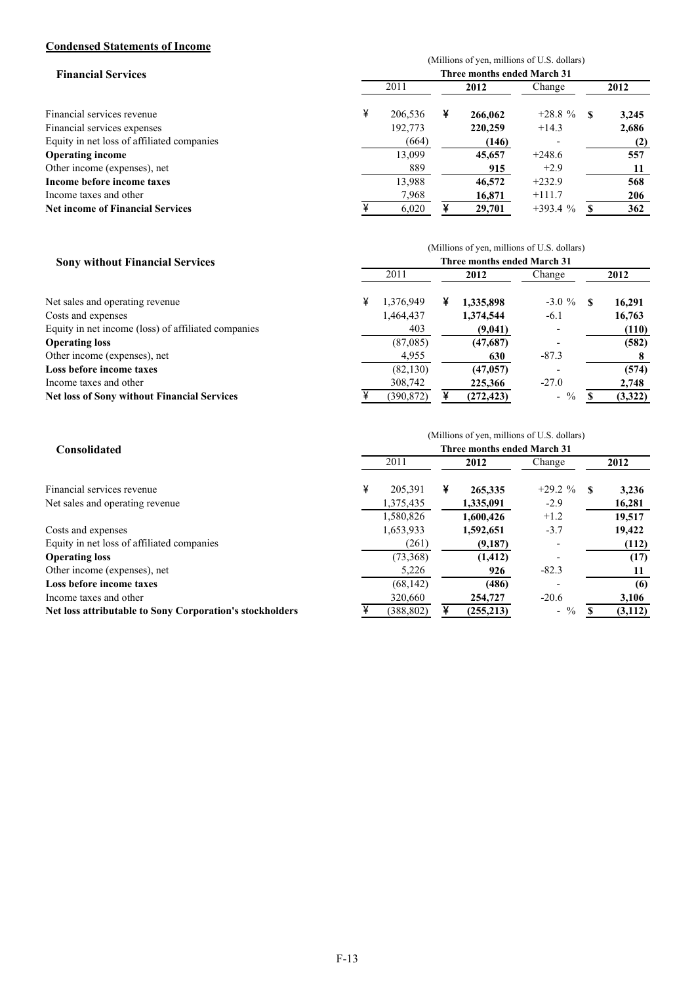#### **Condensed Statements of Income**

|                                            | (Millions of yen, millions of U.S. dollars) |                             |   |         |           |     |       |  |  |  |  |
|--------------------------------------------|---------------------------------------------|-----------------------------|---|---------|-----------|-----|-------|--|--|--|--|
| <b>Financial Services</b>                  |                                             | Three months ended March 31 |   |         |           |     |       |  |  |  |  |
|                                            |                                             | 2011                        |   | 2012    | Change    |     | 2012  |  |  |  |  |
| Financial services revenue                 | ¥                                           | 206.536                     | ¥ | 266,062 | $+28.8%$  | -SS | 3,245 |  |  |  |  |
| Financial services expenses                |                                             | 192,773                     |   | 220,259 | $+14.3$   |     | 2,686 |  |  |  |  |
| Equity in net loss of affiliated companies |                                             | (664)                       |   | (146)   |           |     | (2)   |  |  |  |  |
| <b>Operating income</b>                    |                                             | 13,099                      |   | 45,657  | $+248.6$  |     | 557   |  |  |  |  |
| Other income (expenses), net               |                                             | 889                         |   | 915     | $+2.9$    |     | 11    |  |  |  |  |
| Income before income taxes                 |                                             | 13.988                      |   | 46,572  | $+232.9$  |     | 568   |  |  |  |  |
| Income taxes and other                     |                                             | 7,968                       |   | 16,871  | $+111.7$  |     | 206   |  |  |  |  |
| <b>Net income of Financial Services</b>    |                                             | 6.020                       |   | 29,701  | $+393.4%$ | \$. | 362   |  |  |  |  |

| (Millions of yen, millions of U.S. dollars) |            |      |            |                                  |    |         |  |  |  |  |  |
|---------------------------------------------|------------|------|------------|----------------------------------|----|---------|--|--|--|--|--|
| Three months ended March 31                 |            |      |            |                                  |    |         |  |  |  |  |  |
|                                             | 2011       | 2012 |            | Change                           |    | 2012    |  |  |  |  |  |
| ¥                                           | 1,376,949  |      | 1,335,898  | $-3.0 \%$                        | £. | 16,291  |  |  |  |  |  |
|                                             | 1,464,437  |      | 1,374,544  | $-6.1$                           |    | 16,763  |  |  |  |  |  |
|                                             | 403        |      | (9,041)    |                                  |    | (110)   |  |  |  |  |  |
|                                             | (87,085)   |      | (47,687)   |                                  |    | (582)   |  |  |  |  |  |
|                                             | 4,955      |      | 630        | $-87.3$                          |    |         |  |  |  |  |  |
|                                             | (82, 130)  |      | (47, 057)  |                                  |    | (574)   |  |  |  |  |  |
|                                             | 308,742    |      | 225,366    | $-27.0$                          |    | 2,748   |  |  |  |  |  |
|                                             | (390, 872) |      | (272, 423) | $\%$<br>$\overline{\phantom{0}}$ |    | (3,322) |  |  |  |  |  |
|                                             |            |      |            |                                  |    |         |  |  |  |  |  |

|  | (Millions of yen, millions of U.S. dollars) |  |  |
|--|---------------------------------------------|--|--|
|--|---------------------------------------------|--|--|

| <b>Consolidated</b>                                      | Three months ended March 31 |            |      |            |                                  |   |         |  |  |
|----------------------------------------------------------|-----------------------------|------------|------|------------|----------------------------------|---|---------|--|--|
|                                                          |                             | 2011       | 2012 |            | Change                           |   | 2012    |  |  |
| Financial services revenue                               | ¥                           | 205.391    |      | 265,335    | $+29.2%$                         | S | 3,236   |  |  |
| Net sales and operating revenue.                         |                             | 1,375,435  |      | 1,335,091  | $-2.9$                           |   | 16,281  |  |  |
|                                                          |                             | 1,580,826  |      | 1,600,426  | $+1.2$                           |   | 19,517  |  |  |
| Costs and expenses                                       |                             | 1,653,933  |      | 1,592,651  | $-3.7$                           |   | 19,422  |  |  |
| Equity in net loss of affiliated companies               |                             | (261)      |      | (9,187)    |                                  |   | (112)   |  |  |
| <b>Operating loss</b>                                    |                             | (73,368)   |      | (1, 412)   |                                  |   | (17)    |  |  |
| Other income (expenses), net                             |                             | 5,226      |      | 926        | $-82.3$                          |   | 11      |  |  |
| Loss before income taxes                                 |                             | (68, 142)  |      | (486)      |                                  |   | (6)     |  |  |
| Income taxes and other                                   |                             | 320,660    |      | 254,727    | $-20.6$                          |   | 3,106   |  |  |
| Net loss attributable to Sony Corporation's stockholders |                             | (388, 802) |      | (255, 213) | $\%$<br>$\overline{\phantom{0}}$ |   | (3,112) |  |  |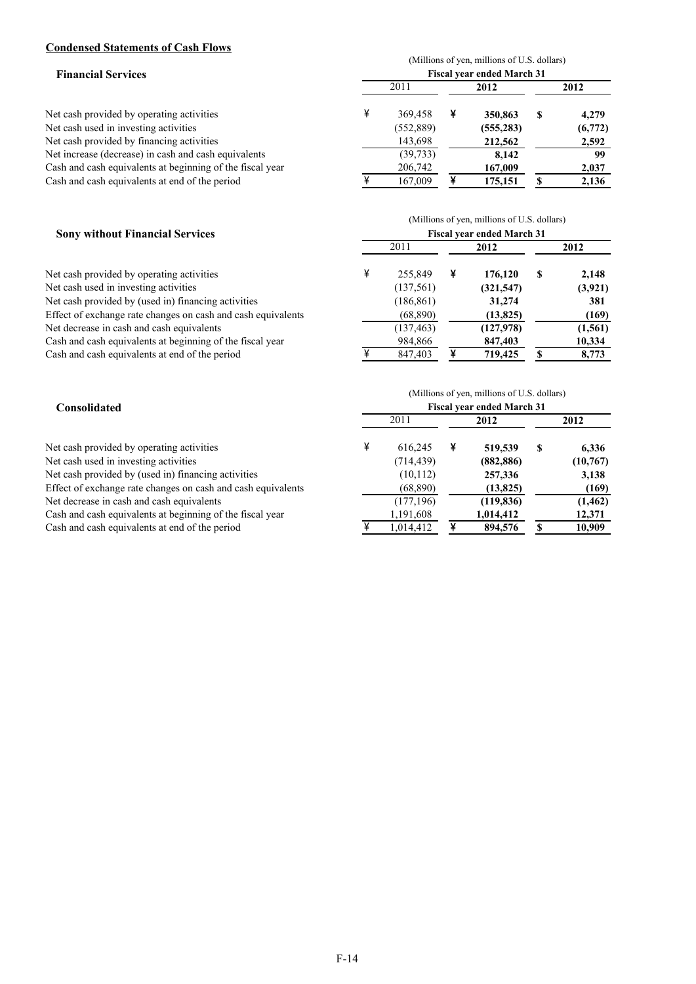## **Condensed Statements of Cash Flows**

| Congensea Statements of Cash Flows                        |                                                                                  |            |   |            |   |         |  |  |  |
|-----------------------------------------------------------|----------------------------------------------------------------------------------|------------|---|------------|---|---------|--|--|--|
|                                                           | (Millions of yen, millions of U.S. dollars)<br><b>Fiscal year ended March 31</b> |            |   |            |   |         |  |  |  |
| <b>Financial Services</b>                                 |                                                                                  |            |   |            |   |         |  |  |  |
|                                                           |                                                                                  | 2011       |   | 2012       |   | 2012    |  |  |  |
| Net cash provided by operating activities                 | ¥                                                                                | 369.458    | ¥ | 350,863    | S | 4,279   |  |  |  |
| Net cash used in investing activities                     |                                                                                  | (552, 889) |   | (555, 283) |   | (6,772) |  |  |  |
| Net cash provided by financing activities                 |                                                                                  | 143,698    |   | 212,562    |   | 2,592   |  |  |  |
| Net increase (decrease) in cash and cash equivalents      |                                                                                  | (39,733)   |   | 8,142      |   | 99      |  |  |  |
| Cash and cash equivalents at beginning of the fiscal year |                                                                                  | 206,742    |   | 167,009    |   | 2,037   |  |  |  |
| Cash and cash equivalents at end of the period            |                                                                                  | 167,009    |   | 175,151    |   | 2,136   |  |  |  |
|                                                           |                                                                                  |            |   |            |   |         |  |  |  |

|                                                              | (Millions of yen, millions of U.S. dollars)<br><b>Fiscal year ended March 31</b> |            |   |            |   |          |  |  |  |
|--------------------------------------------------------------|----------------------------------------------------------------------------------|------------|---|------------|---|----------|--|--|--|
| <b>Sony without Financial Services</b>                       |                                                                                  |            |   |            |   |          |  |  |  |
|                                                              |                                                                                  | 2011       |   | 2012       |   | 2012     |  |  |  |
| Net cash provided by operating activities                    | ¥                                                                                | 255.849    | ¥ | 176,120    | S | 2,148    |  |  |  |
| Net cash used in investing activities                        |                                                                                  | (137, 561) |   | (321, 547) |   | (3,921)  |  |  |  |
| Net cash provided by (used in) financing activities          |                                                                                  | (186, 861) |   | 31,274     |   | 381      |  |  |  |
| Effect of exchange rate changes on cash and cash equivalents |                                                                                  | (68, 890)  |   | (13, 825)  |   | (169)    |  |  |  |
| Net decrease in cash and cash equivalents                    |                                                                                  | (137, 463) |   | (127,978)  |   | (1, 561) |  |  |  |
| Cash and cash equivalents at beginning of the fiscal year    |                                                                                  | 984,866    |   | 847,403    |   | 10,334   |  |  |  |
| Cash and cash equivalents at end of the period               |                                                                                  | 847,403    |   | 719,425    |   | 8,773    |  |  |  |

| Consolidated                                                 | (Millions of yen, millions of U.S. dollars)<br><b>Fiscal year ended March 31</b> |            |   |            |    |          |  |  |  |
|--------------------------------------------------------------|----------------------------------------------------------------------------------|------------|---|------------|----|----------|--|--|--|
|                                                              |                                                                                  | 2011       |   | 2012       |    | 2012     |  |  |  |
| Net cash provided by operating activities                    | ¥                                                                                | 616.245    | ¥ | 519,539    | £. | 6,336    |  |  |  |
| Net cash used in investing activities                        |                                                                                  | (714, 439) |   | (882, 886) |    | (10,767) |  |  |  |
| Net cash provided by (used in) financing activities          |                                                                                  | (10, 112)  |   | 257,336    |    | 3,138    |  |  |  |
| Effect of exchange rate changes on cash and cash equivalents |                                                                                  | (68, 890)  |   | (13, 825)  |    | (169)    |  |  |  |
| Net decrease in cash and cash equivalents                    |                                                                                  | (177, 196) |   | (119, 836) |    | (1, 462) |  |  |  |
| Cash and cash equivalents at beginning of the fiscal year    |                                                                                  | 1,191,608  |   | 1,014,412  |    | 12,371   |  |  |  |
| Cash and cash equivalents at end of the period               |                                                                                  | 1,014,412  |   | 894,576    |    | 10,909   |  |  |  |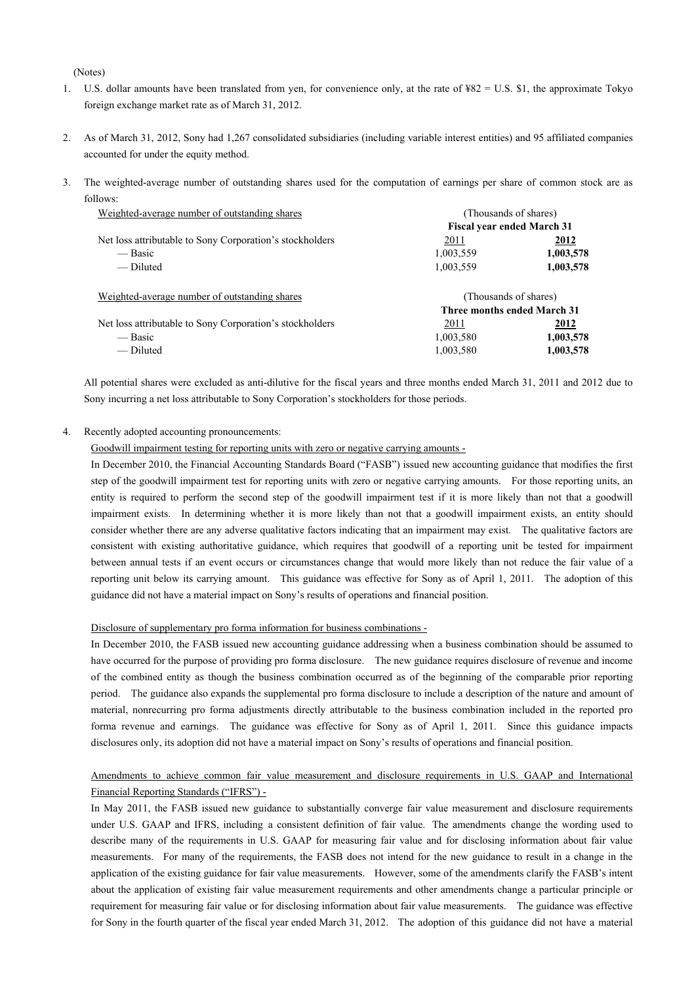(Notes)

- 1. U.S. dollar amounts have been translated from yen, for convenience only, at the rate of ¥82 = U.S. \$1, the approximate Tokyo foreign exchange market rate as of March 31, 2012.
- 2. As of March 31, 2012, Sony had 1,267 consolidated subsidiaries (including variable interest entities) and 95 affiliated companies accounted for under the equity method.
- 3. The weighted-average number of outstanding shares used for the computation of earnings per share of common stock are as follows:

| 2011      | 2012                                                                                                               |
|-----------|--------------------------------------------------------------------------------------------------------------------|
| 1,003,559 | 1,003,578                                                                                                          |
| 1,003,559 | 1,003,578                                                                                                          |
|           |                                                                                                                    |
|           |                                                                                                                    |
| 2011      | 2012                                                                                                               |
| 1,003,580 | 1,003,578                                                                                                          |
| 1,003,580 | 1,003,578                                                                                                          |
|           | (Thousands of shares)<br><b>Fiscal year ended March 31</b><br>(Thousands of shares)<br>Three months ended March 31 |

All potential shares were excluded as anti-dilutive for the fiscal years and three months ended March 31, 2011 and 2012 due to Sony incurring a net loss attributable to Sony Corporation's stockholders for those periods.

#### 4. Recently adopted accounting pronouncements:

Goodwill impairment testing for reporting units with zero or negative carrying amounts -

In December 2010, the Financial Accounting Standards Board ("FASB") issued new accounting guidance that modifies the first step of the goodwill impairment test for reporting units with zero or negative carrying amounts. For those reporting units, an entity is required to perform the second step of the goodwill impairment test if it is more likely than not that a goodwill impairment exists. In determining whether it is more likely than not that a goodwill impairment exists, an entity should consider whether there are any adverse qualitative factors indicating that an impairment may exist. The qualitative factors are consistent with existing authoritative guidance, which requires that goodwill of a reporting unit be tested for impairment between annual tests if an event occurs or circumstances change that would more likely than not reduce the fair value of a reporting unit below its carrying amount. This guidance was effective for Sony as of April 1, 2011. The adoption of this guidance did not have a material impact on Sony's results of operations and financial position.

#### Disclosure of supplementary pro forma information for business combinations -

In December 2010, the FASB issued new accounting guidance addressing when a business combination should be assumed to have occurred for the purpose of providing pro forma disclosure. The new guidance requires disclosure of revenue and income of the combined entity as though the business combination occurred as of the beginning of the comparable prior reporting period. The guidance also expands the supplemental pro forma disclosure to include a description of the nature and amount of material, nonrecurring pro forma adjustments directly attributable to the business combination included in the reported pro forma revenue and earnings. The guidance was effective for Sony as of April 1, 2011. Since this guidance impacts disclosures only, its adoption did not have a material impact on Sony's results of operations and financial position.

#### Amendments to achieve common fair value measurement and disclosure requirements in U.S. GAAP and International Financial Reporting Standards ("IFRS") -

In May 2011, the FASB issued new guidance to substantially converge fair value measurement and disclosure requirements under U.S. GAAP and IFRS, including a consistent definition of fair value. The amendments change the wording used to describe many of the requirements in U.S. GAAP for measuring fair value and for disclosing information about fair value measurements. For many of the requirements, the FASB does not intend for the new guidance to result in a change in the application of the existing guidance for fair value measurements. However, some of the amendments clarify the FASB's intent about the application of existing fair value measurement requirements and other amendments change a particular principle or requirement for measuring fair value or for disclosing information about fair value measurements. The guidance was effective for Sony in the fourth quarter of the fiscal year ended March 31, 2012. The adoption of this guidance did not have a material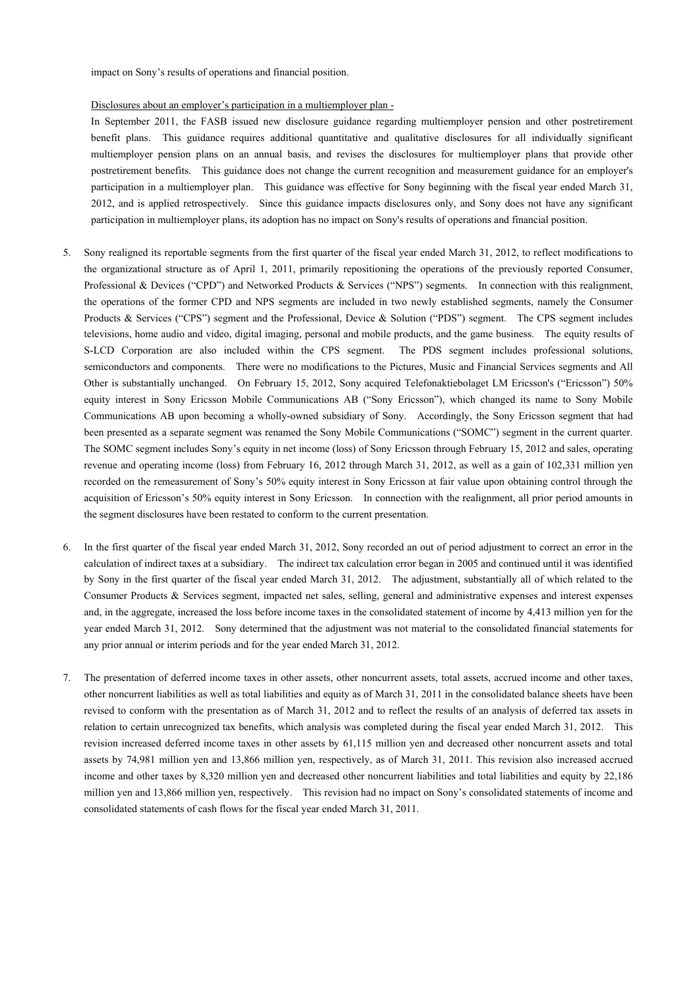impact on Sony's results of operations and financial position.

#### Disclosures about an employer's participation in a multiemployer plan -

In September 2011, the FASB issued new disclosure guidance regarding multiemployer pension and other postretirement benefit plans. This guidance requires additional quantitative and qualitative disclosures for all individually significant multiemployer pension plans on an annual basis, and revises the disclosures for multiemployer plans that provide other postretirement benefits. This guidance does not change the current recognition and measurement guidance for an employer's participation in a multiemployer plan. This guidance was effective for Sony beginning with the fiscal year ended March 31, 2012, and is applied retrospectively. Since this guidance impacts disclosures only, and Sony does not have any significant participation in multiemployer plans, its adoption has no impact on Sony's results of operations and financial position.

- 5. Sony realigned its reportable segments from the first quarter of the fiscal year ended March 31, 2012, to reflect modifications to the organizational structure as of April 1, 2011, primarily repositioning the operations of the previously reported Consumer, Professional & Devices ("CPD") and Networked Products & Services ("NPS") segments. In connection with this realignment, the operations of the former CPD and NPS segments are included in two newly established segments, namely the Consumer Products & Services ("CPS") segment and the Professional, Device & Solution ("PDS") segment. The CPS segment includes televisions, home audio and video, digital imaging, personal and mobile products, and the game business. The equity results of S-LCD Corporation are also included within the CPS segment. The PDS segment includes professional solutions, semiconductors and components. There were no modifications to the Pictures, Music and Financial Services segments and All Other is substantially unchanged. On February 15, 2012, Sony acquired Telefonaktiebolaget LM Ericsson's ("Ericsson") 50% equity interest in Sony Ericsson Mobile Communications AB ("Sony Ericsson"), which changed its name to Sony Mobile Communications AB upon becoming a wholly-owned subsidiary of Sony. Accordingly, the Sony Ericsson segment that had been presented as a separate segment was renamed the Sony Mobile Communications ("SOMC") segment in the current quarter. The SOMC segment includes Sony's equity in net income (loss) of Sony Ericsson through February 15, 2012 and sales, operating revenue and operating income (loss) from February 16, 2012 through March 31, 2012, as well as a gain of 102,331 million yen recorded on the remeasurement of Sony's 50% equity interest in Sony Ericsson at fair value upon obtaining control through the acquisition of Ericsson's 50% equity interest in Sony Ericsson. In connection with the realignment, all prior period amounts in the segment disclosures have been restated to conform to the current presentation.
- 6. In the first quarter of the fiscal year ended March 31, 2012, Sony recorded an out of period adjustment to correct an error in the calculation of indirect taxes at a subsidiary. The indirect tax calculation error began in 2005 and continued until it was identified by Sony in the first quarter of the fiscal year ended March 31, 2012. The adjustment, substantially all of which related to the Consumer Products & Services segment, impacted net sales, selling, general and administrative expenses and interest expenses and, in the aggregate, increased the loss before income taxes in the consolidated statement of income by 4,413 million yen for the year ended March 31, 2012. Sony determined that the adjustment was not material to the consolidated financial statements for any prior annual or interim periods and for the year ended March 31, 2012.
- 7. The presentation of deferred income taxes in other assets, other noncurrent assets, total assets, accrued income and other taxes, other noncurrent liabilities as well as total liabilities and equity as of March 31, 2011 in the consolidated balance sheets have been revised to conform with the presentation as of March 31, 2012 and to reflect the results of an analysis of deferred tax assets in relation to certain unrecognized tax benefits, which analysis was completed during the fiscal year ended March 31, 2012. This revision increased deferred income taxes in other assets by 61,115 million yen and decreased other noncurrent assets and total assets by 74,981 million yen and 13,866 million yen, respectively, as of March 31, 2011. This revision also increased accrued income and other taxes by 8,320 million yen and decreased other noncurrent liabilities and total liabilities and equity by 22,186 million yen and 13,866 million yen, respectively. This revision had no impact on Sony's consolidated statements of income and consolidated statements of cash flows for the fiscal year ended March 31, 2011.